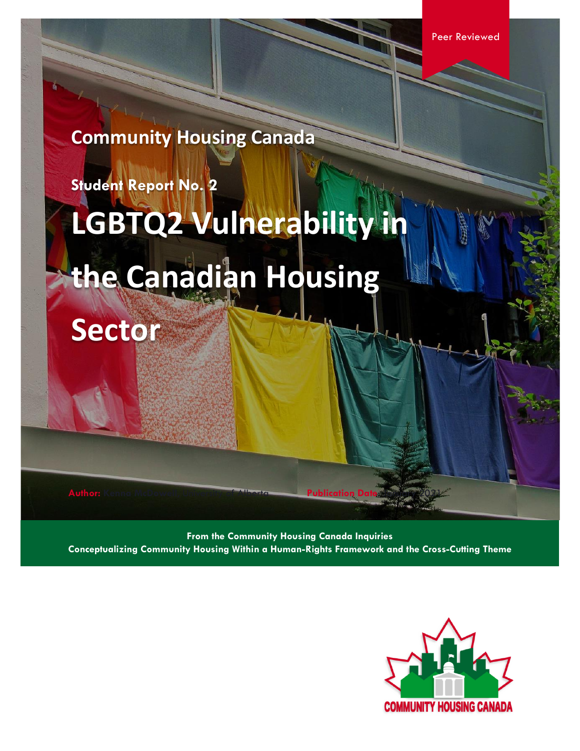**Community Housing Canada**

**Student Report No. 2**

# **LGBTQ2 Vulnerability in**

# **the Canadian Housing**

**Sector**

**Author: Kenna McDowell, University of Alberta Publication Date:** 

**From the Community Housing Canada Inquiries Conceptualizing Community Housing Within a Human-Rights Framework and the Cross-Cutting Theme**

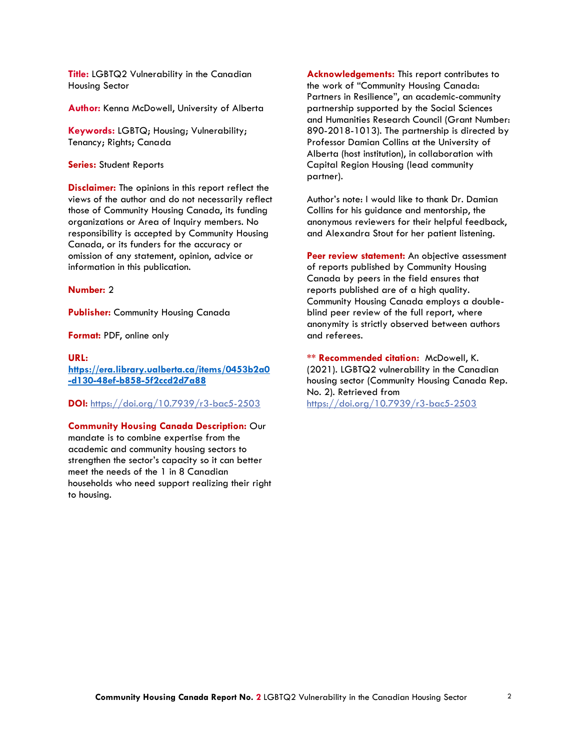**Title:** LGBTQ2 Vulnerability in the Canadian Housing Sector

**Author:** Kenna McDowell, University of Alberta

**Keywords:** LGBTQ; Housing; Vulnerability; Tenancy; Rights; Canada

**Series:** Student Reports

**Disclaimer:** The opinions in this report reflect the views of the author and do not necessarily reflect those of Community Housing Canada, its funding organizations or Area of Inquiry members. No responsibility is accepted by Community Housing Canada, or its funders for the accuracy or omission of any statement, opinion, advice or information in this publication.

#### **Number:** 2

**Publisher:** Community Housing Canada

**Format:** PDF, online only

#### **URL:**

**[https://era.library.ualberta.ca/items/0453b2a0](https://era.library.ualberta.ca/items/0453b2a0-d130-48ef-b858-5f2ccd2d7a88) [-d130-48ef-b858-5f2ccd2d7a88](https://era.library.ualberta.ca/items/0453b2a0-d130-48ef-b858-5f2ccd2d7a88)**

**DOI:** <https://doi.org/10.7939/r3-bac5-2503>

**Community Housing Canada Description:** Our mandate is to combine expertise from the academic and community housing sectors to strengthen the sector's capacity so it can better meet the needs of the 1 in 8 Canadian households who need support realizing their right to housing.

**Acknowledgements:** This report contributes to the work of "Community Housing Canada: Partners in Resilience", an academic-community partnership supported by the Social Sciences and Humanities Research Council (Grant Number: 890-2018-1013). The partnership is directed by Professor Damian Collins at the University of Alberta (host institution), in collaboration with Capital Region Housing (lead community partner).

Author's note: I would like to thank Dr. Damian Collins for his guidance and mentorship, the anonymous reviewers for their helpful feedback, and Alexandra Stout for her patient listening.

Peer review statement: An objective assessment of reports published by Community Housing Canada by peers in the field ensures that reports published are of a high quality. Community Housing Canada employs a doubleblind peer review of the full report, where anonymity is strictly observed between authors and referees.

**\*\* Recommended citation:** McDowell, K. (2021). LGBTQ2 vulnerability in the Canadian housing sector (Community Housing Canada Rep. No. 2). Retrieved from <https://doi.org/10.7939/r3-bac5-2503>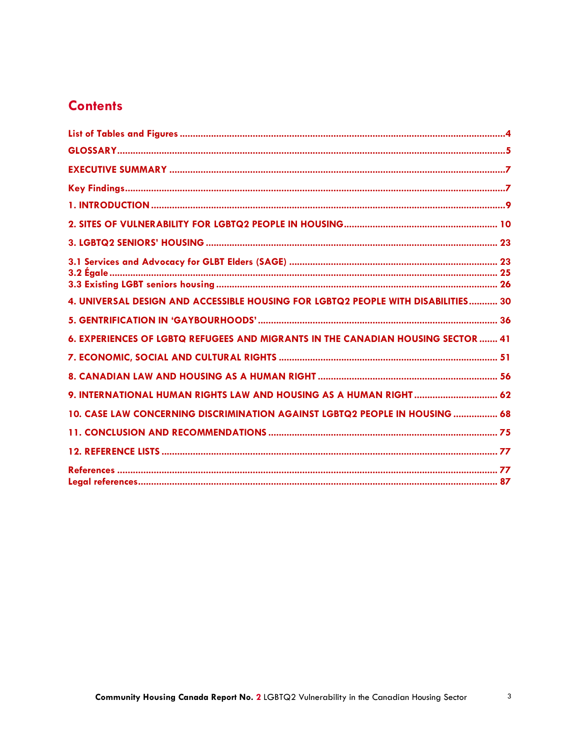## **Contents**

| 4. UNIVERSAL DESIGN AND ACCESSIBLE HOUSING FOR LGBTQ2 PEOPLE WITH DISABILITIES 30 |
|-----------------------------------------------------------------------------------|
|                                                                                   |
| 6. EXPERIENCES OF LGBTQ REFUGEES AND MIGRANTS IN THE CANADIAN HOUSING SECTOR  41  |
|                                                                                   |
|                                                                                   |
| 9. INTERNATIONAL HUMAN RIGHTS LAW AND HOUSING AS A HUMAN RIGHT  62                |
| 10. CASE LAW CONCERNING DISCRIMINATION AGAINST LGBTQ2 PEOPLE IN HOUSING  68       |
|                                                                                   |
|                                                                                   |
|                                                                                   |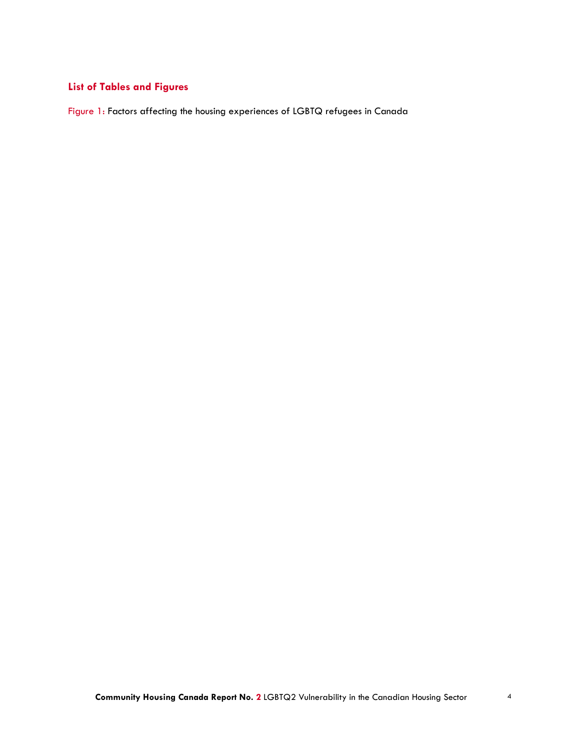### <span id="page-3-0"></span>**List of Tables and Figures**

Figure 1: Factors affecting the housing experiences of LGBTQ refugees in Canada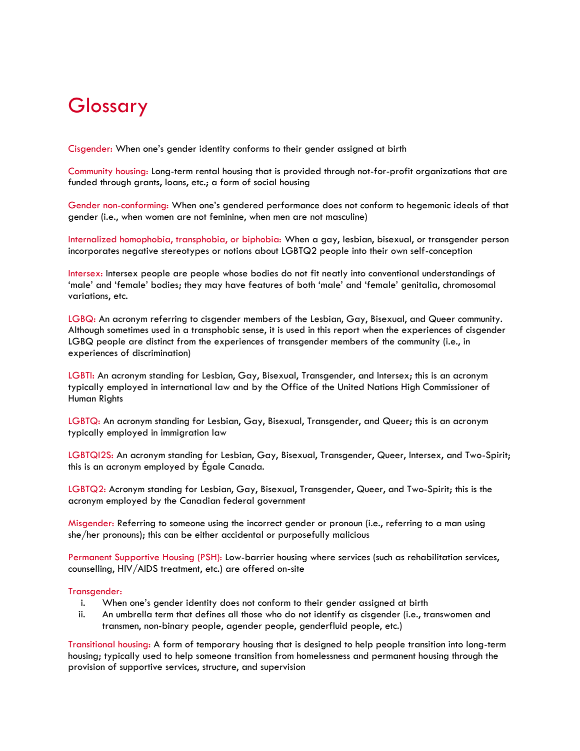# <span id="page-4-0"></span>Glossary

Cisgender: When one's gender identity conforms to their gender assigned at birth

Community housing: Long-term rental housing that is provided through not-for-profit organizations that are funded through grants, loans, etc.; a form of social housing

Gender non-conforming: When one's gendered performance does not conform to hegemonic ideals of that gender (i.e., when women are not feminine, when men are not masculine)

Internalized homophobia, transphobia, or biphobia: When a gay, lesbian, bisexual, or transgender person incorporates negative stereotypes or notions about LGBTQ2 people into their own self-conception

Intersex: Intersex people are people whose bodies do not fit neatly into conventional understandings of 'male' and 'female' bodies; they may have features of both 'male' and 'female' genitalia, chromosomal variations, etc.

LGBQ: An acronym referring to cisgender members of the Lesbian, Gay, Bisexual, and Queer community. Although sometimes used in a transphobic sense, it is used in this report when the experiences of cisgender LGBQ people are distinct from the experiences of transgender members of the community (i.e., in experiences of discrimination)

LGBTI: An acronym standing for Lesbian, Gay, Bisexual, Transgender, and Intersex; this is an acronym typically employed in international law and by the Office of the United Nations High Commissioner of Human Rights

LGBTQ: An acronym standing for Lesbian, Gay, Bisexual, Transgender, and Queer; this is an acronym typically employed in immigration law

LGBTQI2S: An acronym standing for Lesbian, Gay, Bisexual, Transgender, Queer, Intersex, and Two-Spirit; this is an acronym employed by Égale Canada.

LGBTQ2: Acronym standing for Lesbian, Gay, Bisexual, Transgender, Queer, and Two-Spirit; this is the acronym employed by the Canadian federal government

Misgender: Referring to someone using the incorrect gender or pronoun (i.e., referring to a man using she/her pronouns); this can be either accidental or purposefully malicious

Permanent Supportive Housing (PSH): Low-barrier housing where services (such as rehabilitation services, counselling, HIV/AIDS treatment, etc.) are offered on-site

#### Transgender:

- i. When one's gender identity does not conform to their gender assigned at birth
- ii. An umbrella term that defines all those who do not identify as cisgender (i.e., transwomen and transmen, non-binary people, agender people, genderfluid people, etc.)

Transitional housing: A form of temporary housing that is designed to help people transition into long-term housing; typically used to help someone transition from homelessness and permanent housing through the provision of supportive services, structure, and supervision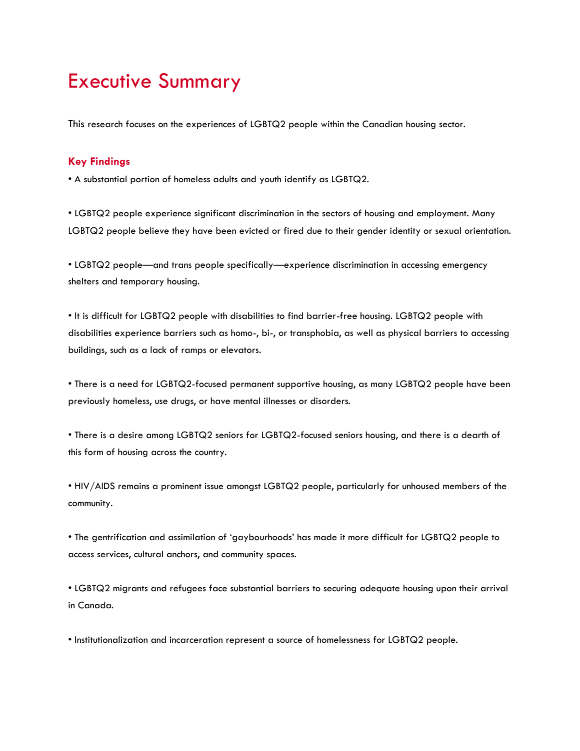# <span id="page-6-0"></span>Executive Summary

This research focuses on the experiences of LGBTQ2 people within the Canadian housing sector.

### <span id="page-6-1"></span>**Key Findings**

• A substantial portion of homeless adults and youth identify as LGBTQ2.

• LGBTQ2 people experience significant discrimination in the sectors of housing and employment. Many LGBTQ2 people believe they have been evicted or fired due to their gender identity or sexual orientation.

• LGBTQ2 people—and trans people specifically—experience discrimination in accessing emergency shelters and temporary housing.

• It is difficult for LGBTQ2 people with disabilities to find barrier-free housing. LGBTQ2 people with disabilities experience barriers such as homo-, bi-, or transphobia, as well as physical barriers to accessing buildings, such as a lack of ramps or elevators.

• There is a need for LGBTQ2-focused permanent supportive housing, as many LGBTQ2 people have been previously homeless, use drugs, or have mental illnesses or disorders.

• There is a desire among LGBTQ2 seniors for LGBTQ2-focused seniors housing, and there is a dearth of this form of housing across the country.

• HIV/AIDS remains a prominent issue amongst LGBTQ2 people, particularly for unhoused members of the community.

• The gentrification and assimilation of 'gaybourhoods' has made it more difficult for LGBTQ2 people to access services, cultural anchors, and community spaces.

• LGBTQ2 migrants and refugees face substantial barriers to securing adequate housing upon their arrival in Canada.

• Institutionalization and incarceration represent a source of homelessness for LGBTQ2 people.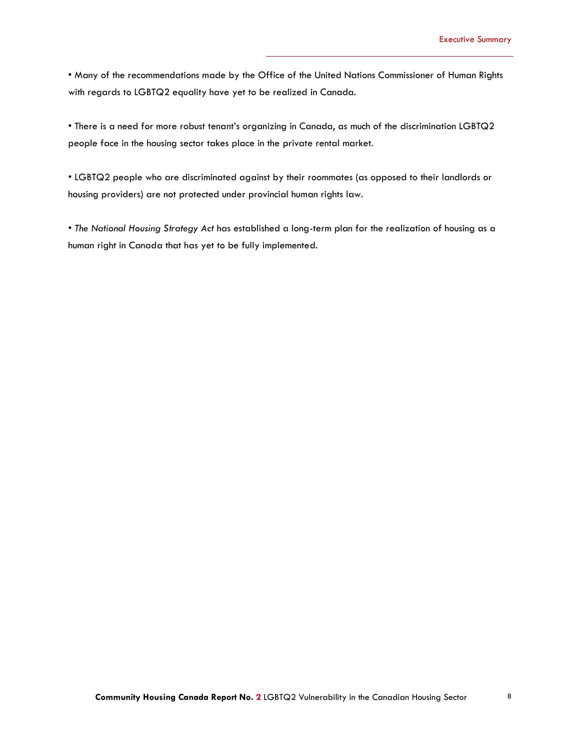• Many of the recommendations made by the Office of the United Nations Commissioner of Human Rights with regards to LGBTQ2 equality have yet to be realized in Canada.

• There is a need for more robust tenant's organizing in Canada, as much of the discrimination LGBTQ2 people face in the housing sector takes place in the private rental market.

• LGBTQ2 people who are discriminated against by their roommates (as opposed to their landlords or housing providers) are not protected under provincial human rights law.

• *The National Housing Strategy Act* has established a long-term plan for the realization of housing as a human right in Canada that has yet to be fully implemented.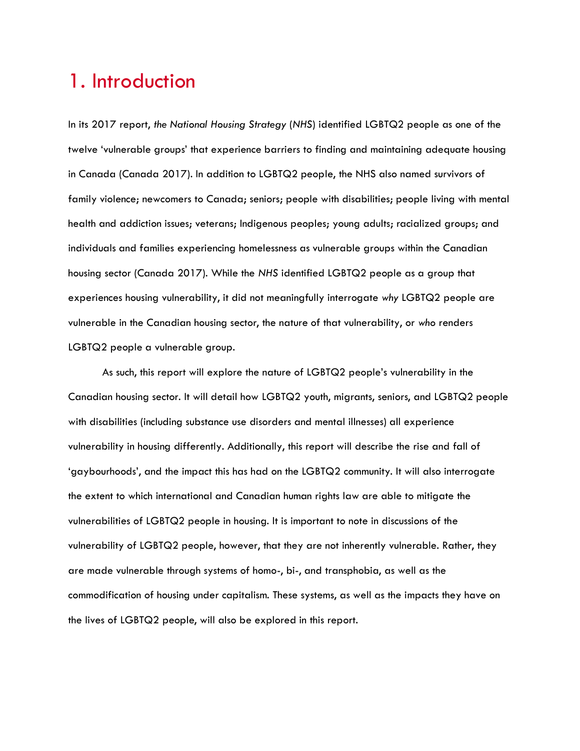# <span id="page-8-0"></span>1. Introduction

In its 2017 report, *the National Housing Strategy* (*NHS*) identified LGBTQ2 people as one of the twelve 'vulnerable groups' that experience barriers to finding and maintaining adequate housing in Canada (Canada 2017). In addition to LGBTQ2 people, the NHS also named survivors of family violence; newcomers to Canada; seniors; people with disabilities; people living with mental health and addiction issues; veterans; Indigenous peoples; young adults; racialized groups; and individuals and families experiencing homelessness as vulnerable groups within the Canadian housing sector (Canada 2017). While the *NHS* identified LGBTQ2 people as a group that experiences housing vulnerability, it did not meaningfully interrogate *why* LGBTQ2 people are vulnerable in the Canadian housing sector, the nature of that vulnerability, or *who* renders LGBTQ2 people a vulnerable group.

As such, this report will explore the nature of LGBTQ2 people's vulnerability in the Canadian housing sector. It will detail how LGBTQ2 youth, migrants, seniors, and LGBTQ2 people with disabilities (including substance use disorders and mental illnesses) all experience vulnerability in housing differently. Additionally, this report will describe the rise and fall of 'gaybourhoods', and the impact this has had on the LGBTQ2 community. It will also interrogate the extent to which international and Canadian human rights law are able to mitigate the vulnerabilities of LGBTQ2 people in housing. It is important to note in discussions of the vulnerability of LGBTQ2 people, however, that they are not inherently vulnerable. Rather, they are made vulnerable through systems of homo-, bi-, and transphobia, as well as the commodification of housing under capitalism. These systems, as well as the impacts they have on the lives of LGBTQ2 people, will also be explored in this report.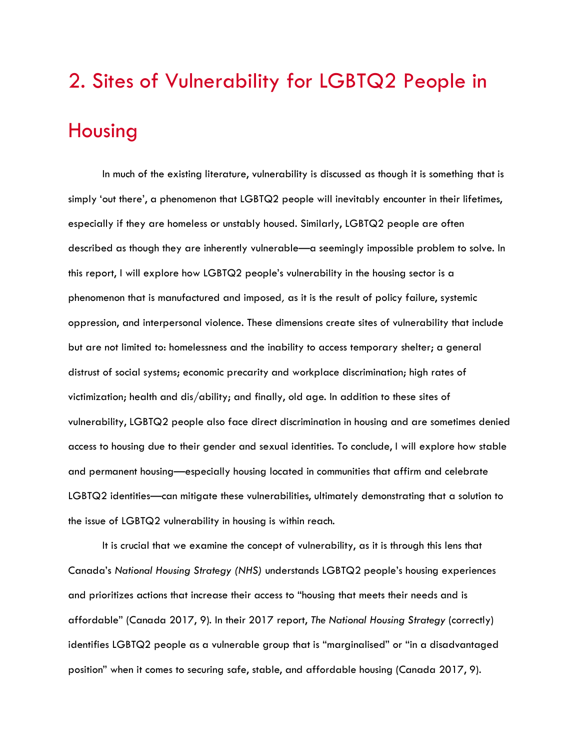# <span id="page-9-0"></span>2. Sites of Vulnerability for LGBTQ2 People in Housing

In much of the existing literature, vulnerability is discussed as though it is something that is simply 'out there', a phenomenon that LGBTQ2 people will inevitably encounter in their lifetimes, especially if they are homeless or unstably housed. Similarly, LGBTQ2 people are often described as though they are inherently vulnerable—a seemingly impossible problem to solve. In this report, I will explore how LGBTQ2 people's vulnerability in the housing sector is a phenomenon that is manufactured and imposed*,* as it is the result of policy failure, systemic oppression, and interpersonal violence. These dimensions create sites of vulnerability that include but are not limited to: homelessness and the inability to access temporary shelter; a general distrust of social systems; economic precarity and workplace discrimination; high rates of victimization; health and dis/ability; and finally, old age. In addition to these sites of vulnerability, LGBTQ2 people also face direct discrimination in housing and are sometimes denied access to housing due to their gender and sexual identities. To conclude, I will explore how stable and permanent housing—especially housing located in communities that affirm and celebrate LGBTQ2 identities—can mitigate these vulnerabilities, ultimately demonstrating that a solution to the issue of LGBTQ2 vulnerability in housing is within reach.

It is crucial that we examine the concept of vulnerability, as it is through this lens that Canada's *National Housing Strategy (NHS)* understands LGBTQ2 people's housing experiences and prioritizes actions that increase their access to "housing that meets their needs and is affordable" (Canada 2017, 9). In their 2017 report, *The National Housing Strategy* (correctly) identifies LGBTQ2 people as a vulnerable group that is "marginalised" or "in a disadvantaged position" when it comes to securing safe, stable, and affordable housing (Canada 2017, 9).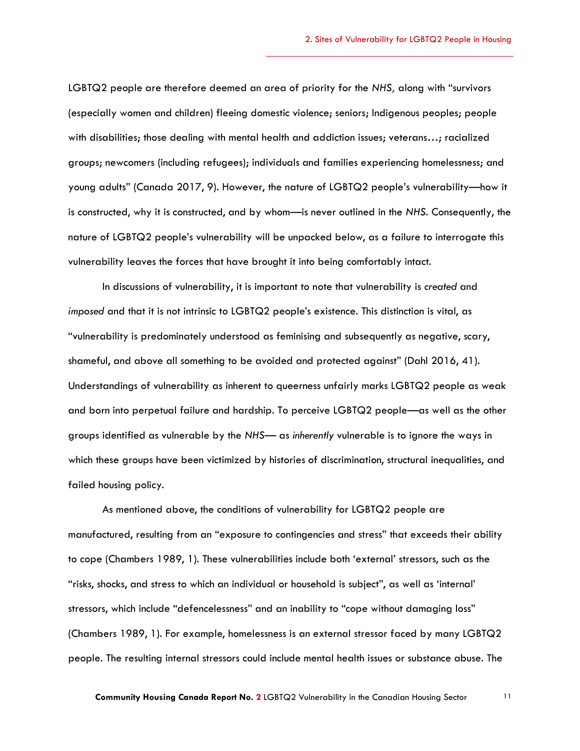LGBTQ2 people are therefore deemed an area of priority for the *NHS,* along with "survivors (especially women and children) fleeing domestic violence; seniors; Indigenous peoples; people with disabilities; those dealing with mental health and addiction issues; veterans…; racialized groups; newcomers (including refugees); individuals and families experiencing homelessness; and young adults" (Canada 2017, 9). However, the nature of LGBTQ2 people's vulnerability—how it is constructed, why it is constructed, and by whom—is never outlined in the *NHS*. Consequently, the nature of LGBTQ2 people's vulnerability will be unpacked below, as a failure to interrogate this vulnerability leaves the forces that have brought it into being comfortably intact.

In discussions of vulnerability, it is important to note that vulnerability is *created* and *imposed* and that it is not intrinsic to LGBTQ2 people's existence. This distinction is vital, as "vulnerability is predominately understood as feminising and subsequently as negative, scary, shameful, and above all something to be avoided and protected against" (Dahl 2016, 41). Understandings of vulnerability as inherent to queerness unfairly marks LGBTQ2 people as weak and born into perpetual failure and hardship. To perceive LGBTQ2 people—as well as the other groups identified as vulnerable by the *NHS*— as *inherently* vulnerable is to ignore the ways in which these groups have been victimized by histories of discrimination, structural inequalities, and failed housing policy.

As mentioned above, the conditions of vulnerability for LGBTQ2 people are manufactured, resulting from an "exposure to contingencies and stress" that exceeds their ability to cope (Chambers 1989, 1). These vulnerabilities include both 'external' stressors, such as the "risks, shocks, and stress to which an individual or household is subject", as well as 'internal' stressors, which include "defencelessness" and an inability to "cope without damaging loss" (Chambers 1989, 1). For example, homelessness is an external stressor faced by many LGBTQ2 people. The resulting internal stressors could include mental health issues or substance abuse. The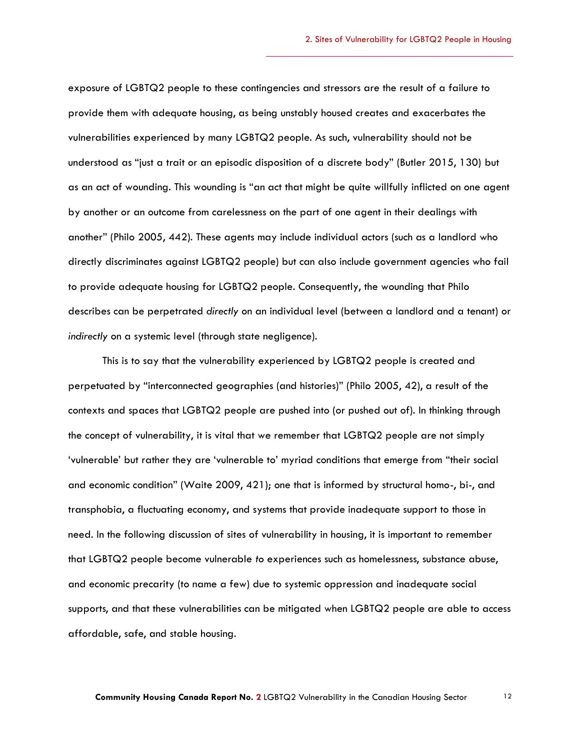exposure of LGBTQ2 people to these contingencies and stressors are the result of a failure to provide them with adequate housing, as being unstably housed creates and exacerbates the vulnerabilities experienced by many LGBTQ2 people. As such, vulnerability should not be understood as "just a trait or an episodic disposition of a discrete body" (Butler 2015, 130) but as an act of wounding. This wounding is "an act that might be quite willfully inflicted on one agent by another or an outcome from carelessness on the part of one agent in their dealings with another" (Philo 2005, 442). These agents may include individual actors (such as a landlord who directly discriminates against LGBTQ2 people) but can also include government agencies who fail to provide adequate housing for LGBTQ2 people. Consequently, the wounding that Philo describes can be perpetrated *directly* on an individual level (between a landlord and a tenant) or *indirectly* on a systemic level (through state negligence).

This is to say that the vulnerability experienced by LGBTQ2 people is created and perpetuated by "interconnected geographies (and histories)" (Philo 2005, 42), a result of the contexts and spaces that LGBTQ2 people are pushed into (or pushed out of). In thinking through the concept of vulnerability, it is vital that we remember that LGBTQ2 people are not simply 'vulnerable' but rather they are 'vulnerable to' myriad conditions that emerge from "their social and economic condition" (Waite 2009, 421); one that is informed by structural homo-, bi-, and transphobia, a fluctuating economy, and systems that provide inadequate support to those in need. In the following discussion of sites of vulnerability in housing, it is important to remember that LGBTQ2 people become vulnerable *to* experiences such as homelessness, substance abuse, and economic precarity (to name a few) due to systemic oppression and inadequate social supports, and that these vulnerabilities can be mitigated when LGBTQ2 people are able to access affordable, safe, and stable housing.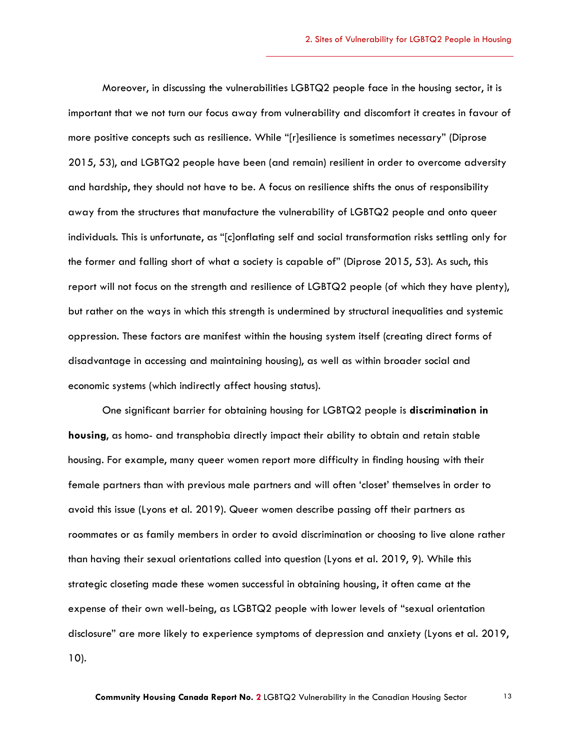Moreover, in discussing the vulnerabilities LGBTQ2 people face in the housing sector, it is important that we not turn our focus away from vulnerability and discomfort it creates in favour of more positive concepts such as resilience. While "[r]esilience is sometimes necessary" (Diprose 2015, 53), and LGBTQ2 people have been (and remain) resilient in order to overcome adversity and hardship, they should not have to be. A focus on resilience shifts the onus of responsibility away from the structures that manufacture the vulnerability of LGBTQ2 people and onto queer individuals. This is unfortunate, as "[c]onflating self and social transformation risks settling only for the former and falling short of what a society is capable of" (Diprose 2015, 53). As such, this report will not focus on the strength and resilience of LGBTQ2 people (of which they have plenty), but rather on the ways in which this strength is undermined by structural inequalities and systemic oppression. These factors are manifest within the housing system itself (creating direct forms of disadvantage in accessing and maintaining housing), as well as within broader social and economic systems (which indirectly affect housing status).

One significant barrier for obtaining housing for LGBTQ2 people is **discrimination in housing**, as homo- and transphobia directly impact their ability to obtain and retain stable housing. For example, many queer women report more difficulty in finding housing with their female partners than with previous male partners and will often 'closet' themselves in order to avoid this issue (Lyons et al. 2019). Queer women describe passing off their partners as roommates or as family members in order to avoid discrimination or choosing to live alone rather than having their sexual orientations called into question (Lyons et al. 2019, 9). While this strategic closeting made these women successful in obtaining housing, it often came at the expense of their own well-being, as LGBTQ2 people with lower levels of "sexual orientation disclosure" are more likely to experience symptoms of depression and anxiety (Lyons et al. 2019, 10).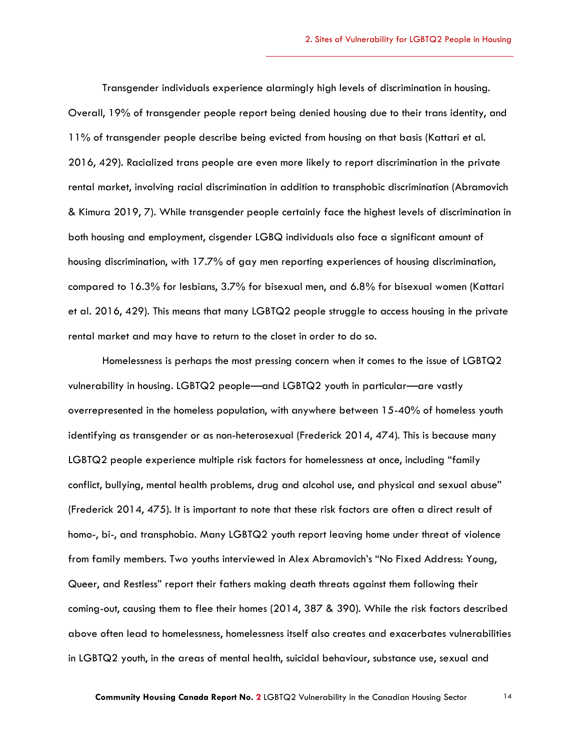Transgender individuals experience alarmingly high levels of discrimination in housing. Overall, 19% of transgender people report being denied housing due to their trans identity, and 11% of transgender people describe being evicted from housing on that basis (Kattari et al. 2016, 429). Racialized trans people are even more likely to report discrimination in the private rental market, involving racial discrimination in addition to transphobic discrimination (Abramovich & Kimura 2019, 7). While transgender people certainly face the highest levels of discrimination in both housing and employment, cisgender LGBQ individuals also face a significant amount of housing discrimination, with 17.7% of gay men reporting experiences of housing discrimination, compared to 16.3% for lesbians, 3.7% for bisexual men, and 6.8% for bisexual women (Kattari et al. 2016, 429). This means that many LGBTQ2 people struggle to access housing in the private rental market and may have to return to the closet in order to do so.

Homelessness is perhaps the most pressing concern when it comes to the issue of LGBTQ2 vulnerability in housing. LGBTQ2 people—and LGBTQ2 youth in particular—are vastly overrepresented in the homeless population, with anywhere between 15-40% of homeless youth identifying as transgender or as non-heterosexual (Frederick 2014, 474). This is because many LGBTQ2 people experience multiple risk factors for homelessness at once, including "family conflict, bullying, mental health problems, drug and alcohol use, and physical and sexual abuse" (Frederick 2014, 475). It is important to note that these risk factors are often a direct result of homo-, bi-, and transphobia. Many LGBTQ2 youth report leaving home under threat of violence from family members. Two youths interviewed in Alex Abramovich's "No Fixed Address: Young, Queer, and Restless" report their fathers making death threats against them following their coming-out, causing them to flee their homes (2014, 387 & 390). While the risk factors described above often lead to homelessness, homelessness itself also creates and exacerbates vulnerabilities in LGBTQ2 youth, in the areas of mental health, suicidal behaviour, substance use, sexual and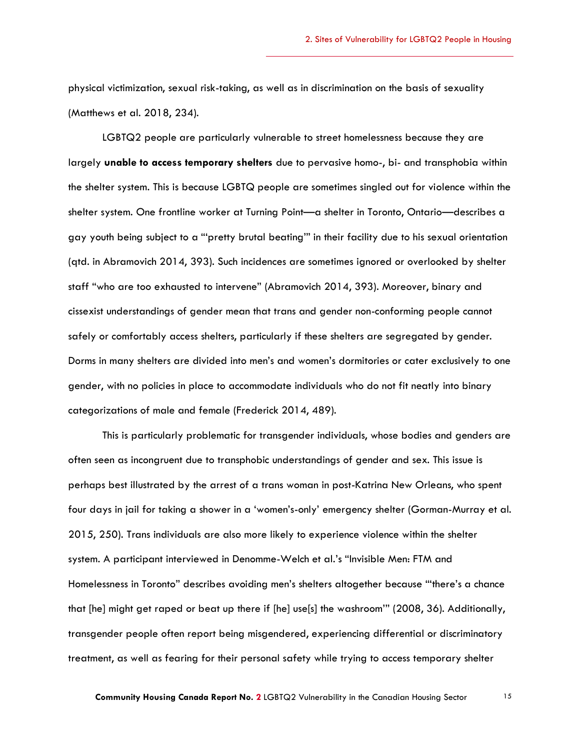physical victimization, sexual risk-taking, as well as in discrimination on the basis of sexuality (Matthews et al. 2018, 234).

LGBTQ2 people are particularly vulnerable to street homelessness because they are largely **unable to access temporary shelters** due to pervasive homo-, bi- and transphobia within the shelter system. This is because LGBTQ people are sometimes singled out for violence within the shelter system. One frontline worker at Turning Point—a shelter in Toronto, Ontario—describes a gay youth being subject to a "'pretty brutal beating'" in their facility due to his sexual orientation (qtd. in Abramovich 2014, 393). Such incidences are sometimes ignored or overlooked by shelter staff "who are too exhausted to intervene" (Abramovich 2014, 393). Moreover, binary and cissexist understandings of gender mean that trans and gender non-conforming people cannot safely or comfortably access shelters, particularly if these shelters are segregated by gender. Dorms in many shelters are divided into men's and women's dormitories or cater exclusively to one gender, with no policies in place to accommodate individuals who do not fit neatly into binary categorizations of male and female (Frederick 2014, 489).

This is particularly problematic for transgender individuals, whose bodies and genders are often seen as incongruent due to transphobic understandings of gender and sex. This issue is perhaps best illustrated by the arrest of a trans woman in post-Katrina New Orleans, who spent four days in jail for taking a shower in a 'women's-only' emergency shelter (Gorman-Murray et al. 2015, 250). Trans individuals are also more likely to experience violence within the shelter system. A participant interviewed in Denomme-Welch et al.'s "Invisible Men: FTM and Homelessness in Toronto" describes avoiding men's shelters altogether because "'there's a chance that [he] might get raped or beat up there if [he] use[s] the washroom'" (2008, 36). Additionally, transgender people often report being misgendered, experiencing differential or discriminatory treatment, as well as fearing for their personal safety while trying to access temporary shelter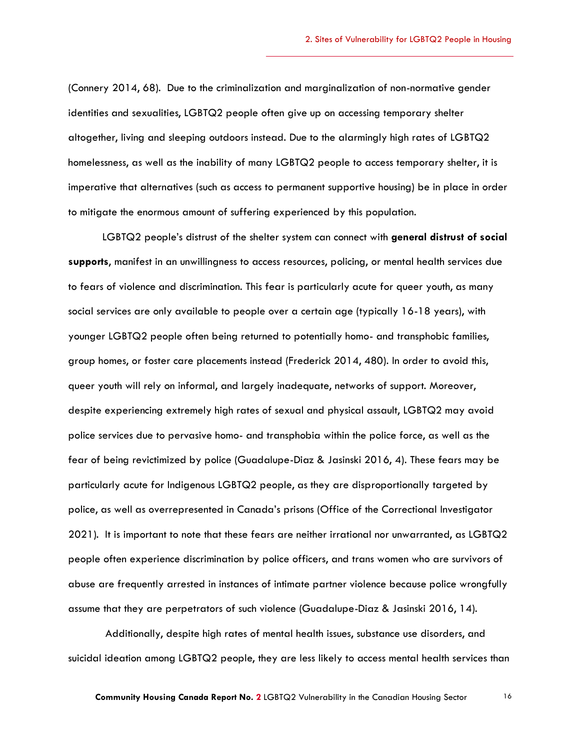(Connery 2014, 68). Due to the criminalization and marginalization of non-normative gender identities and sexualities, LGBTQ2 people often give up on accessing temporary shelter altogether, living and sleeping outdoors instead. Due to the alarmingly high rates of LGBTQ2 homelessness, as well as the inability of many LGBTQ2 people to access temporary shelter, it is imperative that alternatives (such as access to permanent supportive housing) be in place in order to mitigate the enormous amount of suffering experienced by this population.

LGBTQ2 people's distrust of the shelter system can connect with **general distrust of social supports**, manifest in an unwillingness to access resources, policing, or mental health services due to fears of violence and discrimination. This fear is particularly acute for queer youth, as many social services are only available to people over a certain age (typically 16-18 years), with younger LGBTQ2 people often being returned to potentially homo- and transphobic families, group homes, or foster care placements instead (Frederick 2014, 480). In order to avoid this, queer youth will rely on informal, and largely inadequate, networks of support. Moreover, despite experiencing extremely high rates of sexual and physical assault, LGBTQ2 may avoid police services due to pervasive homo- and transphobia within the police force, as well as the fear of being revictimized by police (Guadalupe-Diaz & Jasinski 2016, 4). These fears may be particularly acute for Indigenous LGBTQ2 people, as they are disproportionally targeted by police, as well as overrepresented in Canada's prisons (Office of the Correctional Investigator 2021). It is important to note that these fears are neither irrational nor unwarranted, as LGBTQ2 people often experience discrimination by police officers, and trans women who are survivors of abuse are frequently arrested in instances of intimate partner violence because police wrongfully assume that they are perpetrators of such violence (Guadalupe-Diaz & Jasinski 2016, 14).

Additionally, despite high rates of mental health issues, substance use disorders, and suicidal ideation among LGBTQ2 people, they are less likely to access mental health services than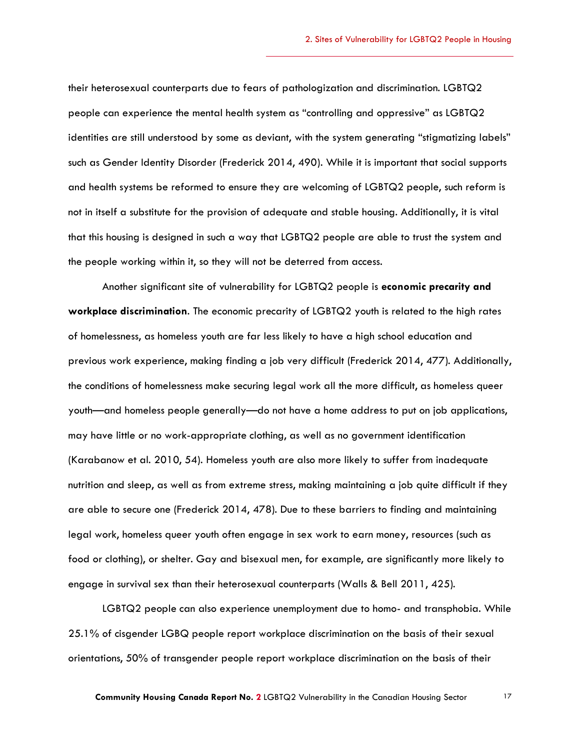their heterosexual counterparts due to fears of pathologization and discrimination. LGBTQ2 people can experience the mental health system as "controlling and oppressive" as LGBTQ2 identities are still understood by some as deviant, with the system generating "stigmatizing labels" such as Gender Identity Disorder (Frederick 2014, 490). While it is important that social supports and health systems be reformed to ensure they are welcoming of LGBTQ2 people, such reform is not in itself a substitute for the provision of adequate and stable housing. Additionally, it is vital that this housing is designed in such a way that LGBTQ2 people are able to trust the system and the people working within it, so they will not be deterred from access.

Another significant site of vulnerability for LGBTQ2 people is **economic precarity and workplace discrimination**. The economic precarity of LGBTQ2 youth is related to the high rates of homelessness, as homeless youth are far less likely to have a high school education and previous work experience, making finding a job very difficult (Frederick 2014, 477). Additionally, the conditions of homelessness make securing legal work all the more difficult, as homeless queer youth—and homeless people generally—do not have a home address to put on job applications, may have little or no work-appropriate clothing, as well as no government identification (Karabanow et al. 2010, 54). Homeless youth are also more likely to suffer from inadequate nutrition and sleep, as well as from extreme stress, making maintaining a job quite difficult if they are able to secure one (Frederick 2014, 478). Due to these barriers to finding and maintaining legal work, homeless queer youth often engage in sex work to earn money, resources (such as food or clothing), or shelter. Gay and bisexual men, for example, are significantly more likely to engage in survival sex than their heterosexual counterparts (Walls & Bell 2011, 425).

LGBTQ2 people can also experience unemployment due to homo- and transphobia. While 25.1% of cisgender LGBQ people report workplace discrimination on the basis of their sexual orientations, 50% of transgender people report workplace discrimination on the basis of their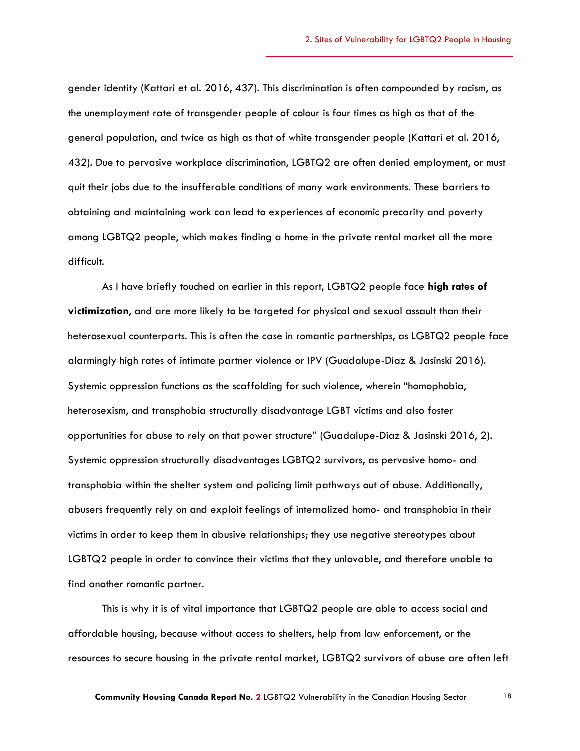gender identity (Kattari et al. 2016, 437). This discrimination is often compounded by racism, as the unemployment rate of transgender people of colour is four times as high as that of the general population, and twice as high as that of white transgender people (Kattari et al. 2016, 432). Due to pervasive workplace discrimination, LGBTQ2 are often denied employment, or must quit their jobs due to the insufferable conditions of many work environments. These barriers to obtaining and maintaining work can lead to experiences of economic precarity and poverty among LGBTQ2 people, which makes finding a home in the private rental market all the more difficult.

As I have briefly touched on earlier in this report, LGBTQ2 people face **high rates of victimization**, and are more likely to be targeted for physical and sexual assault than their heterosexual counterparts. This is often the case in romantic partnerships, as LGBTQ2 people face alarmingly high rates of intimate partner violence or IPV (Guadalupe-Diaz & Jasinski 2016). Systemic oppression functions as the scaffolding for such violence, wherein "homophobia, heterosexism, and transphobia structurally disadvantage LGBT victims and also foster opportunities for abuse to rely on that power structure" (Guadalupe-Diaz & Jasinski 2016, 2). Systemic oppression structurally disadvantages LGBTQ2 survivors, as pervasive homo- and transphobia within the shelter system and policing limit pathways out of abuse. Additionally, abusers frequently rely on and exploit feelings of internalized homo- and transphobia in their victims in order to keep them in abusive relationships; they use negative stereotypes about LGBTQ2 people in order to convince their victims that they unlovable, and therefore unable to find another romantic partner.

This is why it is of vital importance that LGBTQ2 people are able to access social and affordable housing, because without access to shelters, help from law enforcement, or the resources to secure housing in the private rental market, LGBTQ2 survivors of abuse are often left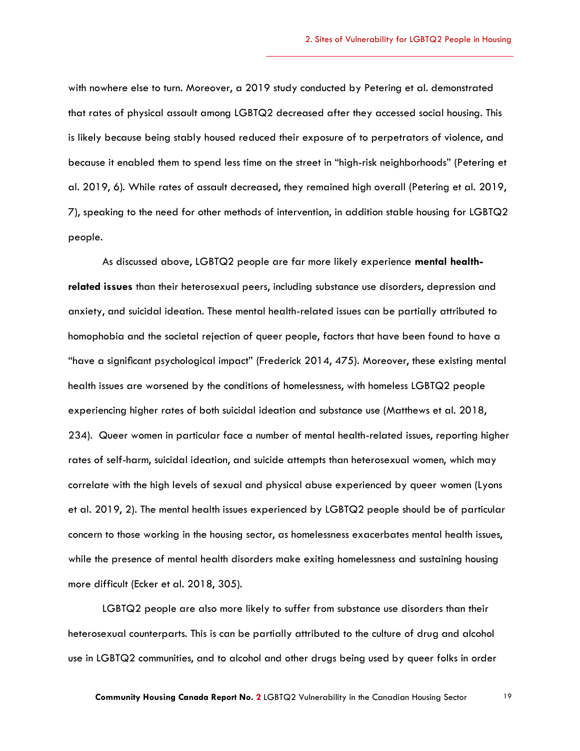with nowhere else to turn. Moreover, a 2019 study conducted by Petering et al. demonstrated that rates of physical assault among LGBTQ2 decreased after they accessed social housing. This is likely because being stably housed reduced their exposure of to perpetrators of violence, and because it enabled them to spend less time on the street in "high-risk neighborhoods" (Petering et al. 2019, 6). While rates of assault decreased, they remained high overall (Petering et al. 2019, 7), speaking to the need for other methods of intervention, in addition stable housing for LGBTQ2 people.

As discussed above, LGBTQ2 people are far more likely experience **mental healthrelated issues** than their heterosexual peers, including substance use disorders, depression and anxiety, and suicidal ideation. These mental health-related issues can be partially attributed to homophobia and the societal rejection of queer people, factors that have been found to have a "have a significant psychological impact" (Frederick 2014, 475). Moreover, these existing mental health issues are worsened by the conditions of homelessness, with homeless LGBTQ2 people experiencing higher rates of both suicidal ideation and substance use (Matthews et al. 2018, 234). Queer women in particular face a number of mental health-related issues, reporting higher rates of self-harm, suicidal ideation, and suicide attempts than heterosexual women, which may correlate with the high levels of sexual and physical abuse experienced by queer women (Lyons et al. 2019, 2). The mental health issues experienced by LGBTQ2 people should be of particular concern to those working in the housing sector, as homelessness exacerbates mental health issues, while the presence of mental health disorders make exiting homelessness and sustaining housing more difficult (Ecker et al. 2018, 305).

LGBTQ2 people are also more likely to suffer from substance use disorders than their heterosexual counterparts. This is can be partially attributed to the culture of drug and alcohol use in LGBTQ2 communities, and to alcohol and other drugs being used by queer folks in order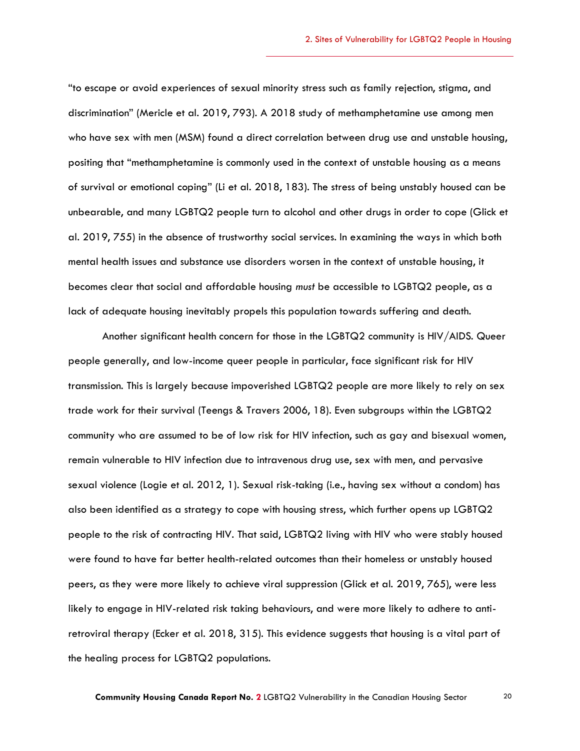"to escape or avoid experiences of sexual minority stress such as family rejection, stigma, and discrimination" (Mericle et al. 2019, 793). A 2018 study of methamphetamine use among men who have sex with men (MSM) found a direct correlation between drug use and unstable housing, positing that "methamphetamine is commonly used in the context of unstable housing as a means of survival or emotional coping" (Li et al. 2018, 183). The stress of being unstably housed can be unbearable, and many LGBTQ2 people turn to alcohol and other drugs in order to cope (Glick et al. 2019, 755) in the absence of trustworthy social services. In examining the ways in which both mental health issues and substance use disorders worsen in the context of unstable housing, it becomes clear that social and affordable housing *must* be accessible to LGBTQ2 people, as a lack of adequate housing inevitably propels this population towards suffering and death.

Another significant health concern for those in the LGBTQ2 community is HIV/AIDS. Queer people generally, and low-income queer people in particular, face significant risk for HIV transmission. This is largely because impoverished LGBTQ2 people are more likely to rely on sex trade work for their survival (Teengs & Travers 2006, 18). Even subgroups within the LGBTQ2 community who are assumed to be of low risk for HIV infection, such as gay and bisexual women, remain vulnerable to HIV infection due to intravenous drug use, sex with men, and pervasive sexual violence (Logie et al. 2012, 1). Sexual risk-taking (i.e., having sex without a condom) has also been identified as a strategy to cope with housing stress, which further opens up LGBTQ2 people to the risk of contracting HIV. That said, LGBTQ2 living with HIV who were stably housed were found to have far better health-related outcomes than their homeless or unstably housed peers, as they were more likely to achieve viral suppression (Glick et al. 2019, 765), were less likely to engage in HIV-related risk taking behaviours, and were more likely to adhere to antiretroviral therapy (Ecker et al. 2018, 315). This evidence suggests that housing is a vital part of the healing process for LGBTQ2 populations.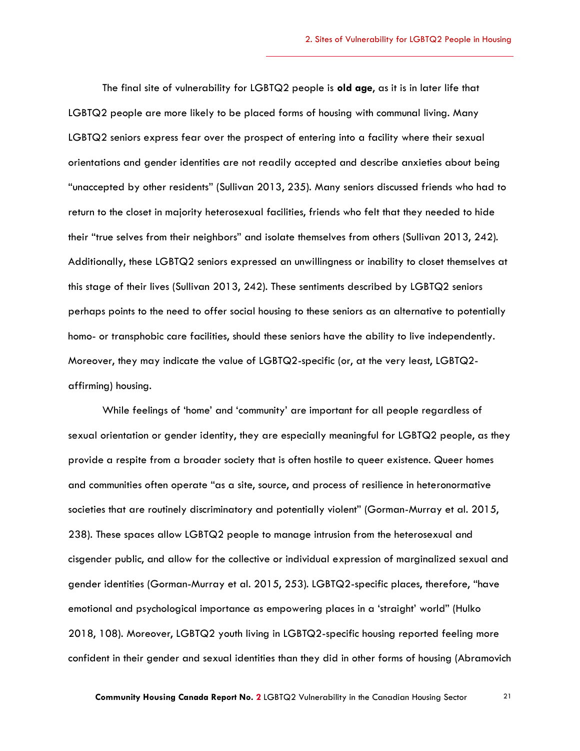The final site of vulnerability for LGBTQ2 people is **old age**, as it is in later life that LGBTQ2 people are more likely to be placed forms of housing with communal living. Many LGBTQ2 seniors express fear over the prospect of entering into a facility where their sexual orientations and gender identities are not readily accepted and describe anxieties about being "unaccepted by other residents" (Sullivan 2013, 235). Many seniors discussed friends who had to return to the closet in majority heterosexual facilities, friends who felt that they needed to hide their "true selves from their neighbors" and isolate themselves from others (Sullivan 2013, 242). Additionally, these LGBTQ2 seniors expressed an unwillingness or inability to closet themselves at this stage of their lives (Sullivan 2013, 242). These sentiments described by LGBTQ2 seniors perhaps points to the need to offer social housing to these seniors as an alternative to potentially homo- or transphobic care facilities, should these seniors have the ability to live independently. Moreover, they may indicate the value of LGBTQ2-specific (or, at the very least, LGBTQ2 affirming) housing.

While feelings of 'home' and 'community' are important for all people regardless of sexual orientation or gender identity, they are especially meaningful for LGBTQ2 people, as they provide a respite from a broader society that is often hostile to queer existence. Queer homes and communities often operate "as a site, source, and process of resilience in heteronormative societies that are routinely discriminatory and potentially violent" (Gorman-Murray et al. 2015, 238). These spaces allow LGBTQ2 people to manage intrusion from the heterosexual and cisgender public, and allow for the collective or individual expression of marginalized sexual and gender identities (Gorman-Murray et al. 2015, 253). LGBTQ2-specific places, therefore, "have emotional and psychological importance as empowering places in a 'straight' world" (Hulko 2018, 108). Moreover, LGBTQ2 youth living in LGBTQ2-specific housing reported feeling more confident in their gender and sexual identities than they did in other forms of housing (Abramovich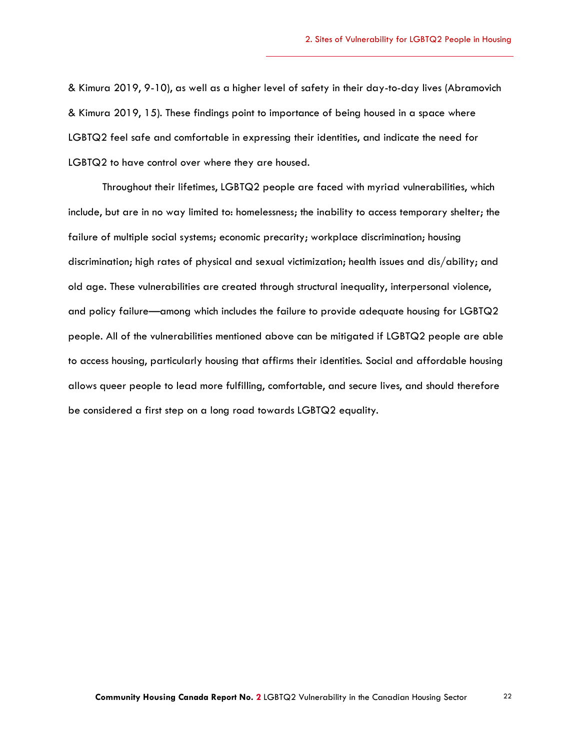& Kimura 2019, 9-10), as well as a higher level of safety in their day-to-day lives (Abramovich & Kimura 2019, 15). These findings point to importance of being housed in a space where LGBTQ2 feel safe and comfortable in expressing their identities, and indicate the need for LGBTQ2 to have control over where they are housed.

Throughout their lifetimes, LGBTQ2 people are faced with myriad vulnerabilities, which include, but are in no way limited to: homelessness; the inability to access temporary shelter; the failure of multiple social systems; economic precarity; workplace discrimination; housing discrimination; high rates of physical and sexual victimization; health issues and dis/ability; and old age. These vulnerabilities are created through structural inequality, interpersonal violence, and policy failure—among which includes the failure to provide adequate housing for LGBTQ2 people. All of the vulnerabilities mentioned above can be mitigated if LGBTQ2 people are able to access housing, particularly housing that affirms their identities. Social and affordable housing allows queer people to lead more fulfilling, comfortable, and secure lives, and should therefore be considered a first step on a long road towards LGBTQ2 equality.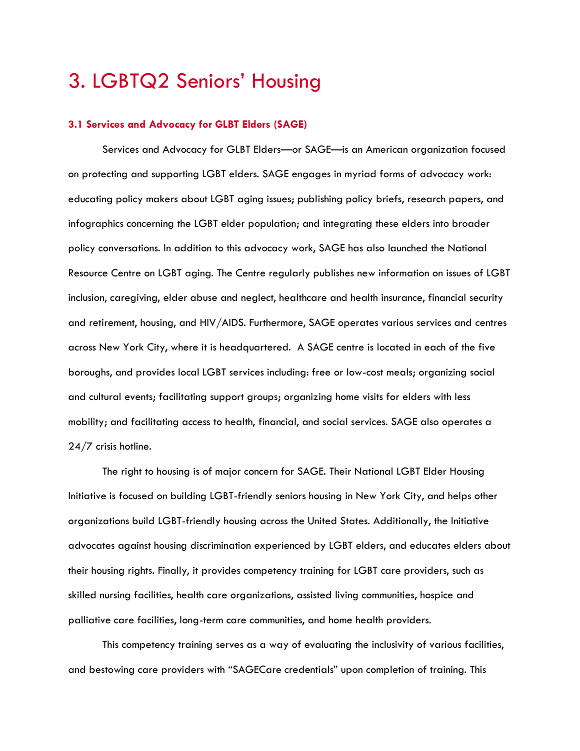# <span id="page-22-0"></span>3. LGBTQ2 Seniors' Housing

### <span id="page-22-1"></span>**3.1 Services and Advocacy for GLBT Elders (SAGE)**

Services and Advocacy for GLBT Elders*—*or SAGE—is an American organization focused on protecting and supporting LGBT elders. SAGE engages in myriad forms of advocacy work: educating policy makers about LGBT aging issues; publishing policy briefs, research papers, and infographics concerning the LGBT elder population; and integrating these elders into broader policy conversations. In addition to this advocacy work, SAGE has also launched the National Resource Centre on LGBT aging. The Centre regularly publishes new information on issues of LGBT inclusion, caregiving, elder abuse and neglect, healthcare and health insurance, financial security and retirement, housing, and HIV/AIDS. Furthermore, SAGE operates various services and centres across New York City, where it is headquartered. A SAGE centre is located in each of the five boroughs, and provides local LGBT services including: free or low-cost meals; organizing social and cultural events; facilitating support groups; organizing home visits for elders with less mobility; and facilitating access to health, financial, and social services. SAGE also operates a 24/7 crisis hotline.

The right to housing is of major concern for SAGE. Their National LGBT Elder Housing Initiative is focused on building LGBT-friendly seniors housing in New York City, and helps other organizations build LGBT-friendly housing across the United States. Additionally, the Initiative advocates against housing discrimination experienced by LGBT elders, and educates elders about their housing rights. Finally, it provides competency training for LGBT care providers, such as skilled nursing facilities, health care organizations, assisted living communities, hospice and palliative care facilities, long-term care communities, and home health providers.

This competency training serves as a way of evaluating the inclusivity of various facilities, and bestowing care providers with "SAGECare credentials" upon completion of training. This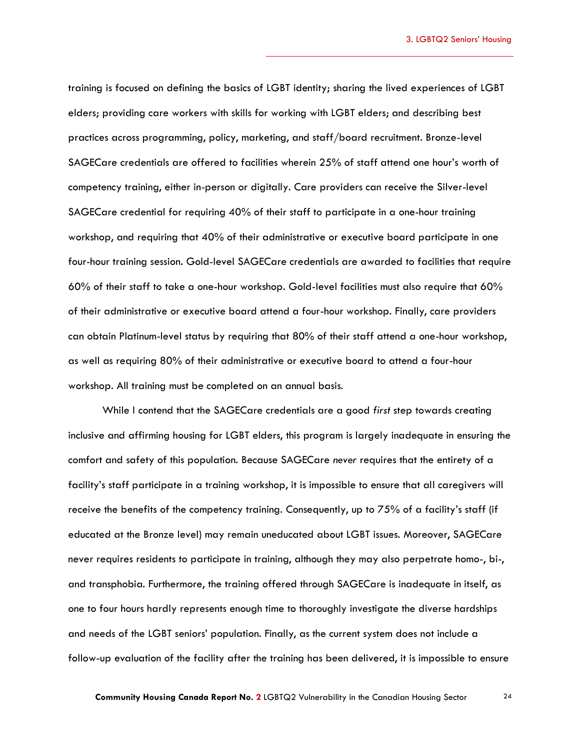training is focused on defining the basics of LGBT identity; sharing the lived experiences of LGBT elders; providing care workers with skills for working with LGBT elders; and describing best practices across programming, policy, marketing, and staff/board recruitment. Bronze-level SAGECare credentials are offered to facilities wherein 25% of staff attend one hour's worth of competency training, either in-person or digitally. Care providers can receive the Silver-level SAGECare credential for requiring 40% of their staff to participate in a one-hour training workshop, and requiring that 40% of their administrative or executive board participate in one four-hour training session. Gold-level SAGECare credentials are awarded to facilities that require 60% of their staff to take a one-hour workshop. Gold-level facilities must also require that 60% of their administrative or executive board attend a four-hour workshop. Finally, care providers can obtain Platinum-level status by requiring that 80% of their staff attend a one-hour workshop, as well as requiring 80% of their administrative or executive board to attend a four-hour workshop. All training must be completed on an annual basis.

While I contend that the SAGECare credentials are a good *first* step towards creating inclusive and affirming housing for LGBT elders, this program is largely inadequate in ensuring the comfort and safety of this population. Because SAGECare *never* requires that the entirety of a facility's staff participate in a training workshop, it is impossible to ensure that all caregivers will receive the benefits of the competency training. Consequently, up to 75% of a facility's staff (if educated at the Bronze level) may remain uneducated about LGBT issues. Moreover, SAGECare never requires residents to participate in training, although they may also perpetrate homo-, bi-, and transphobia. Furthermore, the training offered through SAGECare is inadequate in itself, as one to four hours hardly represents enough time to thoroughly investigate the diverse hardships and needs of the LGBT seniors' population. Finally, as the current system does not include a follow-up evaluation of the facility after the training has been delivered, it is impossible to ensure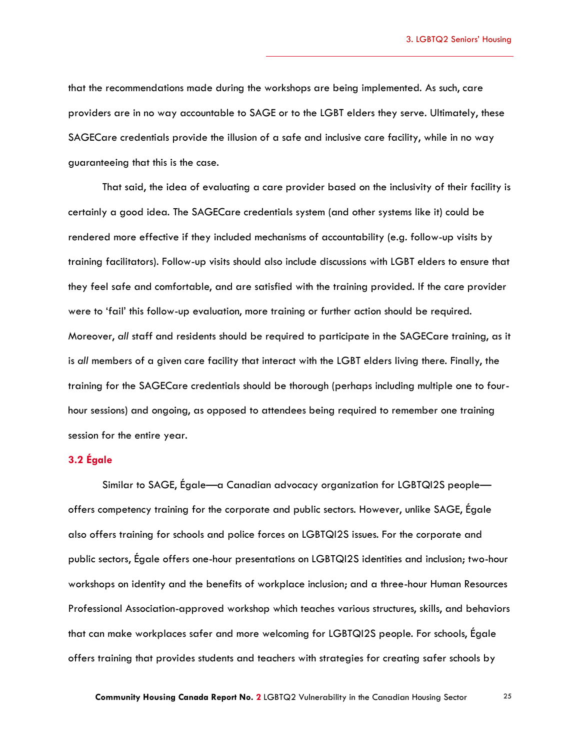that the recommendations made during the workshops are being implemented. As such, care providers are in no way accountable to SAGE or to the LGBT elders they serve. Ultimately, these SAGECare credentials provide the illusion of a safe and inclusive care facility, while in no way guaranteeing that this is the case.

That said, the idea of evaluating a care provider based on the inclusivity of their facility is certainly a good idea. The SAGECare credentials system (and other systems like it) could be rendered more effective if they included mechanisms of accountability (e.g. follow-up visits by training facilitators). Follow-up visits should also include discussions with LGBT elders to ensure that they feel safe and comfortable, and are satisfied with the training provided. If the care provider were to 'fail' this follow-up evaluation, more training or further action should be required. Moreover, *all* staff and residents should be required to participate in the SAGECare training, as it is *all* members of a given care facility that interact with the LGBT elders living there. Finally, the training for the SAGECare credentials should be thorough (perhaps including multiple one to fourhour sessions) and ongoing, as opposed to attendees being required to remember one training session for the entire year.

### <span id="page-24-0"></span>**3.2 Égale**

Similar to SAGE, Égale—a Canadian advocacy organization for LGBTQI2S people offers competency training for the corporate and public sectors. However, unlike SAGE, Égale also offers training for schools and police forces on LGBTQI2S issues. For the corporate and public sectors, Égale offers one-hour presentations on LGBTQI2S identities and inclusion; two-hour workshops on identity and the benefits of workplace inclusion; and a three-hour Human Resources Professional Association-approved workshop which teaches various structures, skills, and behaviors that can make workplaces safer and more welcoming for LGBTQI2S people. For schools, Égale offers training that provides students and teachers with strategies for creating safer schools by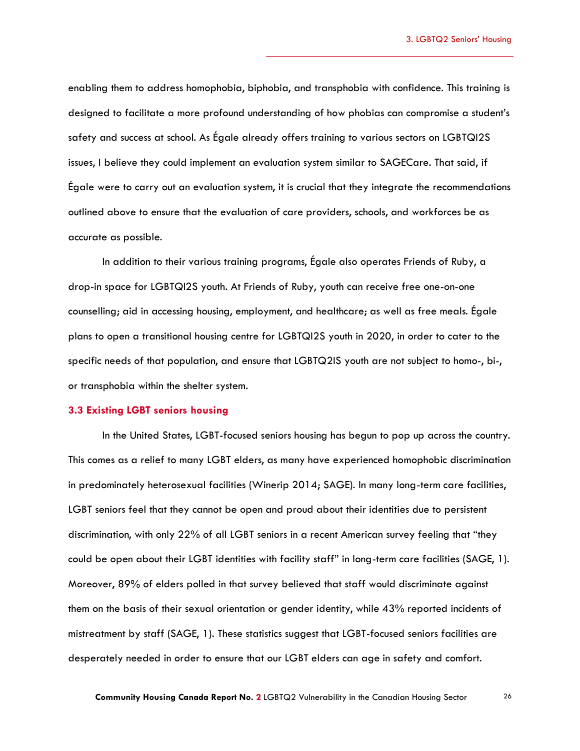enabling them to address homophobia, biphobia, and transphobia with confidence. This training is designed to facilitate a more profound understanding of how phobias can compromise a student's safety and success at school. As Égale already offers training to various sectors on LGBTQI2S issues, I believe they could implement an evaluation system similar to SAGECare. That said, if Égale were to carry out an evaluation system, it is crucial that they integrate the recommendations outlined above to ensure that the evaluation of care providers, schools, and workforces be as accurate as possible.

In addition to their various training programs, Égale also operates Friends of Ruby, a drop-in space for LGBTQI2S youth. At Friends of Ruby, youth can receive free one-on-one counselling; aid in accessing housing, employment, and healthcare; as well as free meals. Égale plans to open a transitional housing centre for LGBTQI2S youth in 2020, in order to cater to the specific needs of that population, and ensure that LGBTQ2IS youth are not subject to homo-, bi-, or transphobia within the shelter system.

#### <span id="page-25-0"></span>**3.3 Existing LGBT seniors housing**

In the United States, LGBT-focused seniors housing has begun to pop up across the country. This comes as a relief to many LGBT elders, as many have experienced homophobic discrimination in predominately heterosexual facilities (Winerip 2014; SAGE). In many long-term care facilities, LGBT seniors feel that they cannot be open and proud about their identities due to persistent discrimination, with only 22% of all LGBT seniors in a recent American survey feeling that "they could be open about their LGBT identities with facility staff" in long-term care facilities (SAGE, 1). Moreover, 89% of elders polled in that survey believed that staff would discriminate against them on the basis of their sexual orientation or gender identity, while 43% reported incidents of mistreatment by staff (SAGE, 1). These statistics suggest that LGBT-focused seniors facilities are desperately needed in order to ensure that our LGBT elders can age in safety and comfort.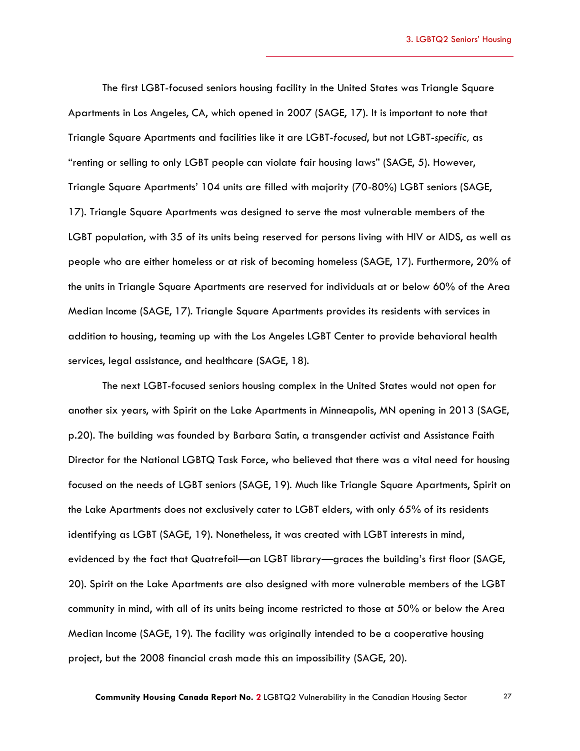3. LGBTQ2 Seniors' Housing

The first LGBT-focused seniors housing facility in the United States was Triangle Square Apartments in Los Angeles, CA, which opened in 2007 (SAGE, 17). It is important to note that Triangle Square Apartments and facilities like it are LGBT-*focused*, but not LGBT-*specific,* as "renting or selling to only LGBT people can violate fair housing laws" (SAGE, 5). However, Triangle Square Apartments' 104 units are filled with majority (70-80%) LGBT seniors (SAGE, 17). Triangle Square Apartments was designed to serve the most vulnerable members of the LGBT population, with 35 of its units being reserved for persons living with HIV or AIDS, as well as people who are either homeless or at risk of becoming homeless (SAGE, 17). Furthermore, 20% of the units in Triangle Square Apartments are reserved for individuals at or below 60% of the Area Median Income (SAGE, 17). Triangle Square Apartments provides its residents with services in addition to housing, teaming up with the Los Angeles LGBT Center to provide behavioral health services, legal assistance, and healthcare (SAGE, 18).

The next LGBT-focused seniors housing complex in the United States would not open for another six years, with Spirit on the Lake Apartments in Minneapolis, MN opening in 2013 (SAGE, p.20). The building was founded by Barbara Satin, a transgender activist and Assistance Faith Director for the National LGBTQ Task Force, who believed that there was a vital need for housing focused on the needs of LGBT seniors (SAGE, 19). Much like Triangle Square Apartments, Spirit on the Lake Apartments does not exclusively cater to LGBT elders, with only 65% of its residents identifying as LGBT (SAGE, 19). Nonetheless, it was created with LGBT interests in mind, evidenced by the fact that Quatrefoil—an LGBT library—graces the building's first floor (SAGE, 20). Spirit on the Lake Apartments are also designed with more vulnerable members of the LGBT community in mind, with all of its units being income restricted to those at 50% or below the Area Median Income (SAGE, 19). The facility was originally intended to be a cooperative housing project, but the 2008 financial crash made this an impossibility (SAGE, 20).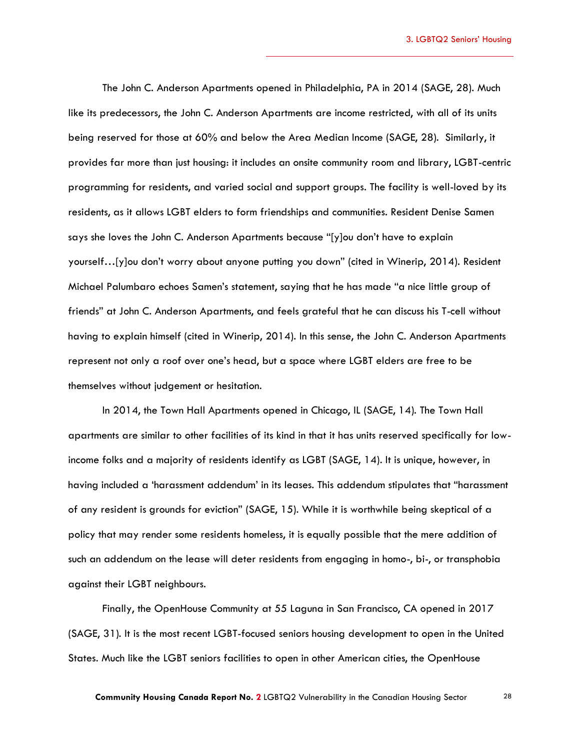The John C. Anderson Apartments opened in Philadelphia, PA in 2014 (SAGE, 28). Much like its predecessors, the John C. Anderson Apartments are income restricted, with all of its units being reserved for those at 60% and below the Area Median Income (SAGE, 28). Similarly, it provides far more than just housing: it includes an onsite community room and library, LGBT-centric programming for residents, and varied social and support groups. The facility is well-loved by its residents, as it allows LGBT elders to form friendships and communities. Resident Denise Samen says she loves the John C. Anderson Apartments because "[y]ou don't have to explain yourself…[y]ou don't worry about anyone putting you down" (cited in Winerip, 2014). Resident Michael Palumbaro echoes Samen's statement, saying that he has made "a nice little group of friends" at John C. Anderson Apartments, and feels grateful that he can discuss his T-cell without having to explain himself (cited in Winerip, 2014). In this sense, the John C. Anderson Apartments represent not only a roof over one's head, but a space where LGBT elders are free to be themselves without judgement or hesitation.

In 2014, the Town Hall Apartments opened in Chicago, IL (SAGE, 14). The Town Hall apartments are similar to other facilities of its kind in that it has units reserved specifically for lowincome folks and a majority of residents identify as LGBT (SAGE, 14). It is unique, however, in having included a 'harassment addendum' in its leases. This addendum stipulates that "harassment of any resident is grounds for eviction" (SAGE, 15). While it is worthwhile being skeptical of a policy that may render some residents homeless, it is equally possible that the mere addition of such an addendum on the lease will deter residents from engaging in homo-, bi-, or transphobia against their LGBT neighbours.

Finally, the OpenHouse Community at 55 Laguna in San Francisco, CA opened in 2017 (SAGE, 31). It is the most recent LGBT-focused seniors housing development to open in the United States. Much like the LGBT seniors facilities to open in other American cities, the OpenHouse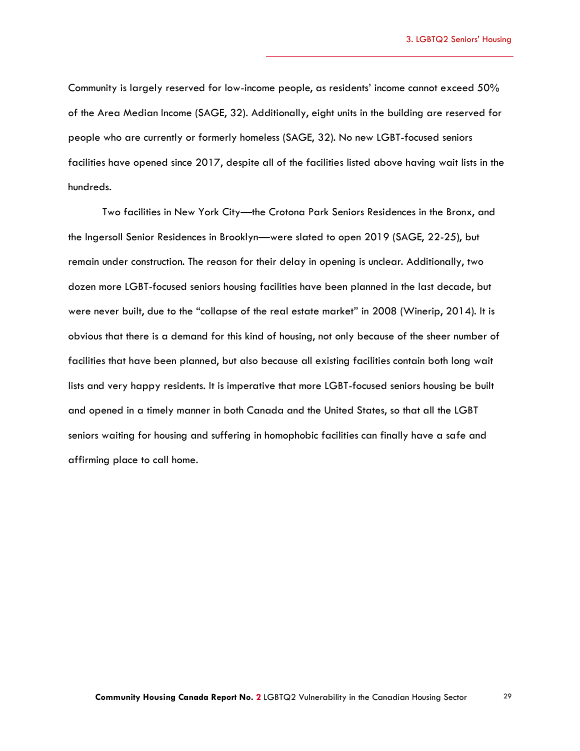Community is largely reserved for low-income people, as residents' income cannot exceed 50% of the Area Median Income (SAGE, 32). Additionally, eight units in the building are reserved for people who are currently or formerly homeless (SAGE, 32). No new LGBT-focused seniors facilities have opened since 2017, despite all of the facilities listed above having wait lists in the hundreds.

Two facilities in New York City—the Crotona Park Seniors Residences in the Bronx, and the Ingersoll Senior Residences in Brooklyn—were slated to open 2019 (SAGE, 22-25), but remain under construction. The reason for their delay in opening is unclear. Additionally, two dozen more LGBT-focused seniors housing facilities have been planned in the last decade, but were never built, due to the "collapse of the real estate market" in 2008 (Winerip, 2014). It is obvious that there is a demand for this kind of housing, not only because of the sheer number of facilities that have been planned, but also because all existing facilities contain both long wait lists and very happy residents. It is imperative that more LGBT-focused seniors housing be built and opened in a timely manner in both Canada and the United States, so that all the LGBT seniors waiting for housing and suffering in homophobic facilities can finally have a safe and affirming place to call home.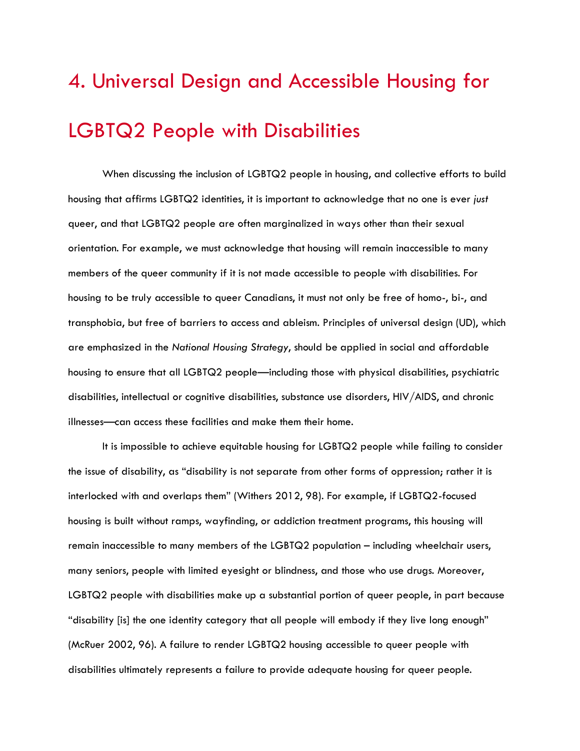# <span id="page-29-0"></span>4. Universal Design and Accessible Housing for LGBTQ2 People with Disabilities

When discussing the inclusion of LGBTQ2 people in housing, and collective efforts to build housing that affirms LGBTQ2 identities, it is important to acknowledge that no one is ever *just*  queer, and that LGBTQ2 people are often marginalized in ways other than their sexual orientation. For example, we must acknowledge that housing will remain inaccessible to many members of the queer community if it is not made accessible to people with disabilities. For housing to be truly accessible to queer Canadians, it must not only be free of homo-, bi-, and transphobia, but free of barriers to access and ableism. Principles of universal design (UD), which are emphasized in the *National Housing Strategy*, should be applied in social and affordable housing to ensure that all LGBTQ2 people—including those with physical disabilities, psychiatric disabilities, intellectual or cognitive disabilities, substance use disorders, HIV/AIDS, and chronic illnesses—can access these facilities and make them their home.

It is impossible to achieve equitable housing for LGBTQ2 people while failing to consider the issue of disability, as "disability is not separate from other forms of oppression; rather it is interlocked with and overlaps them" (Withers 2012, 98). For example, if LGBTQ2-focused housing is built without ramps, wayfinding, or addiction treatment programs, this housing will remain inaccessible to many members of the LGBTQ2 population – including wheelchair users, many seniors, people with limited eyesight or blindness, and those who use drugs. Moreover, LGBTQ2 people with disabilities make up a substantial portion of queer people, in part because "disability [is] the one identity category that all people will embody if they live long enough" (McRuer 2002, 96). A failure to render LGBTQ2 housing accessible to queer people with disabilities ultimately represents a failure to provide adequate housing for queer people.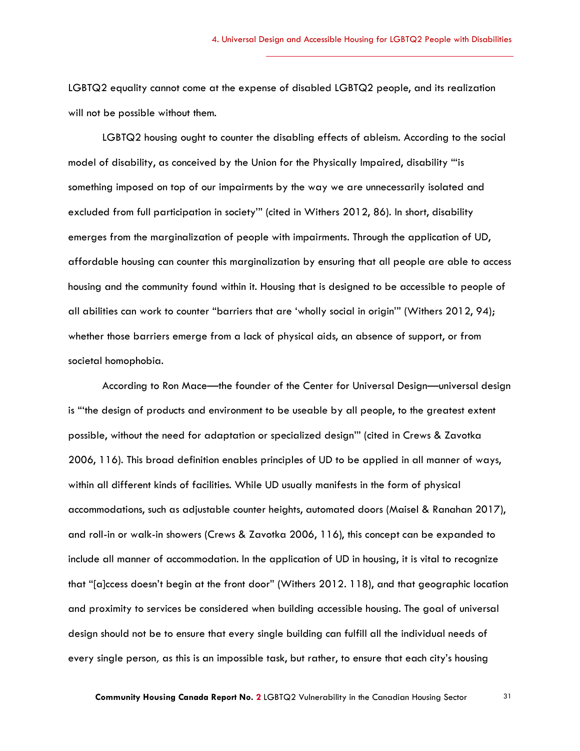LGBTQ2 equality cannot come at the expense of disabled LGBTQ2 people, and its realization will not be possible without them.

LGBTQ2 housing ought to counter the disabling effects of ableism. According to the social model of disability, as conceived by the Union for the Physically Impaired, disability "'is something imposed on top of our impairments by the way we are unnecessarily isolated and excluded from full participation in society'" (cited in Withers 2012, 86). In short, disability emerges from the marginalization of people with impairments. Through the application of UD, affordable housing can counter this marginalization by ensuring that all people are able to access housing and the community found within it. Housing that is designed to be accessible to people of all abilities can work to counter "barriers that are 'wholly social in origin'" (Withers 2012, 94); whether those barriers emerge from a lack of physical aids, an absence of support, or from societal homophobia.

According to Ron Mace—the founder of the Center for Universal Design—universal design is "'the design of products and environment to be useable by all people, to the greatest extent possible, without the need for adaptation or specialized design'" (cited in Crews & Zavotka 2006, 116). This broad definition enables principles of UD to be applied in all manner of ways, within all different kinds of facilities. While UD usually manifests in the form of physical accommodations, such as adjustable counter heights, automated doors (Maisel & Ranahan 2017), and roll-in or walk-in showers (Crews & Zavotka 2006, 116), this concept can be expanded to include all manner of accommodation. In the application of UD in housing, it is vital to recognize that "[a]ccess doesn't begin at the front door" (Withers 2012. 118), and that geographic location and proximity to services be considered when building accessible housing. The goal of universal design should not be to ensure that every single building can fulfill all the individual needs of every single person*,* as this is an impossible task, but rather, to ensure that each city's housing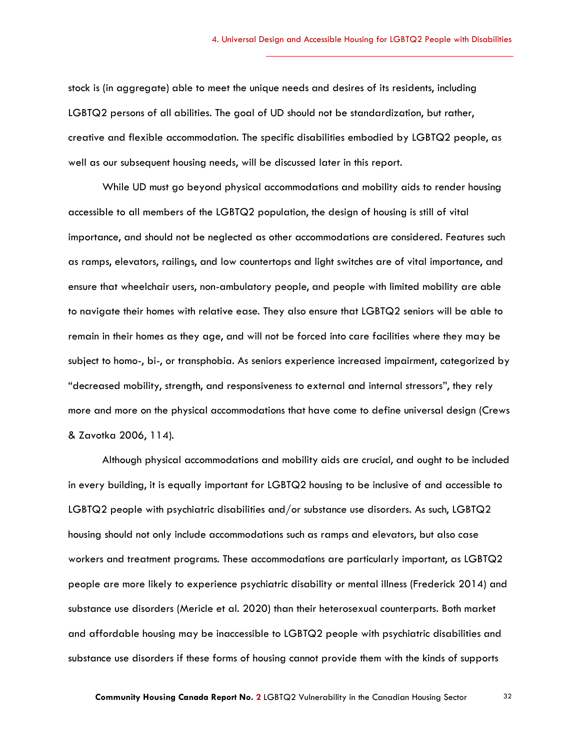stock is (in aggregate) able to meet the unique needs and desires of its residents, including LGBTQ2 persons of all abilities. The goal of UD should not be standardization, but rather, creative and flexible accommodation. The specific disabilities embodied by LGBTQ2 people, as well as our subsequent housing needs, will be discussed later in this report.

While UD must go beyond physical accommodations and mobility aids to render housing accessible to all members of the LGBTQ2 population, the design of housing is still of vital importance, and should not be neglected as other accommodations are considered. Features such as ramps, elevators, railings, and low countertops and light switches are of vital importance, and ensure that wheelchair users, non-ambulatory people, and people with limited mobility are able to navigate their homes with relative ease. They also ensure that LGBTQ2 seniors will be able to remain in their homes as they age, and will not be forced into care facilities where they may be subject to homo-, bi-, or transphobia. As seniors experience increased impairment, categorized by "decreased mobility, strength, and responsiveness to external and internal stressors", they rely more and more on the physical accommodations that have come to define universal design (Crews & Zavotka 2006, 114).

Although physical accommodations and mobility aids are crucial, and ought to be included in every building, it is equally important for LGBTQ2 housing to be inclusive of and accessible to LGBTQ2 people with psychiatric disabilities and/or substance use disorders. As such, LGBTQ2 housing should not only include accommodations such as ramps and elevators, but also case workers and treatment programs. These accommodations are particularly important, as LGBTQ2 people are more likely to experience psychiatric disability or mental illness (Frederick 2014) and substance use disorders (Mericle et al. 2020) than their heterosexual counterparts. Both market and affordable housing may be inaccessible to LGBTQ2 people with psychiatric disabilities and substance use disorders if these forms of housing cannot provide them with the kinds of supports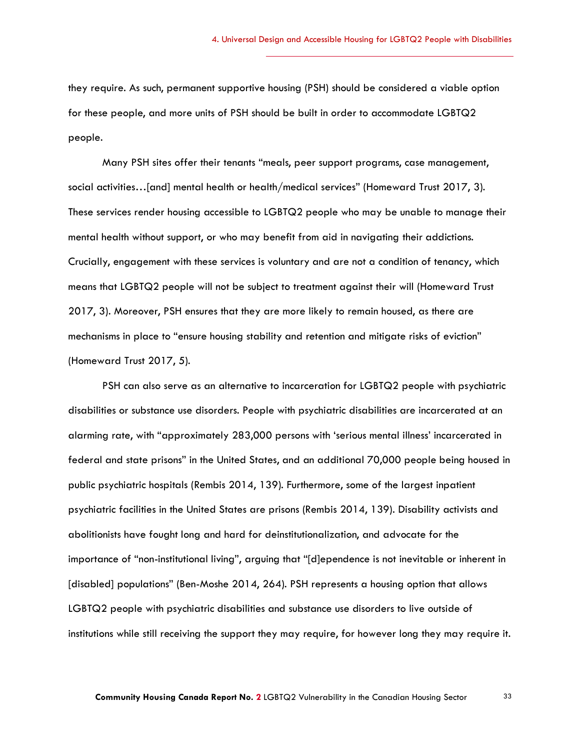they require. As such, permanent supportive housing (PSH) should be considered a viable option for these people, and more units of PSH should be built in order to accommodate LGBTQ2 people.

Many PSH sites offer their tenants "meals, peer support programs, case management, social activities…[and] mental health or health/medical services" (Homeward Trust 2017, 3). These services render housing accessible to LGBTQ2 people who may be unable to manage their mental health without support, or who may benefit from aid in navigating their addictions. Crucially, engagement with these services is voluntary and are not a condition of tenancy, which means that LGBTQ2 people will not be subject to treatment against their will (Homeward Trust 2017, 3). Moreover, PSH ensures that they are more likely to remain housed, as there are mechanisms in place to "ensure housing stability and retention and mitigate risks of eviction" (Homeward Trust 2017, 5).

PSH can also serve as an alternative to incarceration for LGBTQ2 people with psychiatric disabilities or substance use disorders. People with psychiatric disabilities are incarcerated at an alarming rate, with "approximately 283,000 persons with 'serious mental illness' incarcerated in federal and state prisons" in the United States, and an additional 70,000 people being housed in public psychiatric hospitals (Rembis 2014, 139). Furthermore, some of the largest inpatient psychiatric facilities in the United States are prisons (Rembis 2014, 139). Disability activists and abolitionists have fought long and hard for deinstitutionalization, and advocate for the importance of "non-institutional living", arguing that "[d]ependence is not inevitable or inherent in [disabled] populations" (Ben-Moshe 2014, 264). PSH represents a housing option that allows LGBTQ2 people with psychiatric disabilities and substance use disorders to live outside of institutions while still receiving the support they may require, for however long they may require it.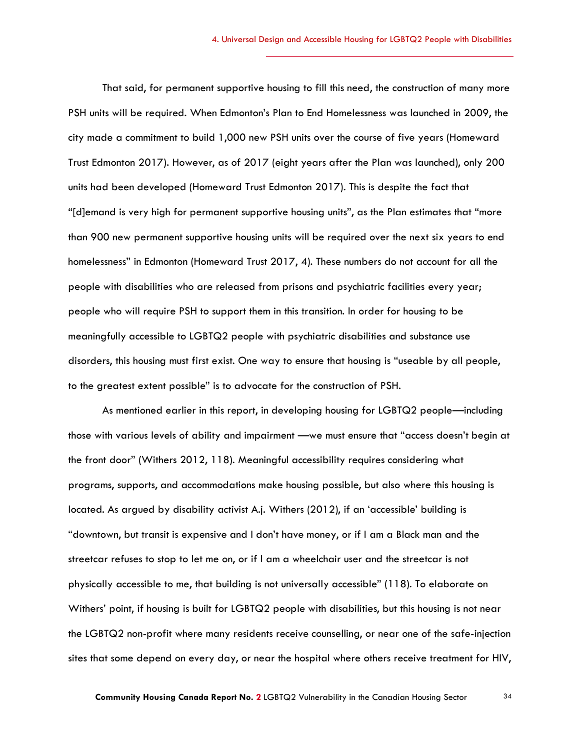That said, for permanent supportive housing to fill this need, the construction of many more PSH units will be required. When Edmonton's Plan to End Homelessness was launched in 2009, the city made a commitment to build 1,000 new PSH units over the course of five years (Homeward Trust Edmonton 2017). However, as of 2017 (eight years after the Plan was launched), only 200 units had been developed (Homeward Trust Edmonton 2017). This is despite the fact that "[d]emand is very high for permanent supportive housing units", as the Plan estimates that "more than 900 new permanent supportive housing units will be required over the next six years to end homelessness" in Edmonton (Homeward Trust 2017, 4). These numbers do not account for all the people with disabilities who are released from prisons and psychiatric facilities every year; people who will require PSH to support them in this transition. In order for housing to be meaningfully accessible to LGBTQ2 people with psychiatric disabilities and substance use disorders, this housing must first exist. One way to ensure that housing is "useable by all people, to the greatest extent possible" is to advocate for the construction of PSH.

As mentioned earlier in this report, in developing housing for LGBTQ2 people—including those with various levels of ability and impairment —we must ensure that "access doesn't begin at the front door" (Withers 2012, 118). Meaningful accessibility requires considering what programs, supports, and accommodations make housing possible, but also where this housing is located. As argued by disability activist A.j. Withers (2012), if an 'accessible' building is "downtown, but transit is expensive and I don't have money, or if I am a Black man and the streetcar refuses to stop to let me on, or if I am a wheelchair user and the streetcar is not physically accessible to me, that building is not universally accessible" (118). To elaborate on Withers' point, if housing is built for LGBTQ2 people with disabilities, but this housing is not near the LGBTQ2 non-profit where many residents receive counselling, or near one of the safe-injection sites that some depend on every day, or near the hospital where others receive treatment for HIV,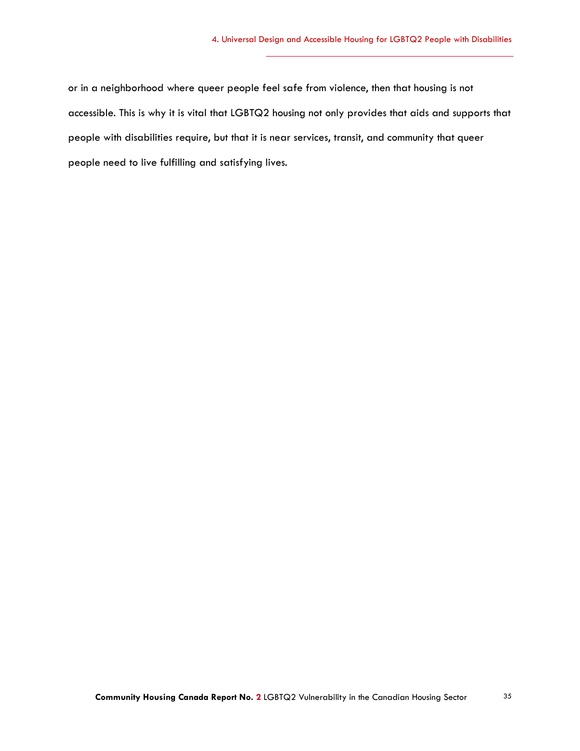or in a neighborhood where queer people feel safe from violence, then that housing is not accessible. This is why it is vital that LGBTQ2 housing not only provides that aids and supports that people with disabilities require, but that it is near services, transit, and community that queer people need to live fulfilling and satisfying lives.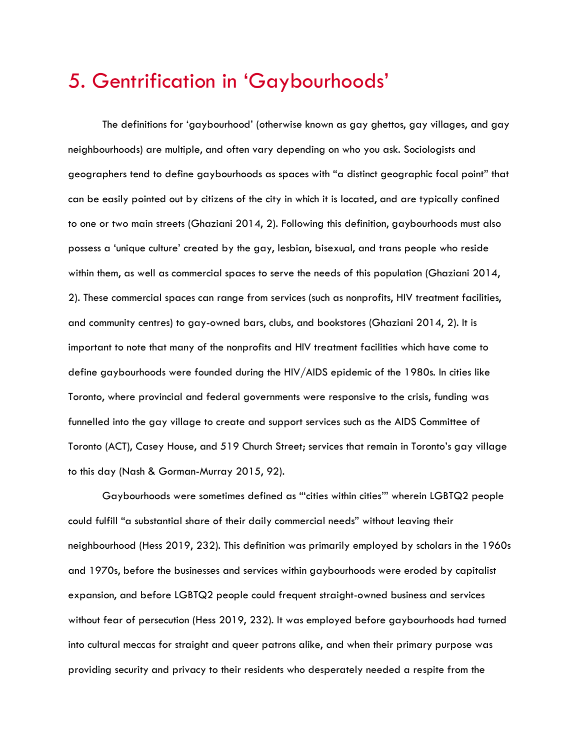# <span id="page-35-0"></span>5. Gentrification in 'Gaybourhoods'

The definitions for 'gaybourhood' (otherwise known as gay ghettos, gay villages, and gay neighbourhoods) are multiple, and often vary depending on who you ask. Sociologists and geographers tend to define gaybourhoods as spaces with "a distinct geographic focal point" that can be easily pointed out by citizens of the city in which it is located, and are typically confined to one or two main streets (Ghaziani 2014, 2). Following this definition, gaybourhoods must also possess a 'unique culture' created by the gay, lesbian, bisexual, and trans people who reside within them, as well as commercial spaces to serve the needs of this population (Ghaziani 2014, 2). These commercial spaces can range from services (such as nonprofits, HIV treatment facilities, and community centres) to gay-owned bars, clubs, and bookstores (Ghaziani 2014, 2). It is important to note that many of the nonprofits and HIV treatment facilities which have come to define gaybourhoods were founded during the HIV/AIDS epidemic of the 1980s. In cities like Toronto, where provincial and federal governments were responsive to the crisis, funding was funnelled into the gay village to create and support services such as the AIDS Committee of Toronto (ACT), Casey House, and 519 Church Street; services that remain in Toronto's gay village to this day (Nash & Gorman-Murray 2015, 92).

Gaybourhoods were sometimes defined as "'cities within cities'" wherein LGBTQ2 people could fulfill "a substantial share of their daily commercial needs" without leaving their neighbourhood (Hess 2019, 232). This definition was primarily employed by scholars in the 1960s and 1970s, before the businesses and services within gaybourhoods were eroded by capitalist expansion, and before LGBTQ2 people could frequent straight-owned business and services without fear of persecution (Hess 2019, 232). It was employed before gaybourhoods had turned into cultural meccas for straight and queer patrons alike, and when their primary purpose was providing security and privacy to their residents who desperately needed a respite from the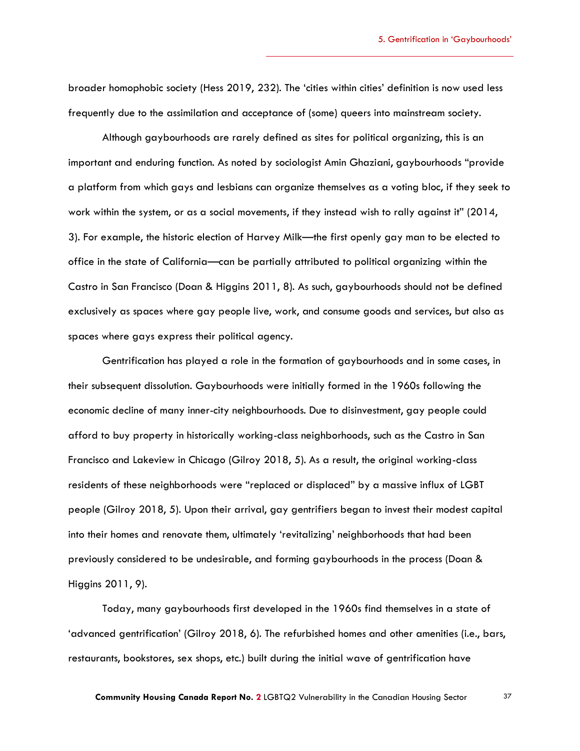broader homophobic society (Hess 2019, 232). The 'cities within cities' definition is now used less frequently due to the assimilation and acceptance of (some) queers into mainstream society.

Although gaybourhoods are rarely defined as sites for political organizing, this is an important and enduring function. As noted by sociologist Amin Ghaziani, gaybourhoods "provide a platform from which gays and lesbians can organize themselves as a voting bloc, if they seek to work within the system, or as a social movements, if they instead wish to rally against it" (2014, 3). For example, the historic election of Harvey Milk—the first openly gay man to be elected to office in the state of California—can be partially attributed to political organizing within the Castro in San Francisco (Doan & Higgins 2011, 8). As such, gaybourhoods should not be defined exclusively as spaces where gay people live, work, and consume goods and services, but also as spaces where gays express their political agency.

Gentrification has played a role in the formation of gaybourhoods and in some cases, in their subsequent dissolution. Gaybourhoods were initially formed in the 1960s following the economic decline of many inner-city neighbourhoods. Due to disinvestment, gay people could afford to buy property in historically working-class neighborhoods, such as the Castro in San Francisco and Lakeview in Chicago (Gilroy 2018, 5). As a result, the original working-class residents of these neighborhoods were "replaced or displaced" by a massive influx of LGBT people (Gilroy 2018, 5). Upon their arrival, gay gentrifiers began to invest their modest capital into their homes and renovate them, ultimately 'revitalizing' neighborhoods that had been previously considered to be undesirable, and forming gaybourhoods in the process (Doan & Higgins 2011, 9).

Today, many gaybourhoods first developed in the 1960s find themselves in a state of 'advanced gentrification' (Gilroy 2018, 6). The refurbished homes and other amenities (i.e., bars, restaurants, bookstores, sex shops, etc.) built during the initial wave of gentrification have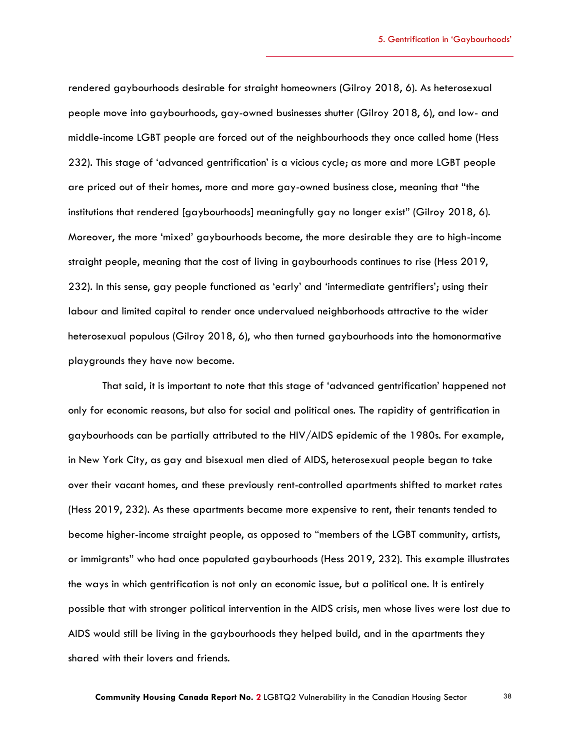rendered gaybourhoods desirable for straight homeowners (Gilroy 2018, 6). As heterosexual people move into gaybourhoods, gay-owned businesses shutter (Gilroy 2018, 6), and low- and middle-income LGBT people are forced out of the neighbourhoods they once called home (Hess 232). This stage of 'advanced gentrification' is a vicious cycle; as more and more LGBT people are priced out of their homes, more and more gay-owned business close, meaning that "the institutions that rendered [gaybourhoods] meaningfully gay no longer exist" (Gilroy 2018, 6). Moreover, the more 'mixed' gaybourhoods become, the more desirable they are to high-income straight people, meaning that the cost of living in gaybourhoods continues to rise (Hess 2019, 232). In this sense, gay people functioned as 'early' and 'intermediate gentrifiers'; using their labour and limited capital to render once undervalued neighborhoods attractive to the wider heterosexual populous (Gilroy 2018, 6), who then turned gaybourhoods into the homonormative playgrounds they have now become.

That said, it is important to note that this stage of 'advanced gentrification' happened not only for economic reasons, but also for social and political ones. The rapidity of gentrification in gaybourhoods can be partially attributed to the HIV/AIDS epidemic of the 1980s. For example, in New York City, as gay and bisexual men died of AIDS, heterosexual people began to take over their vacant homes, and these previously rent-controlled apartments shifted to market rates (Hess 2019, 232). As these apartments became more expensive to rent, their tenants tended to become higher-income straight people, as opposed to "members of the LGBT community, artists, or immigrants" who had once populated gaybourhoods (Hess 2019, 232). This example illustrates the ways in which gentrification is not only an economic issue, but a political one. It is entirely possible that with stronger political intervention in the AIDS crisis, men whose lives were lost due to AIDS would still be living in the gaybourhoods they helped build, and in the apartments they shared with their lovers and friends.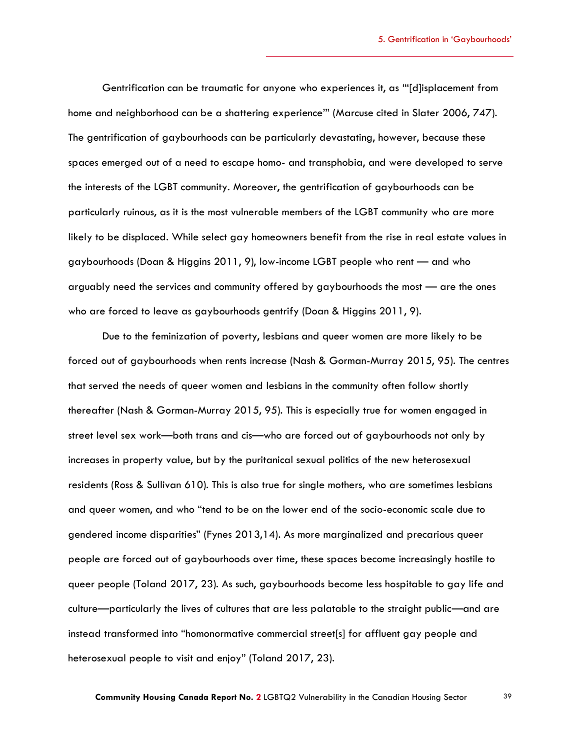Gentrification can be traumatic for anyone who experiences it, as "'[d]isplacement from home and neighborhood can be a shattering experience'" (Marcuse cited in Slater 2006, 747). The gentrification of gaybourhoods can be particularly devastating, however, because these spaces emerged out of a need to escape homo- and transphobia, and were developed to serve the interests of the LGBT community. Moreover, the gentrification of gaybourhoods can be particularly ruinous, as it is the most vulnerable members of the LGBT community who are more likely to be displaced. While select gay homeowners benefit from the rise in real estate values in gaybourhoods (Doan & Higgins 2011, 9), low-income LGBT people who rent — and who arguably need the services and community offered by gaybourhoods the most — are the ones who are forced to leave as gaybourhoods gentrify (Doan & Higgins 2011, 9).

Due to the feminization of poverty, lesbians and queer women are more likely to be forced out of gaybourhoods when rents increase (Nash & Gorman-Murray 2015, 95). The centres that served the needs of queer women and lesbians in the community often follow shortly thereafter (Nash & Gorman-Murray 2015, 95). This is especially true for women engaged in street level sex work—both trans and cis—who are forced out of gaybourhoods not only by increases in property value, but by the puritanical sexual politics of the new heterosexual residents (Ross & Sullivan 610). This is also true for single mothers, who are sometimes lesbians and queer women, and who "tend to be on the lower end of the socio-economic scale due to gendered income disparities" (Fynes 2013,14). As more marginalized and precarious queer people are forced out of gaybourhoods over time, these spaces become increasingly hostile to queer people (Toland 2017, 23). As such, gaybourhoods become less hospitable to gay life and culture—particularly the lives of cultures that are less palatable to the straight public—and are instead transformed into "homonormative commercial street[s] for affluent gay people and heterosexual people to visit and enjoy" (Toland 2017, 23).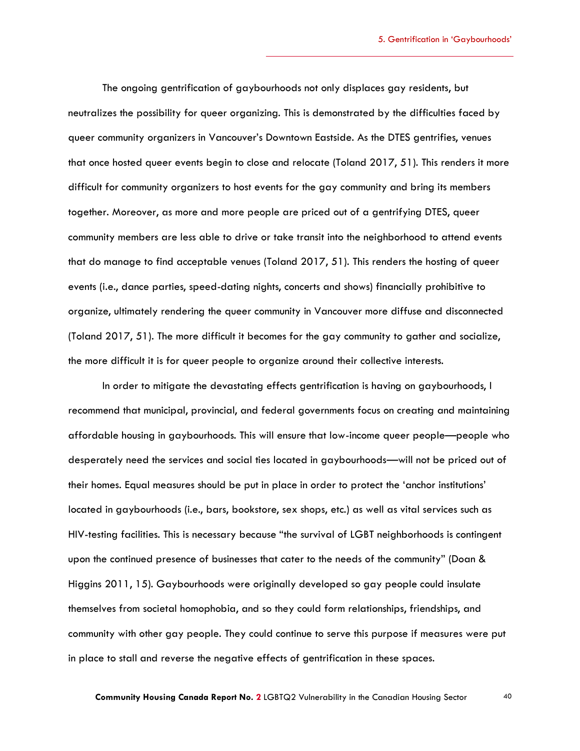The ongoing gentrification of gaybourhoods not only displaces gay residents, but neutralizes the possibility for queer organizing. This is demonstrated by the difficulties faced by queer community organizers in Vancouver's Downtown Eastside. As the DTES gentrifies, venues that once hosted queer events begin to close and relocate (Toland 2017, 51). This renders it more difficult for community organizers to host events for the gay community and bring its members together. Moreover, as more and more people are priced out of a gentrifying DTES, queer community members are less able to drive or take transit into the neighborhood to attend events that do manage to find acceptable venues (Toland 2017, 51). This renders the hosting of queer events (i.e., dance parties, speed-dating nights, concerts and shows) financially prohibitive to organize, ultimately rendering the queer community in Vancouver more diffuse and disconnected (Toland 2017, 51). The more difficult it becomes for the gay community to gather and socialize, the more difficult it is for queer people to organize around their collective interests.

In order to mitigate the devastating effects gentrification is having on gaybourhoods, I recommend that municipal, provincial, and federal governments focus on creating and maintaining affordable housing in gaybourhoods. This will ensure that low-income queer people—people who desperately need the services and social ties located in gaybourhoods—will not be priced out of their homes. Equal measures should be put in place in order to protect the 'anchor institutions' located in gaybourhoods (i.e., bars, bookstore, sex shops, etc.) as well as vital services such as HIV-testing facilities. This is necessary because "the survival of LGBT neighborhoods is contingent upon the continued presence of businesses that cater to the needs of the community" (Doan & Higgins 2011, 15). Gaybourhoods were originally developed so gay people could insulate themselves from societal homophobia, and so they could form relationships, friendships, and community with other gay people. They could continue to serve this purpose if measures were put in place to stall and reverse the negative effects of gentrification in these spaces.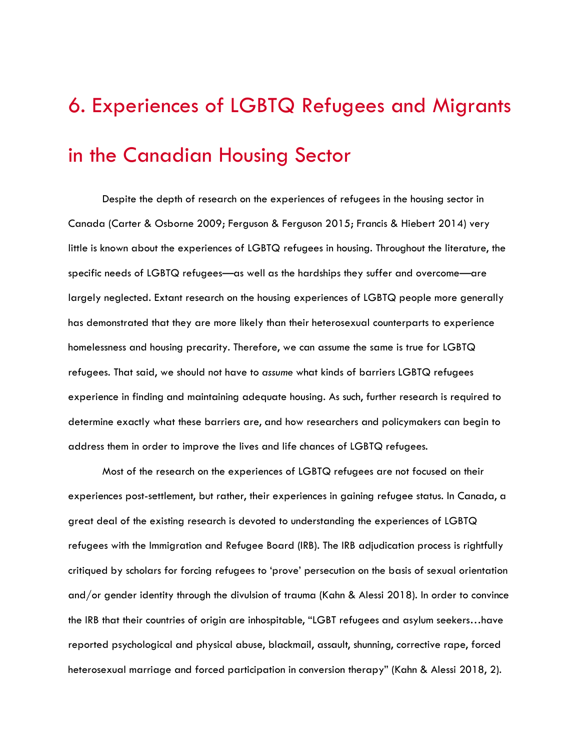# 6. Experiences of LGBTQ Refugees and Migrants in the Canadian Housing Sector

Despite the depth of research on the experiences of refugees in the housing sector in Canada (Carter & Osborne 2009; Ferguson & Ferguson 2015; Francis & Hiebert 2014) very little is known about the experiences of LGBTQ refugees in housing. Throughout the literature, the specific needs of LGBTQ refugees—as well as the hardships they suffer and overcome—are largely neglected. Extant research on the housing experiences of LGBTQ people more generally has demonstrated that they are more likely than their heterosexual counterparts to experience homelessness and housing precarity. Therefore, we can assume the same is true for LGBTQ refugees. That said, we should not have to *assume* what kinds of barriers LGBTQ refugees experience in finding and maintaining adequate housing. As such, further research is required to determine exactly what these barriers are, and how researchers and policymakers can begin to address them in order to improve the lives and life chances of LGBTQ refugees.

Most of the research on the experiences of LGBTQ refugees are not focused on their experiences post-settlement, but rather, their experiences in gaining refugee status. In Canada, a great deal of the existing research is devoted to understanding the experiences of LGBTQ refugees with the Immigration and Refugee Board (IRB). The IRB adjudication process is rightfully critiqued by scholars for forcing refugees to 'prove' persecution on the basis of sexual orientation and/or gender identity through the divulsion of trauma (Kahn & Alessi 2018). In order to convince the IRB that their countries of origin are inhospitable, "LGBT refugees and asylum seekers…have reported psychological and physical abuse, blackmail, assault, shunning, corrective rape, forced heterosexual marriage and forced participation in conversion therapy" (Kahn & Alessi 2018, 2).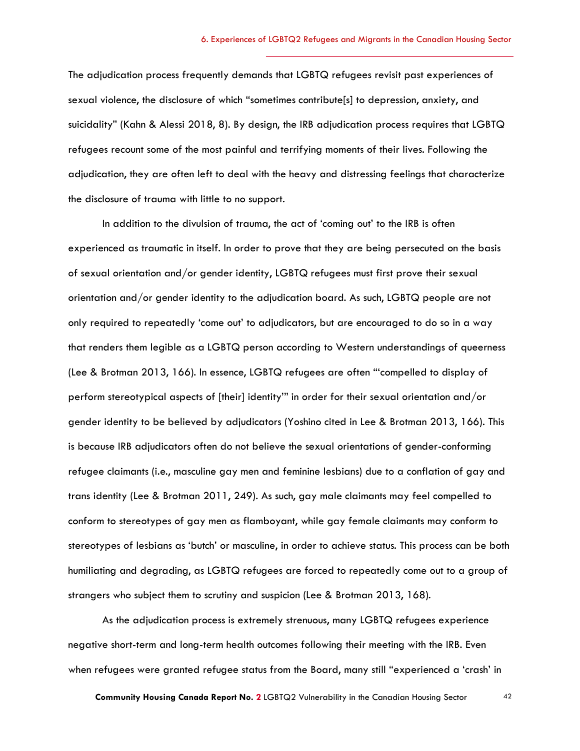The adjudication process frequently demands that LGBTQ refugees revisit past experiences of sexual violence, the disclosure of which "sometimes contribute[s] to depression, anxiety, and suicidality" (Kahn & Alessi 2018, 8). By design, the IRB adjudication process requires that LGBTQ refugees recount some of the most painful and terrifying moments of their lives. Following the adjudication, they are often left to deal with the heavy and distressing feelings that characterize the disclosure of trauma with little to no support.

In addition to the divulsion of trauma, the act of 'coming out' to the IRB is often experienced as traumatic in itself. In order to prove that they are being persecuted on the basis of sexual orientation and/or gender identity, LGBTQ refugees must first prove their sexual orientation and/or gender identity to the adjudication board. As such, LGBTQ people are not only required to repeatedly 'come out' to adjudicators, but are encouraged to do so in a way that renders them legible as a LGBTQ person according to Western understandings of queerness (Lee & Brotman 2013, 166). In essence, LGBTQ refugees are often "'compelled to display of perform stereotypical aspects of [their] identity'" in order for their sexual orientation and/or gender identity to be believed by adjudicators (Yoshino cited in Lee & Brotman 2013, 166). This is because IRB adjudicators often do not believe the sexual orientations of gender-conforming refugee claimants (i.e., masculine gay men and feminine lesbians) due to a conflation of gay and trans identity (Lee & Brotman 2011, 249). As such, gay male claimants may feel compelled to conform to stereotypes of gay men as flamboyant, while gay female claimants may conform to stereotypes of lesbians as 'butch' or masculine, in order to achieve status. This process can be both humiliating and degrading, as LGBTQ refugees are forced to repeatedly come out to a group of strangers who subject them to scrutiny and suspicion (Lee & Brotman 2013, 168).

As the adjudication process is extremely strenuous, many LGBTQ refugees experience negative short-term and long-term health outcomes following their meeting with the IRB. Even when refugees were granted refugee status from the Board, many still "experienced a 'crash' in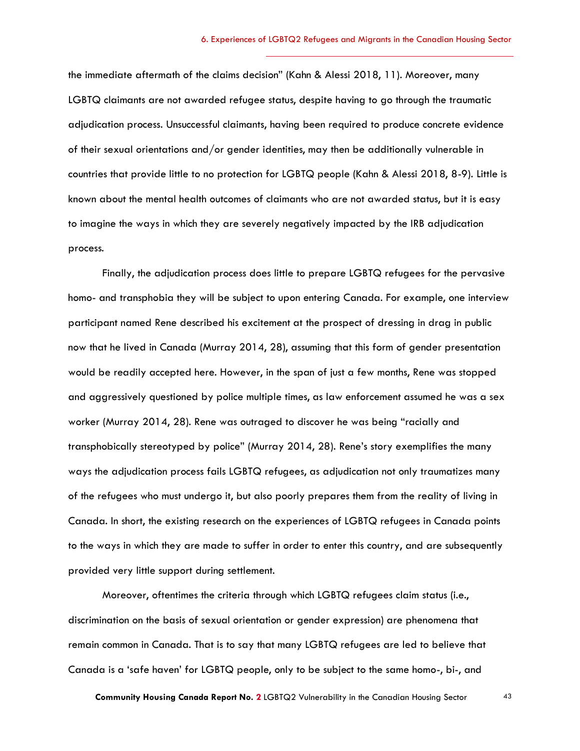the immediate aftermath of the claims decision" (Kahn & Alessi 2018, 11). Moreover, many LGBTQ claimants are not awarded refugee status, despite having to go through the traumatic adjudication process. Unsuccessful claimants, having been required to produce concrete evidence of their sexual orientations and/or gender identities, may then be additionally vulnerable in countries that provide little to no protection for LGBTQ people (Kahn & Alessi 2018, 8-9). Little is known about the mental health outcomes of claimants who are not awarded status, but it is easy to imagine the ways in which they are severely negatively impacted by the IRB adjudication process.

Finally, the adjudication process does little to prepare LGBTQ refugees for the pervasive homo- and transphobia they will be subject to upon entering Canada. For example, one interview participant named Rene described his excitement at the prospect of dressing in drag in public now that he lived in Canada (Murray 2014, 28), assuming that this form of gender presentation would be readily accepted here. However, in the span of just a few months, Rene was stopped and aggressively questioned by police multiple times, as law enforcement assumed he was a sex worker (Murray 2014, 28). Rene was outraged to discover he was being "racially and transphobically stereotyped by police" (Murray 2014, 28). Rene's story exemplifies the many ways the adjudication process fails LGBTQ refugees, as adjudication not only traumatizes many of the refugees who must undergo it, but also poorly prepares them from the reality of living in Canada. In short, the existing research on the experiences of LGBTQ refugees in Canada points to the ways in which they are made to suffer in order to enter this country, and are subsequently provided very little support during settlement.

Moreover, oftentimes the criteria through which LGBTQ refugees claim status (i.e., discrimination on the basis of sexual orientation or gender expression) are phenomena that remain common in Canada. That is to say that many LGBTQ refugees are led to believe that Canada is a 'safe haven' for LGBTQ people, only to be subject to the same homo-, bi-, and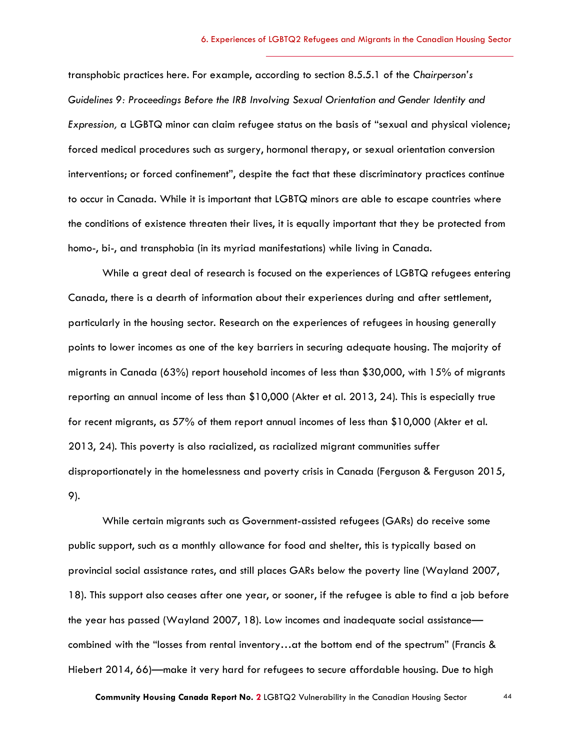transphobic practices here. For example, according to section 8.5.5.1 of the *Chairperson's Guidelines 9: Proceedings Before the IRB Involving Sexual Orientation and Gender Identity and Expression,* a LGBTQ minor can claim refugee status on the basis of "sexual and physical violence; forced medical procedures such as surgery, hormonal therapy, or sexual orientation conversion interventions; or forced confinement", despite the fact that these discriminatory practices continue to occur in Canada. While it is important that LGBTQ minors are able to escape countries where the conditions of existence threaten their lives, it is equally important that they be protected from homo-, bi-, and transphobia (in its myriad manifestations) while living in Canada.

While a great deal of research is focused on the experiences of LGBTQ refugees entering Canada, there is a dearth of information about their experiences during and after settlement, particularly in the housing sector. Research on the experiences of refugees in housing generally points to lower incomes as one of the key barriers in securing adequate housing. The majority of migrants in Canada (63%) report household incomes of less than \$30,000, with 15% of migrants reporting an annual income of less than \$10,000 (Akter et al. 2013, 24). This is especially true for recent migrants, as 57% of them report annual incomes of less than \$10,000 (Akter et al. 2013, 24). This poverty is also racialized, as racialized migrant communities suffer disproportionately in the homelessness and poverty crisis in Canada (Ferguson & Ferguson 2015, 9).

While certain migrants such as Government-assisted refugees (GARs) do receive some public support, such as a monthly allowance for food and shelter, this is typically based on provincial social assistance rates, and still places GARs below the poverty line (Wayland 2007, 18). This support also ceases after one year, or sooner, if the refugee is able to find a job before the year has passed (Wayland 2007, 18). Low incomes and inadequate social assistance combined with the "losses from rental inventory…at the bottom end of the spectrum" (Francis & Hiebert 2014, 66)—make it very hard for refugees to secure affordable housing. Due to high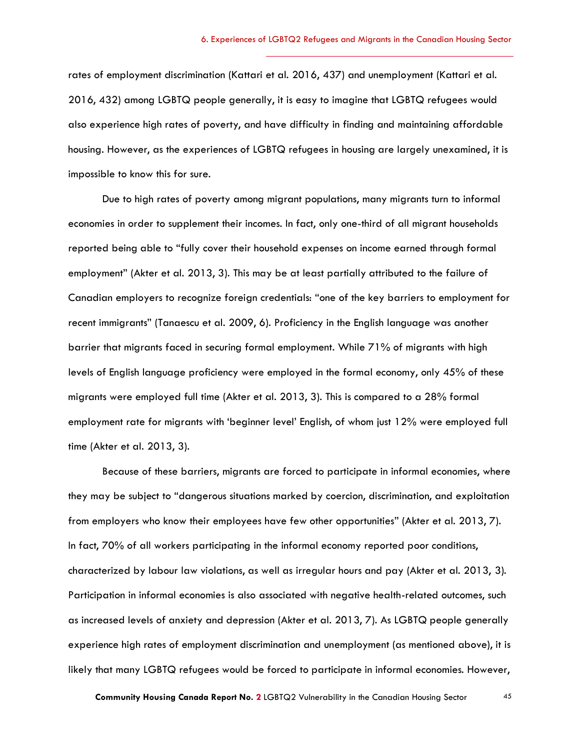rates of employment discrimination (Kattari et al. 2016, 437) and unemployment (Kattari et al. 2016, 432) among LGBTQ people generally, it is easy to imagine that LGBTQ refugees would also experience high rates of poverty, and have difficulty in finding and maintaining affordable housing. However, as the experiences of LGBTQ refugees in housing are largely unexamined, it is impossible to know this for sure.

Due to high rates of poverty among migrant populations, many migrants turn to informal economies in order to supplement their incomes. In fact, only one-third of all migrant households reported being able to "fully cover their household expenses on income earned through formal employment" (Akter et al. 2013, 3). This may be at least partially attributed to the failure of Canadian employers to recognize foreign credentials: "one of the key barriers to employment for recent immigrants" (Tanaescu et al. 2009, 6). Proficiency in the English language was another barrier that migrants faced in securing formal employment. While 71% of migrants with high levels of English language proficiency were employed in the formal economy, only 45% of these migrants were employed full time (Akter et al. 2013, 3). This is compared to a 28% formal employment rate for migrants with 'beginner level' English, of whom just 12% were employed full time (Akter et al. 2013, 3).

Because of these barriers, migrants are forced to participate in informal economies, where they may be subject to "dangerous situations marked by coercion, discrimination, and exploitation from employers who know their employees have few other opportunities" (Akter et al. 2013, 7). In fact, 70% of all workers participating in the informal economy reported poor conditions, characterized by labour law violations, as well as irregular hours and pay (Akter et al. 2013, 3). Participation in informal economies is also associated with negative health-related outcomes, such as increased levels of anxiety and depression (Akter et al. 2013, 7). As LGBTQ people generally experience high rates of employment discrimination and unemployment (as mentioned above), it is likely that many LGBTQ refugees would be forced to participate in informal economies. However,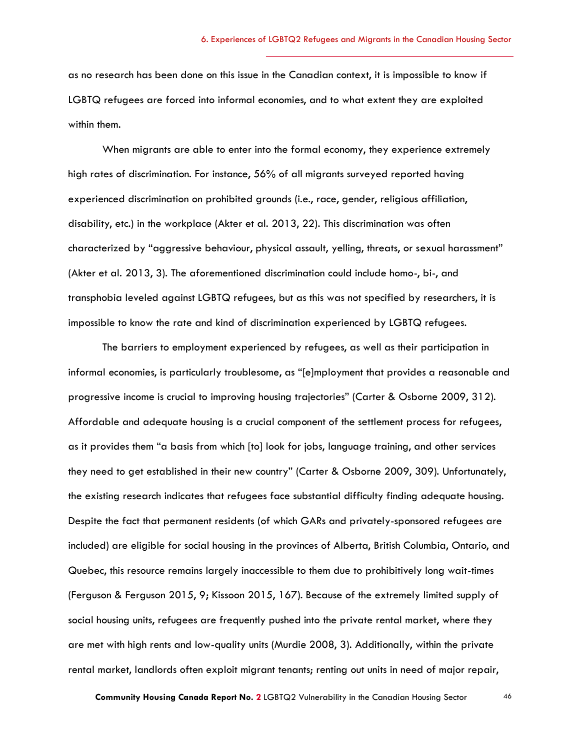as no research has been done on this issue in the Canadian context, it is impossible to know if LGBTQ refugees are forced into informal economies, and to what extent they are exploited within them.

When migrants are able to enter into the formal economy, they experience extremely high rates of discrimination. For instance, 56% of all migrants surveyed reported having experienced discrimination on prohibited grounds (i.e., race, gender, religious affiliation, disability, etc.) in the workplace (Akter et al. 2013, 22). This discrimination was often characterized by "aggressive behaviour, physical assault, yelling, threats, or sexual harassment" (Akter et al. 2013, 3). The aforementioned discrimination could include homo-, bi-, and transphobia leveled against LGBTQ refugees, but as this was not specified by researchers, it is impossible to know the rate and kind of discrimination experienced by LGBTQ refugees.

The barriers to employment experienced by refugees, as well as their participation in informal economies, is particularly troublesome, as "[e]mployment that provides a reasonable and progressive income is crucial to improving housing trajectories" (Carter & Osborne 2009, 312). Affordable and adequate housing is a crucial component of the settlement process for refugees, as it provides them "a basis from which [to] look for jobs, language training, and other services they need to get established in their new country" (Carter & Osborne 2009, 309). Unfortunately, the existing research indicates that refugees face substantial difficulty finding adequate housing. Despite the fact that permanent residents (of which GARs and privately-sponsored refugees are included) are eligible for social housing in the provinces of Alberta, British Columbia, Ontario, and Quebec, this resource remains largely inaccessible to them due to prohibitively long wait-times (Ferguson & Ferguson 2015, 9; Kissoon 2015, 167). Because of the extremely limited supply of social housing units, refugees are frequently pushed into the private rental market, where they are met with high rents and low-quality units (Murdie 2008, 3). Additionally, within the private rental market, landlords often exploit migrant tenants; renting out units in need of major repair,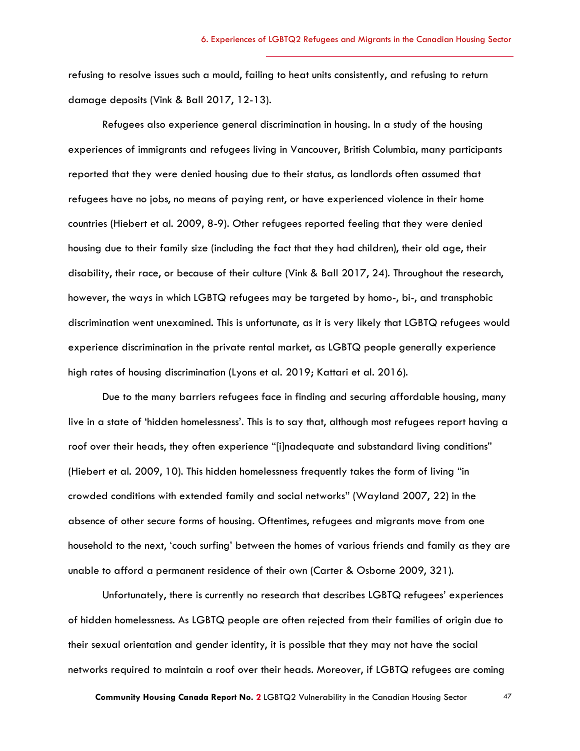refusing to resolve issues such a mould, failing to heat units consistently, and refusing to return damage deposits (Vink & Ball 2017, 12-13).

Refugees also experience general discrimination in housing. In a study of the housing experiences of immigrants and refugees living in Vancouver, British Columbia, many participants reported that they were denied housing due to their status, as landlords often assumed that refugees have no jobs, no means of paying rent, or have experienced violence in their home countries (Hiebert et al. 2009, 8-9). Other refugees reported feeling that they were denied housing due to their family size (including the fact that they had children), their old age, their disability, their race, or because of their culture (Vink & Ball 2017, 24). Throughout the research, however, the ways in which LGBTQ refugees may be targeted by homo-, bi-, and transphobic discrimination went unexamined. This is unfortunate, as it is very likely that LGBTQ refugees would experience discrimination in the private rental market, as LGBTQ people generally experience high rates of housing discrimination (Lyons et al. 2019; Kattari et al. 2016).

Due to the many barriers refugees face in finding and securing affordable housing, many live in a state of 'hidden homelessness'. This is to say that, although most refugees report having a roof over their heads, they often experience "[i]nadequate and substandard living conditions" (Hiebert et al. 2009, 10). This hidden homelessness frequently takes the form of living "in crowded conditions with extended family and social networks" (Wayland 2007, 22) in the absence of other secure forms of housing. Oftentimes, refugees and migrants move from one household to the next, 'couch surfing' between the homes of various friends and family as they are unable to afford a permanent residence of their own (Carter & Osborne 2009, 321).

Unfortunately, there is currently no research that describes LGBTQ refugees' experiences of hidden homelessness. As LGBTQ people are often rejected from their families of origin due to their sexual orientation and gender identity, it is possible that they may not have the social networks required to maintain a roof over their heads. Moreover, if LGBTQ refugees are coming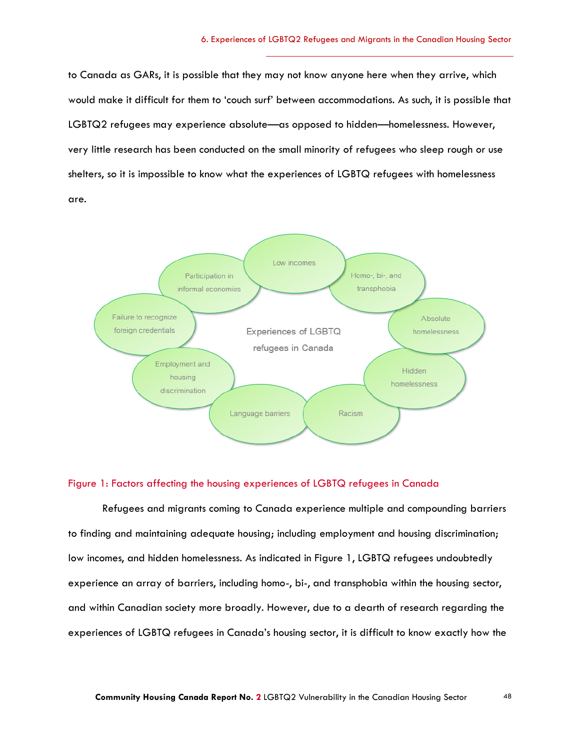to Canada as GARs, it is possible that they may not know anyone here when they arrive, which would make it difficult for them to 'couch surf' between accommodations. As such, it is possible that LGBTQ2 refugees may experience absolute—as opposed to hidden—homelessness. However, very little research has been conducted on the small minority of refugees who sleep rough or use shelters, so it is impossible to know what the experiences of LGBTQ refugees with homelessness are.



#### Figure 1: Factors affecting the housing experiences of LGBTQ refugees in Canada

Refugees and migrants coming to Canada experience multiple and compounding barriers to finding and maintaining adequate housing; including employment and housing discrimination; low incomes, and hidden homelessness. As indicated in Figure 1, LGBTQ refugees undoubtedly experience an array of barriers, including homo-, bi-, and transphobia within the housing sector, and within Canadian society more broadly. However, due to a dearth of research regarding the experiences of LGBTQ refugees in Canada's housing sector, it is difficult to know exactly how the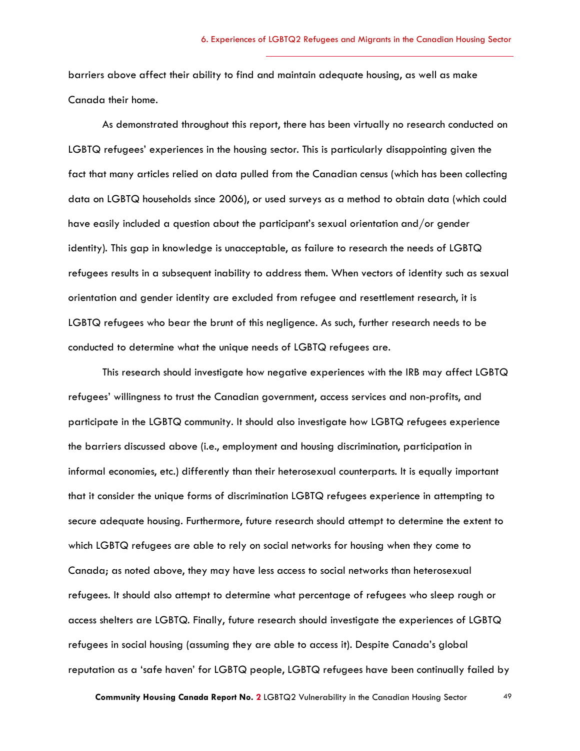barriers above affect their ability to find and maintain adequate housing, as well as make Canada their home.

As demonstrated throughout this report, there has been virtually no research conducted on LGBTQ refugees' experiences in the housing sector. This is particularly disappointing given the fact that many articles relied on data pulled from the Canadian census (which has been collecting data on LGBTQ households since 2006), or used surveys as a method to obtain data (which could have easily included a question about the participant's sexual orientation and/or gender identity). This gap in knowledge is unacceptable, as failure to research the needs of LGBTQ refugees results in a subsequent inability to address them. When vectors of identity such as sexual orientation and gender identity are excluded from refugee and resettlement research, it is LGBTQ refugees who bear the brunt of this negligence. As such, further research needs to be conducted to determine what the unique needs of LGBTQ refugees are.

This research should investigate how negative experiences with the IRB may affect LGBTQ refugees' willingness to trust the Canadian government, access services and non-profits, and participate in the LGBTQ community. It should also investigate how LGBTQ refugees experience the barriers discussed above (i.e., employment and housing discrimination, participation in informal economies, etc.) differently than their heterosexual counterparts. It is equally important that it consider the unique forms of discrimination LGBTQ refugees experience in attempting to secure adequate housing. Furthermore, future research should attempt to determine the extent to which LGBTQ refugees are able to rely on social networks for housing when they come to Canada; as noted above, they may have less access to social networks than heterosexual refugees. It should also attempt to determine what percentage of refugees who sleep rough or access shelters are LGBTQ. Finally, future research should investigate the experiences of LGBTQ refugees in social housing (assuming they are able to access it). Despite Canada's global reputation as a 'safe haven' for LGBTQ people, LGBTQ refugees have been continually failed by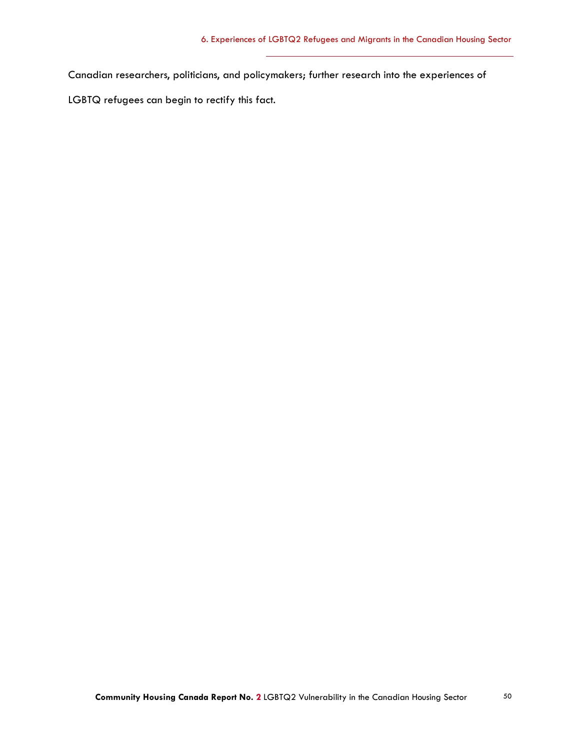Canadian researchers, politicians, and policymakers; further research into the experiences of

LGBTQ refugees can begin to rectify this fact.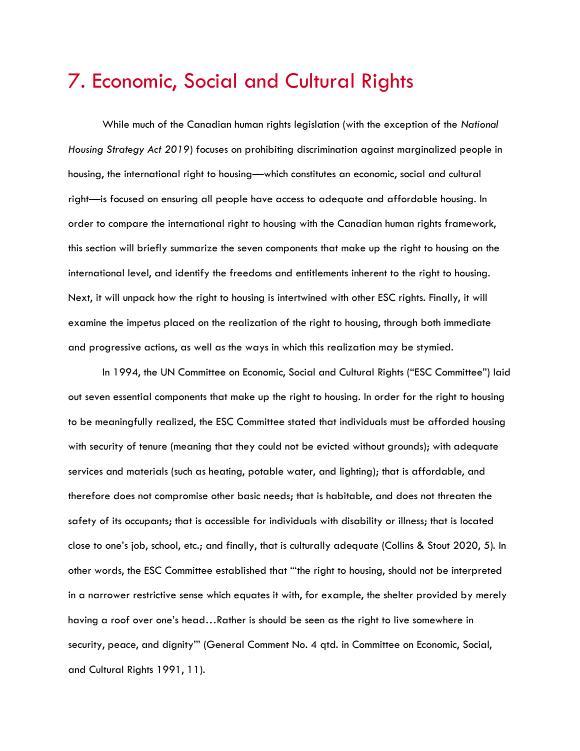### 7. Economic, Social and Cultural Rights

While much of the Canadian human rights legislation (with the exception of the *National Housing Strategy Act 2019*) focuses on prohibiting discrimination against marginalized people in housing, the international right to housing—which constitutes an economic, social and cultural right—is focused on ensuring all people have access to adequate and affordable housing. In order to compare the international right to housing with the Canadian human rights framework, this section will briefly summarize the seven components that make up the right to housing on the international level, and identify the freedoms and entitlements inherent to the right to housing. Next, it will unpack how the right to housing is intertwined with other ESC rights. Finally, it will examine the impetus placed on the realization of the right to housing, through both immediate and progressive actions, as well as the ways in which this realization may be stymied.

In 1994, the UN Committee on Economic, Social and Cultural Rights ("ESC Committee") laid out seven essential components that make up the right to housing. In order for the right to housing to be meaningfully realized, the ESC Committee stated that individuals must be afforded housing with security of tenure (meaning that they could not be evicted without grounds); with adequate services and materials (such as heating, potable water, and lighting); that is affordable, and therefore does not compromise other basic needs; that is habitable, and does not threaten the safety of its occupants; that is accessible for individuals with disability or illness; that is located close to one's job, school, etc.; and finally, that is culturally adequate (Collins & Stout 2020, 5). In other words, the ESC Committee established that "'the right to housing, should not be interpreted in a narrower restrictive sense which equates it with, for example, the shelter provided by merely having a roof over one's head…Rather is should be seen as the right to live somewhere in security, peace, and dignity'" (General Comment No. 4 qtd. in Committee on Economic, Social, and Cultural Rights 1991, 11).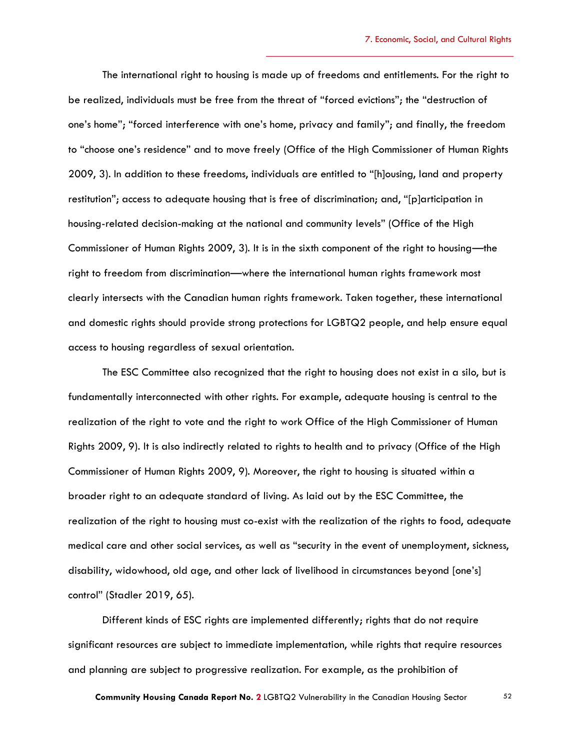The international right to housing is made up of freedoms and entitlements. For the right to be realized, individuals must be free from the threat of "forced evictions"; the "destruction of one's home"; "forced interference with one's home, privacy and family"; and finally, the freedom to "choose one's residence" and to move freely (Office of the High Commissioner of Human Rights 2009, 3). In addition to these freedoms, individuals are entitled to "[h]ousing, land and property restitution"; access to adequate housing that is free of discrimination; and, "[p]articipation in housing-related decision-making at the national and community levels" (Office of the High Commissioner of Human Rights 2009, 3). It is in the sixth component of the right to housing—the right to freedom from discrimination—where the international human rights framework most clearly intersects with the Canadian human rights framework. Taken together, these international and domestic rights should provide strong protections for LGBTQ2 people, and help ensure equal access to housing regardless of sexual orientation.

The ESC Committee also recognized that the right to housing does not exist in a silo, but is fundamentally interconnected with other rights. For example, adequate housing is central to the realization of the right to vote and the right to work Office of the High Commissioner of Human Rights 2009, 9). It is also indirectly related to rights to health and to privacy (Office of the High Commissioner of Human Rights 2009, 9). Moreover, the right to housing is situated within a broader right to an adequate standard of living. As laid out by the ESC Committee, the realization of the right to housing must co-exist with the realization of the rights to food, adequate medical care and other social services, as well as "security in the event of unemployment, sickness, disability, widowhood, old age, and other lack of livelihood in circumstances beyond [one's] control" (Stadler 2019, 65).

Different kinds of ESC rights are implemented differently; rights that do not require significant resources are subject to immediate implementation, while rights that require resources and planning are subject to progressive realization. For example, as the prohibition of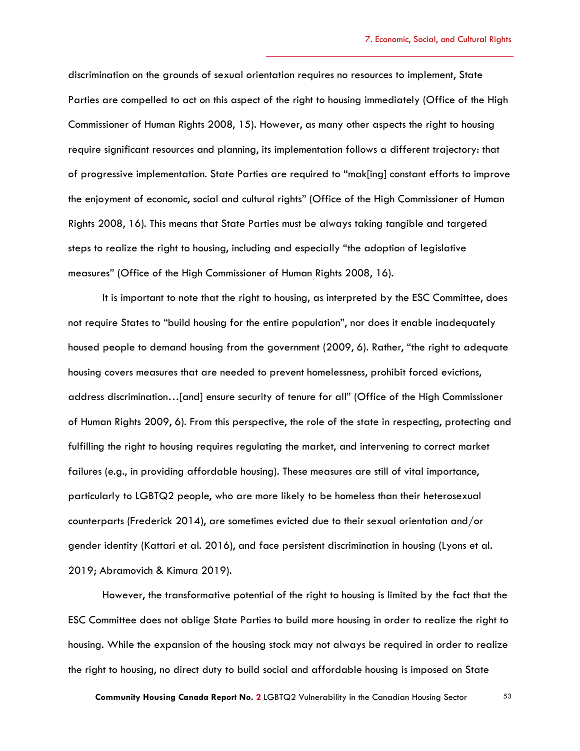discrimination on the grounds of sexual orientation requires no resources to implement, State Parties are compelled to act on this aspect of the right to housing immediately (Office of the High Commissioner of Human Rights 2008, 15). However, as many other aspects the right to housing require significant resources and planning, its implementation follows a different trajectory: that of progressive implementation. State Parties are required to "mak[ing] constant efforts to improve the enjoyment of economic, social and cultural rights" (Office of the High Commissioner of Human Rights 2008, 16). This means that State Parties must be always taking tangible and targeted steps to realize the right to housing, including and especially "the adoption of legislative measures" (Office of the High Commissioner of Human Rights 2008, 16).

It is important to note that the right to housing, as interpreted by the ESC Committee, does not require States to "build housing for the entire population", nor does it enable inadequately housed people to demand housing from the government (2009, 6). Rather, "the right to adequate housing covers measures that are needed to prevent homelessness, prohibit forced evictions, address discrimination…[and] ensure security of tenure for all" (Office of the High Commissioner of Human Rights 2009, 6). From this perspective, the role of the state in respecting, protecting and fulfilling the right to housing requires regulating the market, and intervening to correct market failures (e.g., in providing affordable housing). These measures are still of vital importance, particularly to LGBTQ2 people, who are more likely to be homeless than their heterosexual counterparts (Frederick 2014), are sometimes evicted due to their sexual orientation and/or gender identity (Kattari et al. 2016), and face persistent discrimination in housing (Lyons et al. 2019; Abramovich & Kimura 2019).

However, the transformative potential of the right to housing is limited by the fact that the ESC Committee does not oblige State Parties to build more housing in order to realize the right to housing. While the expansion of the housing stock may not always be required in order to realize the right to housing, no direct duty to build social and affordable housing is imposed on State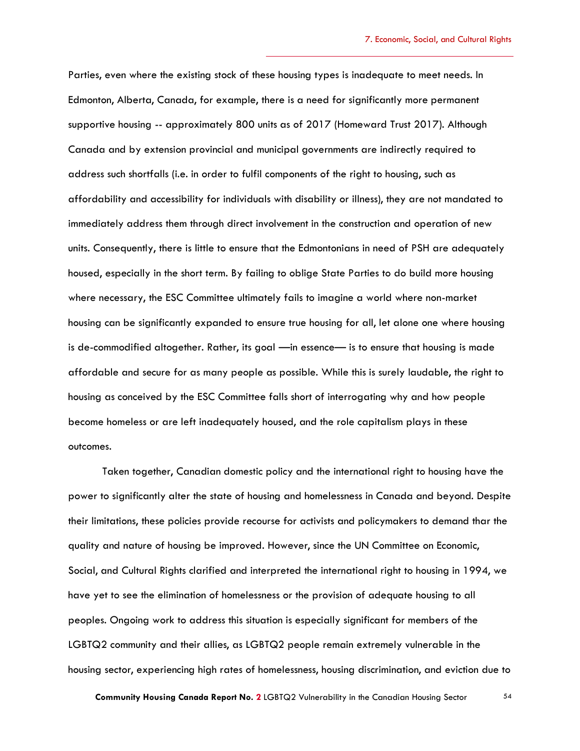Parties, even where the existing stock of these housing types is inadequate to meet needs. In Edmonton, Alberta, Canada, for example, there is a need for significantly more permanent supportive housing -- approximately 800 units as of 2017 (Homeward Trust 2017). Although Canada and by extension provincial and municipal governments are indirectly required to address such shortfalls (i.e. in order to fulfil components of the right to housing, such as affordability and accessibility for individuals with disability or illness), they are not mandated to immediately address them through direct involvement in the construction and operation of new units. Consequently, there is little to ensure that the Edmontonians in need of PSH are adequately housed, especially in the short term. By failing to oblige State Parties to do build more housing where necessary, the ESC Committee ultimately fails to imagine a world where non-market housing can be significantly expanded to ensure true housing for all, let alone one where housing is de-commodified altogether. Rather, its goal —in essence— is to ensure that housing is made affordable and secure for as many people as possible. While this is surely laudable, the right to housing as conceived by the ESC Committee falls short of interrogating why and how people become homeless or are left inadequately housed, and the role capitalism plays in these outcomes.

Taken together, Canadian domestic policy and the international right to housing have the power to significantly alter the state of housing and homelessness in Canada and beyond. Despite their limitations, these policies provide recourse for activists and policymakers to demand thar the quality and nature of housing be improved. However, since the UN Committee on Economic, Social, and Cultural Rights clarified and interpreted the international right to housing in 1994, we have yet to see the elimination of homelessness or the provision of adequate housing to all peoples. Ongoing work to address this situation is especially significant for members of the LGBTQ2 community and their allies, as LGBTQ2 people remain extremely vulnerable in the housing sector, experiencing high rates of homelessness, housing discrimination, and eviction due to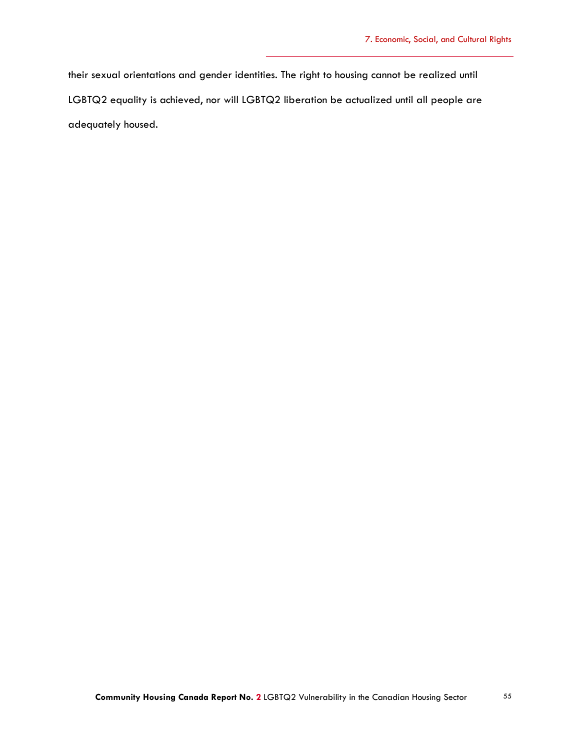their sexual orientations and gender identities. The right to housing cannot be realized until LGBTQ2 equality is achieved, nor will LGBTQ2 liberation be actualized until all people are adequately housed.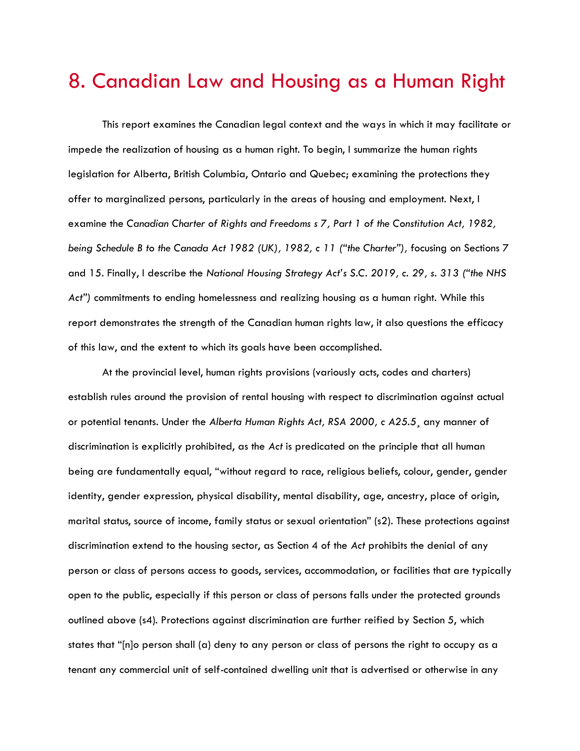### 8. Canadian Law and Housing as a Human Right

This report examines the Canadian legal context and the ways in which it may facilitate or impede the realization of housing as a human right. To begin, I summarize the human rights legislation for Alberta, British Columbia, Ontario and Quebec; examining the protections they offer to marginalized persons, particularly in the areas of housing and employment. Next, I examine the *Canadian Charter of Rights and Freedoms s 7, Part 1 of the Constitution Act, 1982, being Schedule B to the Canada Act 1982 (UK), 1982, c 11 ("the Charter"),* focusing on Sections 7 and 15. Finally, I describe the *National Housing Strategy Act's S.C. 2019, c. 29, s. 313 ("the NHS Act")* commitments to ending homelessness and realizing housing as a human right. While this report demonstrates the strength of the Canadian human rights law, it also questions the efficacy of this law, and the extent to which its goals have been accomplished.

At the provincial level, human rights provisions (variously acts, codes and charters) establish rules around the provision of rental housing with respect to discrimination against actual or potential tenants. Under the *Alberta Human Rights Act, RSA 2000, c A25.5*¸ any manner of discrimination is explicitly prohibited, as the *Act* is predicated on the principle that all human being are fundamentally equal, "without regard to race, religious beliefs, colour, gender, gender identity, gender expression, physical disability, mental disability, age, ancestry, place of origin, marital status, source of income, family status or sexual orientation" (s2). These protections against discrimination extend to the housing sector, as Section 4 of the *Act* prohibits the denial of any person or class of persons access to goods, services, accommodation, or facilities that are typically open to the public, especially if this person or class of persons falls under the protected grounds outlined above (s4). Protections against discrimination are further reified by Section 5, which states that "[n]o person shall (a) deny to any person or class of persons the right to occupy as a tenant any commercial unit of self-contained dwelling unit that is advertised or otherwise in any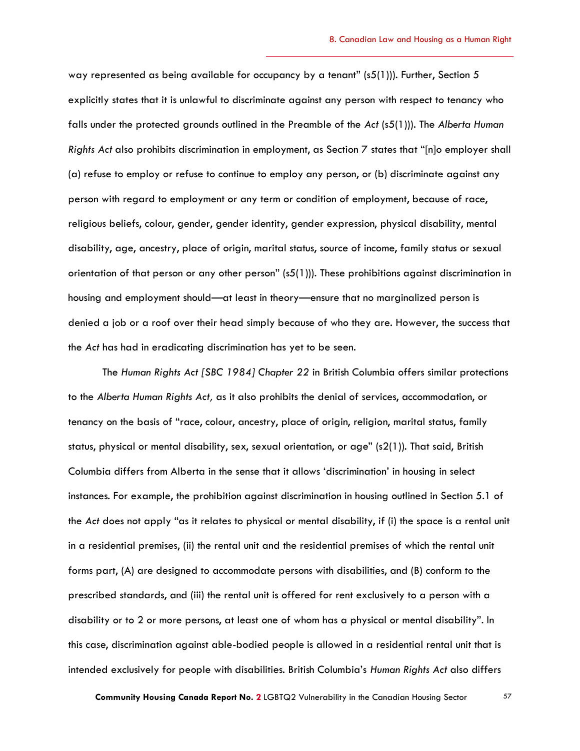way represented as being available for occupancy by a tenant" (s5(1))). Further, Section 5 explicitly states that it is unlawful to discriminate against any person with respect to tenancy who falls under the protected grounds outlined in the Preamble of the *Act* (s5(1))). The *Alberta Human Rights Act* also prohibits discrimination in employment, as Section 7 states that "[n]o employer shall (a) refuse to employ or refuse to continue to employ any person, or (b) discriminate against any person with regard to employment or any term or condition of employment, because of race, religious beliefs, colour, gender, gender identity, gender expression, physical disability, mental disability, age, ancestry, place of origin, marital status, source of income, family status or sexual orientation of that person or any other person" (s5(1))). These prohibitions against discrimination in housing and employment should—at least in theory—ensure that no marginalized person is denied a job or a roof over their head simply because of who they are. However, the success that the *Act* has had in eradicating discrimination has yet to be seen.

The *Human Rights Act [SBC 1984] Chapter 22* in British Columbia offers similar protections to the *Alberta Human Rights Act,* as it also prohibits the denial of services, accommodation, or tenancy on the basis of "race, colour, ancestry, place of origin, religion, marital status, family status, physical or mental disability, sex, sexual orientation, or age" (s2(1)). That said, British Columbia differs from Alberta in the sense that it allows 'discrimination' in housing in select instances. For example, the prohibition against discrimination in housing outlined in Section 5.1 of the *Act* does not apply "as it relates to physical or mental disability, if (i) the space is a rental unit in a residential premises, (ii) the rental unit and the residential premises of which the rental unit forms part, (A) are designed to accommodate persons with disabilities, and (B) conform to the prescribed standards, and (iii) the rental unit is offered for rent exclusively to a person with a disability or to 2 or more persons, at least one of whom has a physical or mental disability". In this case, discrimination against able-bodied people is allowed in a residential rental unit that is intended exclusively for people with disabilities. British Columbia's *Human Rights Act* also differs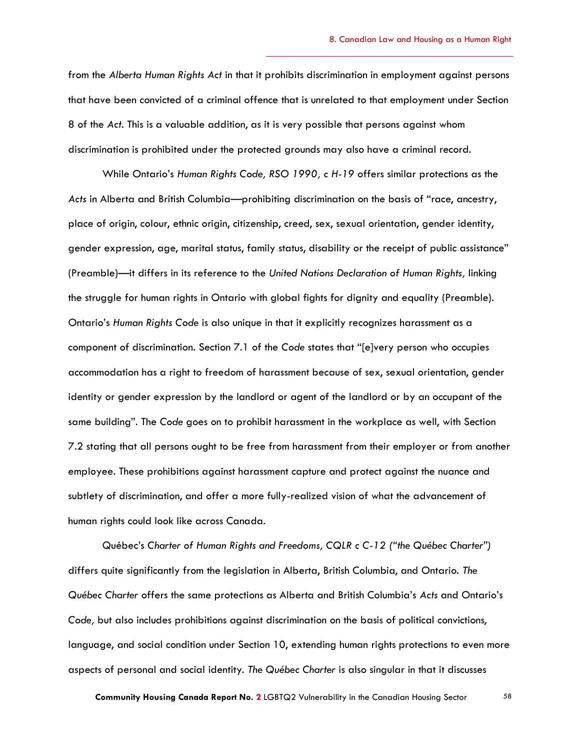from the *Alberta Human Rights Act* in that it prohibits discrimination in employment against persons that have been convicted of a criminal offence that is unrelated to that employment under Section 8 of the *Act*. This is a valuable addition, as it is very possible that persons against whom discrimination is prohibited under the protected grounds may also have a criminal record.

While Ontario's *Human Rights Code, RSO 1990, c H-19* offers similar protections as the *Acts* in Alberta and British Columbia—prohibiting discrimination on the basis of "race, ancestry, place of origin, colour, ethnic origin, citizenship, creed, sex, sexual orientation, gender identity, gender expression, age, marital status, family status, disability or the receipt of public assistance" (Preamble)—it differs in its reference to the *United Nations Declaration of Human Rights,* linking the struggle for human rights in Ontario with global fights for dignity and equality (Preamble). Ontario's *Human Rights Code* is also unique in that it explicitly recognizes harassment as a component of discrimination. Section 7.1 of the *Code* states that "[e]very person who occupies accommodation has a right to freedom of harassment because of sex, sexual orientation, gender identity or gender expression by the landlord or agent of the landlord or by an occupant of the same building". The *Code* goes on to prohibit harassment in the workplace as well, with Section 7.2 stating that all persons ought to be free from harassment from their employer or from another employee. These prohibitions against harassment capture and protect against the nuance and subtlety of discrimination, and offer a more fully-realized vision of what the advancement of human rights could look like across Canada.

Québec's *Charter of Human Rights and Freedoms, CQLR c C-12 ("the Québec Charter")*  differs quite significantly from the legislation in Alberta, British Columbia, and Ontario. *The Québec Charter* offers the same protections as Alberta and British Columbia's *Acts* and Ontario's *Code,* but also includes prohibitions against discrimination on the basis of political convictions, language, and social condition under Section 10, extending human rights protections to even more aspects of personal and social identity. *The Québec Charter* is also singular in that it discusses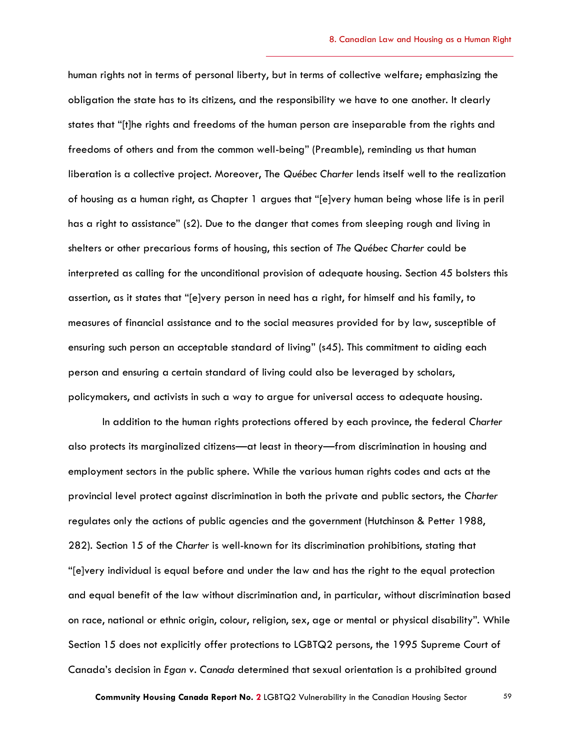human rights not in terms of personal liberty, but in terms of collective welfare; emphasizing the obligation the state has to its citizens, and the responsibility we have to one another. It clearly states that "[t]he rights and freedoms of the human person are inseparable from the rights and freedoms of others and from the common well-being" (Preamble), reminding us that human liberation is a collective project. Moreover, The *Québec Charter* lends itself well to the realization of housing as a human right, as Chapter 1 argues that "[e]very human being whose life is in peril has a right to assistance" (s2). Due to the danger that comes from sleeping rough and living in shelters or other precarious forms of housing, this section of *The Québec Charter* could be interpreted as calling for the unconditional provision of adequate housing. Section 45 bolsters this assertion, as it states that "[e]very person in need has a right, for himself and his family, to measures of financial assistance and to the social measures provided for by law, susceptible of ensuring such person an acceptable standard of living" (s45). This commitment to aiding each person and ensuring a certain standard of living could also be leveraged by scholars, policymakers, and activists in such a way to argue for universal access to adequate housing.

In addition to the human rights protections offered by each province, the federal *Charter*  also protects its marginalized citizens—at least in theory—from discrimination in housing and employment sectors in the public sphere. While the various human rights codes and acts at the provincial level protect against discrimination in both the private and public sectors, the *Charter*  regulates only the actions of public agencies and the government (Hutchinson & Petter 1988, 282). Section 15 of the *Charter* is well-known for its discrimination prohibitions, stating that "[e]very individual is equal before and under the law and has the right to the equal protection and equal benefit of the law without discrimination and, in particular, without discrimination based on race, national or ethnic origin, colour, religion, sex, age or mental or physical disability". While Section 15 does not explicitly offer protections to LGBTQ2 persons, the 1995 Supreme Court of Canada's decision in *Egan v. Canada* determined that sexual orientation is a prohibited ground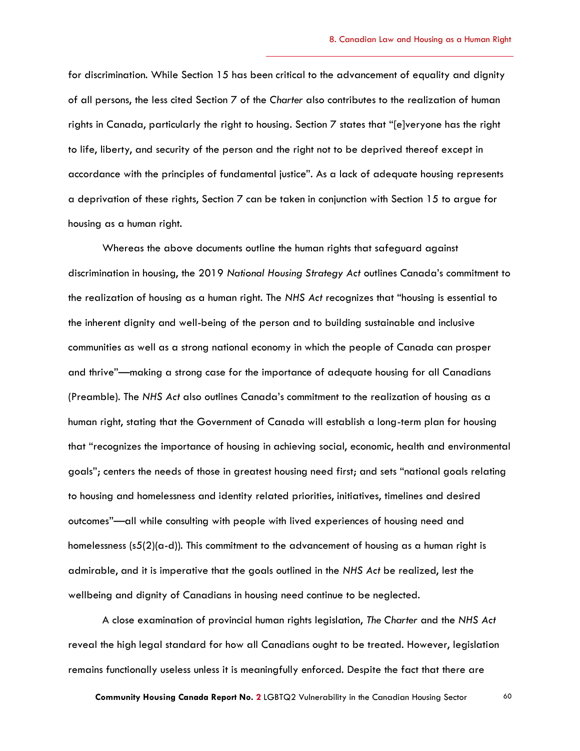for discrimination. While Section 15 has been critical to the advancement of equality and dignity of all persons, the less cited Section 7 of the *Charter* also contributes to the realization of human rights in Canada, particularly the right to housing. Section 7 states that "[e]veryone has the right to life, liberty, and security of the person and the right not to be deprived thereof except in accordance with the principles of fundamental justice". As a lack of adequate housing represents a deprivation of these rights, Section 7 can be taken in conjunction with Section 15 to argue for housing as a human right.

Whereas the above documents outline the human rights that safeguard against discrimination in housing, the 2019 *National Housing Strategy Act* outlines Canada's commitment to the realization of housing as a human right. The *NHS Act* recognizes that "housing is essential to the inherent dignity and well-being of the person and to building sustainable and inclusive communities as well as a strong national economy in which the people of Canada can prosper and thrive"—making a strong case for the importance of adequate housing for all Canadians (Preamble). The *NHS Act* also outlines Canada's commitment to the realization of housing as a human right, stating that the Government of Canada will establish a long-term plan for housing that "recognizes the importance of housing in achieving social, economic, health and environmental goals"; centers the needs of those in greatest housing need first; and sets "national goals relating to housing and homelessness and identity related priorities, initiatives, timelines and desired outcomes"—all while consulting with people with lived experiences of housing need and homelessness (s5(2)(a-d)). This commitment to the advancement of housing as a human right is admirable, and it is imperative that the goals outlined in the *NHS Act* be realized, lest the wellbeing and dignity of Canadians in housing need continue to be neglected.

A close examination of provincial human rights legislation, *The Charter* and the *NHS Act*  reveal the high legal standard for how all Canadians ought to be treated. However, legislation remains functionally useless unless it is meaningfully enforced. Despite the fact that there are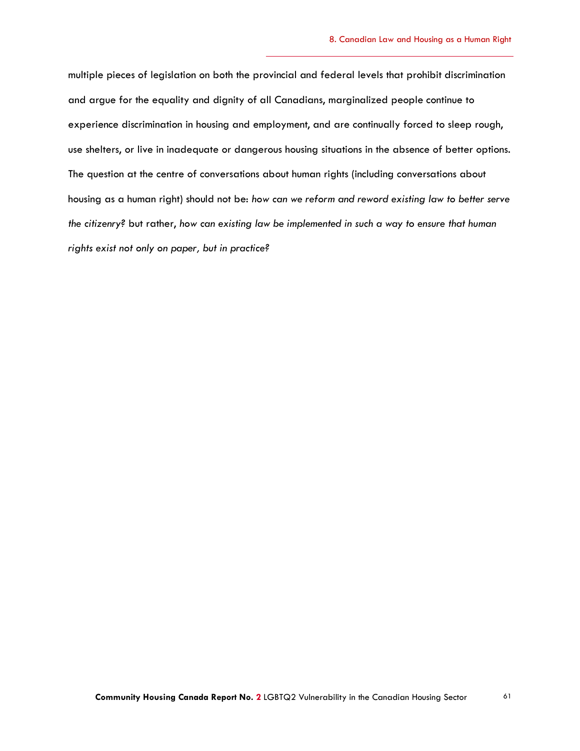multiple pieces of legislation on both the provincial and federal levels that prohibit discrimination and argue for the equality and dignity of all Canadians, marginalized people continue to experience discrimination in housing and employment, and are continually forced to sleep rough, use shelters, or live in inadequate or dangerous housing situations in the absence of better options. The question at the centre of conversations about human rights (including conversations about housing as a human right) should not be: *how can we reform and reword existing law to better serve the citizenry?* but rather, *how can existing law be implemented in such a way to ensure that human rights exist not only on paper, but in practice?*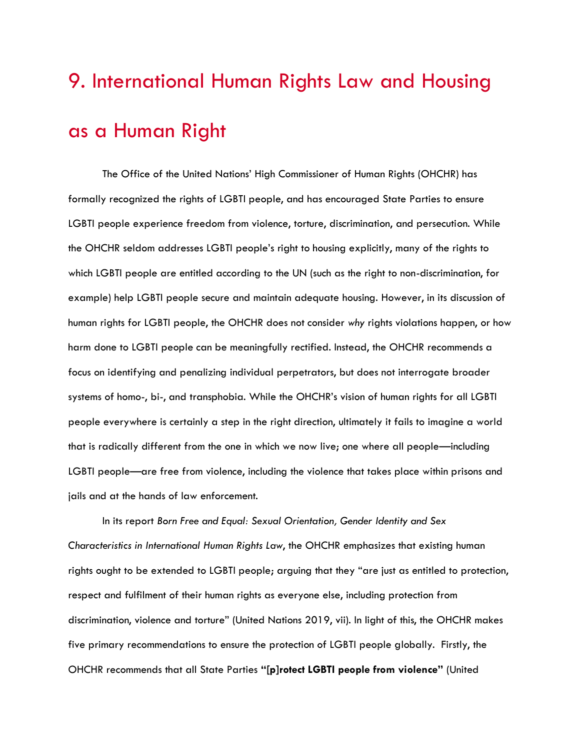## 9. International Human Rights Law and Housing as a Human Right

The Office of the United Nations' High Commissioner of Human Rights (OHCHR) has formally recognized the rights of LGBTI people, and has encouraged State Parties to ensure LGBTI people experience freedom from violence, torture, discrimination, and persecution. While the OHCHR seldom addresses LGBTI people's right to housing explicitly, many of the rights to which LGBTI people are entitled according to the UN (such as the right to non-discrimination, for example) help LGBTI people secure and maintain adequate housing. However, in its discussion of human rights for LGBTI people, the OHCHR does not consider *why* rights violations happen, or how harm done to LGBTI people can be meaningfully rectified. Instead, the OHCHR recommends a focus on identifying and penalizing individual perpetrators, but does not interrogate broader systems of homo-, bi-, and transphobia. While the OHCHR's vision of human rights for all LGBTI people everywhere is certainly a step in the right direction, ultimately it fails to imagine a world that is radically different from the one in which we now live; one where all people—including LGBTI people—are free from violence, including the violence that takes place within prisons and jails and at the hands of law enforcement.

In its report *Born Free and Equal: Sexual Orientation, Gender Identity and Sex Characteristics in International Human Rights Law*, the OHCHR emphasizes that existing human rights ought to be extended to LGBTI people; arguing that they "are just as entitled to protection, respect and fulfilment of their human rights as everyone else, including protection from discrimination, violence and torture" (United Nations 2019, vii). In light of this, the OHCHR makes five primary recommendations to ensure the protection of LGBTI people globally. Firstly, the OHCHR recommends that all State Parties **"[p]rotect LGBTI people from violence"** (United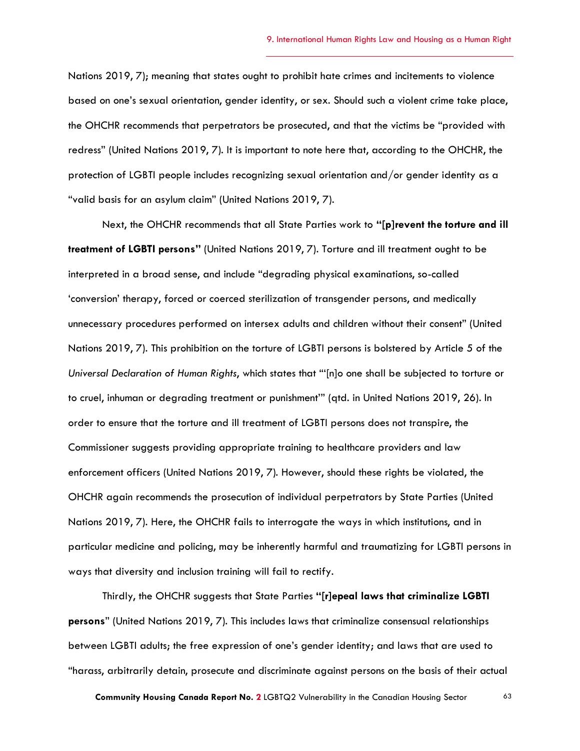Nations 2019, 7); meaning that states ought to prohibit hate crimes and incitements to violence based on one's sexual orientation, gender identity, or sex. Should such a violent crime take place, the OHCHR recommends that perpetrators be prosecuted, and that the victims be "provided with redress" (United Nations 2019, 7). It is important to note here that, according to the OHCHR, the protection of LGBTI people includes recognizing sexual orientation and/or gender identity as a "valid basis for an asylum claim" (United Nations 2019, 7).

Next, the OHCHR recommends that all State Parties work to **"[p]revent the torture and ill treatment of LGBTI persons"** (United Nations 2019, 7). Torture and ill treatment ought to be interpreted in a broad sense, and include "degrading physical examinations, so-called 'conversion' therapy, forced or coerced sterilization of transgender persons, and medically unnecessary procedures performed on intersex adults and children without their consent" (United Nations 2019, 7). This prohibition on the torture of LGBTI persons is bolstered by Article 5 of the *Universal Declaration of Human Rights*, which states that "'[n]o one shall be subjected to torture or to cruel, inhuman or degrading treatment or punishment'" (qtd. in United Nations 2019, 26). In order to ensure that the torture and ill treatment of LGBTI persons does not transpire, the Commissioner suggests providing appropriate training to healthcare providers and law enforcement officers (United Nations 2019, 7). However, should these rights be violated, the OHCHR again recommends the prosecution of individual perpetrators by State Parties (United Nations 2019, 7). Here, the OHCHR fails to interrogate the ways in which institutions, and in particular medicine and policing, may be inherently harmful and traumatizing for LGBTI persons in ways that diversity and inclusion training will fail to rectify.

Thirdly, the OHCHR suggests that State Parties **"[r]epeal laws that criminalize LGBTI persons**" (United Nations 2019, 7). This includes laws that criminalize consensual relationships between LGBTI adults; the free expression of one's gender identity; and laws that are used to "harass, arbitrarily detain, prosecute and discriminate against persons on the basis of their actual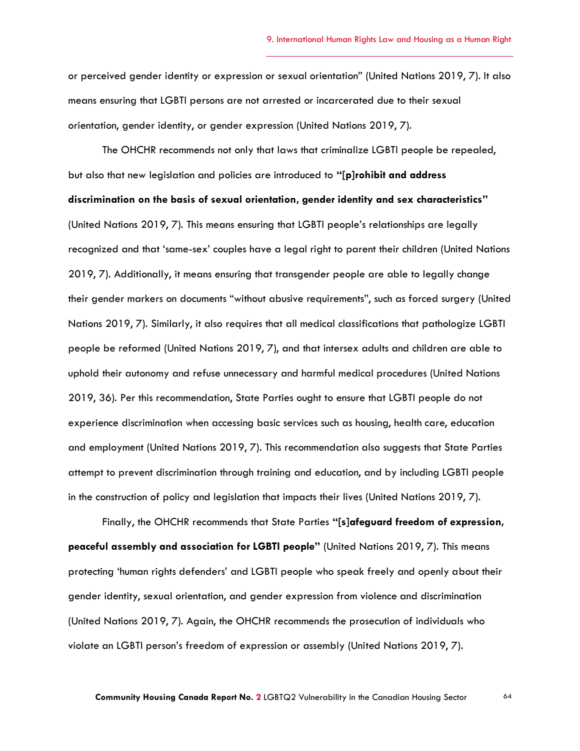or perceived gender identity or expression or sexual orientation" (United Nations 2019, 7). It also means ensuring that LGBTI persons are not arrested or incarcerated due to their sexual orientation, gender identity, or gender expression (United Nations 2019, 7).

The OHCHR recommends not only that laws that criminalize LGBTI people be repealed, but also that new legislation and policies are introduced to **"[p]rohibit and address discrimination on the basis of sexual orientation, gender identity and sex characteristics"** (United Nations 2019, 7). This means ensuring that LGBTI people's relationships are legally recognized and that 'same-sex' couples have a legal right to parent their children (United Nations 2019, 7). Additionally, it means ensuring that transgender people are able to legally change their gender markers on documents "without abusive requirements", such as forced surgery (United Nations 2019, 7). Similarly, it also requires that all medical classifications that pathologize LGBTI people be reformed (United Nations 2019, 7), and that intersex adults and children are able to uphold their autonomy and refuse unnecessary and harmful medical procedures (United Nations 2019, 36). Per this recommendation, State Parties ought to ensure that LGBTI people do not experience discrimination when accessing basic services such as housing, health care, education and employment (United Nations 2019, 7). This recommendation also suggests that State Parties attempt to prevent discrimination through training and education, and by including LGBTI people in the construction of policy and legislation that impacts their lives (United Nations 2019, 7).

Finally, the OHCHR recommends that State Parties **"[s]afeguard freedom of expression, peaceful assembly and association for LGBTI people"** (United Nations 2019, 7). This means protecting 'human rights defenders' and LGBTI people who speak freely and openly about their gender identity, sexual orientation, and gender expression from violence and discrimination (United Nations 2019, 7). Again, the OHCHR recommends the prosecution of individuals who violate an LGBTI person's freedom of expression or assembly (United Nations 2019, 7).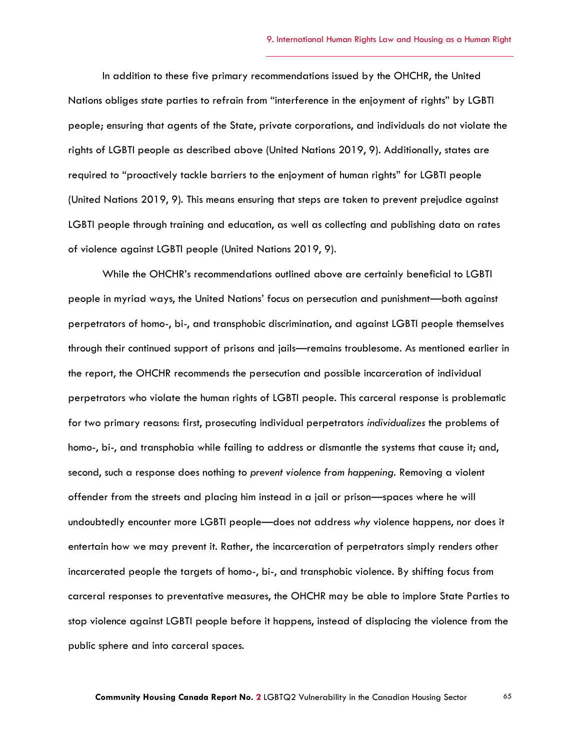In addition to these five primary recommendations issued by the OHCHR, the United Nations obliges state parties to refrain from "interference in the enjoyment of rights" by LGBTI people; ensuring that agents of the State, private corporations, and individuals do not violate the rights of LGBTI people as described above (United Nations 2019, 9). Additionally, states are required to "proactively tackle barriers to the enjoyment of human rights" for LGBTI people (United Nations 2019, 9). This means ensuring that steps are taken to prevent prejudice against LGBTI people through training and education, as well as collecting and publishing data on rates of violence against LGBTI people (United Nations 2019, 9).

While the OHCHR's recommendations outlined above are certainly beneficial to LGBTI people in myriad ways, the United Nations' focus on persecution and punishment—both against perpetrators of homo-, bi-, and transphobic discrimination, and against LGBTI people themselves through their continued support of prisons and jails—remains troublesome. As mentioned earlier in the report, the OHCHR recommends the persecution and possible incarceration of individual perpetrators who violate the human rights of LGBTI people. This carceral response is problematic for two primary reasons: first, prosecuting individual perpetrators *individualizes* the problems of homo-, bi-, and transphobia while failing to address or dismantle the systems that cause it; and, second, such a response does nothing to *prevent violence from happening.* Removing a violent offender from the streets and placing him instead in a jail or prison—spaces where he will undoubtedly encounter more LGBTI people—does not address *why* violence happens, nor does it entertain how we may prevent it. Rather, the incarceration of perpetrators simply renders other incarcerated people the targets of homo-, bi-, and transphobic violence. By shifting focus from carceral responses to preventative measures, the OHCHR may be able to implore State Parties to stop violence against LGBTI people before it happens, instead of displacing the violence from the public sphere and into carceral spaces.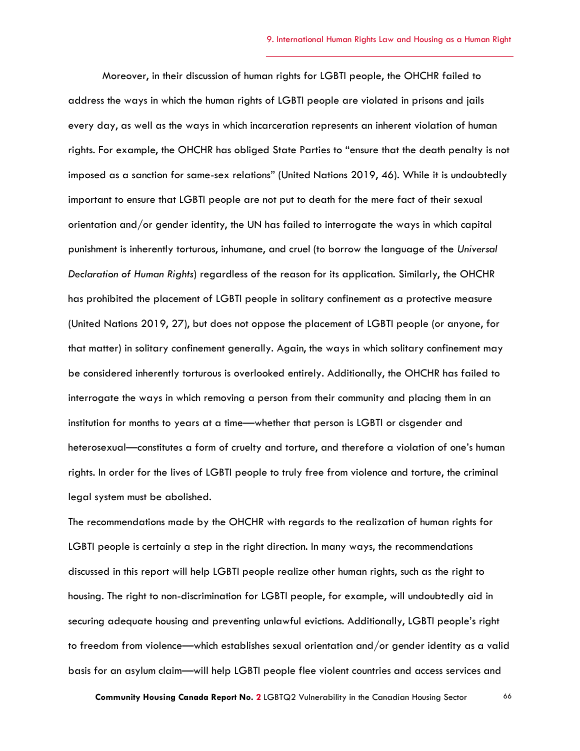Moreover, in their discussion of human rights for LGBTI people, the OHCHR failed to address the ways in which the human rights of LGBTI people are violated in prisons and jails every day, as well as the ways in which incarceration represents an inherent violation of human rights. For example, the OHCHR has obliged State Parties to "ensure that the death penalty is not imposed as a sanction for same-sex relations" (United Nations 2019, 46). While it is undoubtedly important to ensure that LGBTI people are not put to death for the mere fact of their sexual orientation and/or gender identity, the UN has failed to interrogate the ways in which capital punishment is inherently torturous, inhumane, and cruel (to borrow the language of the *Universal Declaration of Human Rights*) regardless of the reason for its application. Similarly, the OHCHR has prohibited the placement of LGBTI people in solitary confinement as a protective measure (United Nations 2019, 27), but does not oppose the placement of LGBTI people (or anyone, for that matter) in solitary confinement generally. Again, the ways in which solitary confinement may be considered inherently torturous is overlooked entirely. Additionally, the OHCHR has failed to interrogate the ways in which removing a person from their community and placing them in an institution for months to years at a time—whether that person is LGBTI or cisgender and heterosexual—constitutes a form of cruelty and torture, and therefore a violation of one's human rights. In order for the lives of LGBTI people to truly free from violence and torture, the criminal legal system must be abolished.

The recommendations made by the OHCHR with regards to the realization of human rights for LGBTI people is certainly a step in the right direction. In many ways, the recommendations discussed in this report will help LGBTI people realize other human rights, such as the right to housing. The right to non-discrimination for LGBTI people, for example, will undoubtedly aid in securing adequate housing and preventing unlawful evictions. Additionally, LGBTI people's right to freedom from violence—which establishes sexual orientation and/or gender identity as a valid basis for an asylum claim—will help LGBTI people flee violent countries and access services and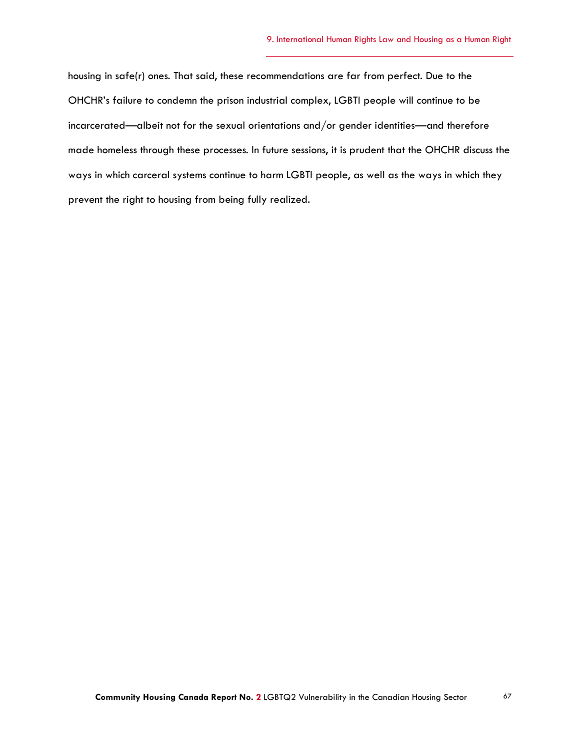housing in safe(r) ones. That said, these recommendations are far from perfect. Due to the OHCHR's failure to condemn the prison industrial complex, LGBTI people will continue to be incarcerated—albeit not for the sexual orientations and/or gender identities—and therefore made homeless through these processes. In future sessions, it is prudent that the OHCHR discuss the ways in which carceral systems continue to harm LGBTI people, as well as the ways in which they prevent the right to housing from being fully realized.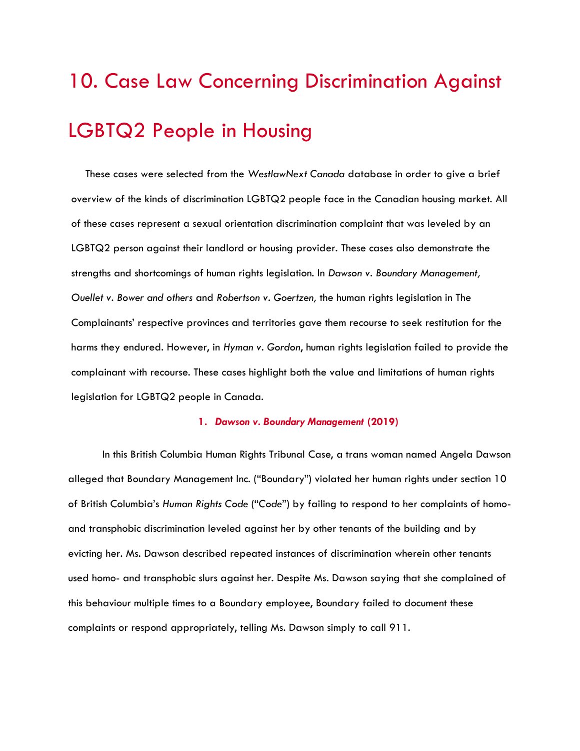## 10. Case Law Concerning Discrimination Against LGBTQ2 People in Housing

These cases were selected from the *WestlawNext Canada* database in order to give a brief overview of the kinds of discrimination LGBTQ2 people face in the Canadian housing market. All of these cases represent a sexual orientation discrimination complaint that was leveled by an LGBTQ2 person against their landlord or housing provider. These cases also demonstrate the strengths and shortcomings of human rights legislation. In *Dawson v. Boundary Management, Ouellet v. Bower and others* and *Robertson v. Goertzen,* the human rights legislation in The Complainants' respective provinces and territories gave them recourse to seek restitution for the harms they endured. However, in *Hyman v. Gordon*, human rights legislation failed to provide the complainant with recourse. These cases highlight both the value and limitations of human rights legislation for LGBTQ2 people in Canada.

### **1.** *Dawson v. Boundary Management* **(2019)**

In this British Columbia Human Rights Tribunal Case, a trans woman named Angela Dawson alleged that Boundary Management Inc. ("Boundary") violated her human rights under section 10 of British Columbia's *Human Rights Code* ("*Code*") by failing to respond to her complaints of homoand transphobic discrimination leveled against her by other tenants of the building and by evicting her. Ms. Dawson described repeated instances of discrimination wherein other tenants used homo- and transphobic slurs against her. Despite Ms. Dawson saying that she complained of this behaviour multiple times to a Boundary employee, Boundary failed to document these complaints or respond appropriately, telling Ms. Dawson simply to call 911.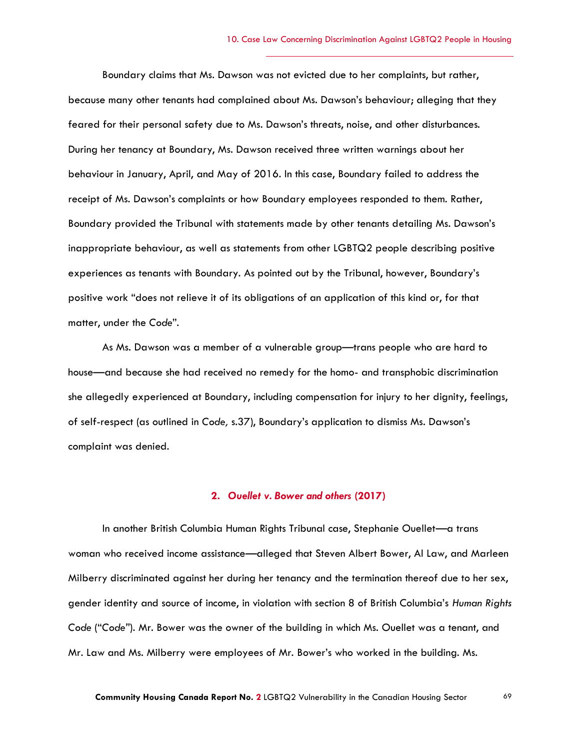Boundary claims that Ms. Dawson was not evicted due to her complaints, but rather, because many other tenants had complained about Ms. Dawson's behaviour; alleging that they feared for their personal safety due to Ms. Dawson's threats, noise, and other disturbances. During her tenancy at Boundary, Ms. Dawson received three written warnings about her behaviour in January, April, and May of 2016. In this case, Boundary failed to address the receipt of Ms. Dawson's complaints or how Boundary employees responded to them. Rather, Boundary provided the Tribunal with statements made by other tenants detailing Ms. Dawson's inappropriate behaviour, as well as statements from other LGBTQ2 people describing positive experiences as tenants with Boundary. As pointed out by the Tribunal, however, Boundary's positive work "does not relieve it of its obligations of an application of this kind or, for that matter, under the *Code*".

As Ms. Dawson was a member of a vulnerable group—trans people who are hard to house—and because she had received no remedy for the homo- and transphobic discrimination she allegedly experienced at Boundary, including compensation for injury to her dignity, feelings, of self-respect (as outlined in *Code,* s.37), Boundary's application to dismiss Ms. Dawson's complaint was denied.

### **2.** *Ouellet v. Bower and others* **(2017)**

In another British Columbia Human Rights Tribunal case, Stephanie Ouellet—a trans woman who received income assistance—alleged that Steven Albert Bower, Al Law, and Marleen Milberry discriminated against her during her tenancy and the termination thereof due to her sex, gender identity and source of income, in violation with section 8 of British Columbia's *Human Rights Code* ("*Code"*). Mr. Bower was the owner of the building in which Ms. Ouellet was a tenant, and Mr. Law and Ms. Milberry were employees of Mr. Bower's who worked in the building. Ms.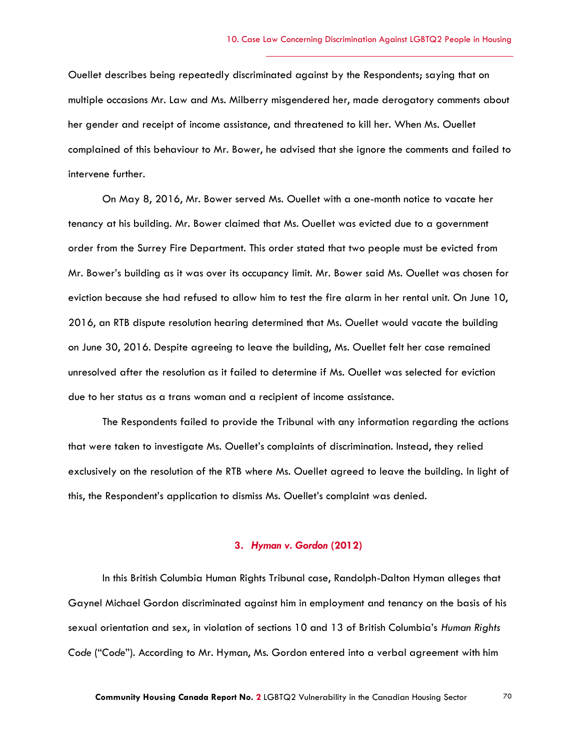Ouellet describes being repeatedly discriminated against by the Respondents; saying that on multiple occasions Mr. Law and Ms. Milberry misgendered her, made derogatory comments about her gender and receipt of income assistance, and threatened to kill her. When Ms. Ouellet complained of this behaviour to Mr. Bower, he advised that she ignore the comments and failed to intervene further.

On May 8, 2016, Mr. Bower served Ms. Ouellet with a one-month notice to vacate her tenancy at his building. Mr. Bower claimed that Ms. Ouellet was evicted due to a government order from the Surrey Fire Department. This order stated that two people must be evicted from Mr. Bower's building as it was over its occupancy limit. Mr. Bower said Ms. Ouellet was chosen for eviction because she had refused to allow him to test the fire alarm in her rental unit. On June 10, 2016, an RTB dispute resolution hearing determined that Ms. Ouellet would vacate the building on June 30, 2016. Despite agreeing to leave the building, Ms. Ouellet felt her case remained unresolved after the resolution as it failed to determine if Ms. Ouellet was selected for eviction due to her status as a trans woman and a recipient of income assistance.

The Respondents failed to provide the Tribunal with any information regarding the actions that were taken to investigate Ms. Ouellet's complaints of discrimination. Instead, they relied exclusively on the resolution of the RTB where Ms. Ouellet agreed to leave the building. In light of this, the Respondent's application to dismiss Ms. Ouellet's complaint was denied.

#### **3.** *Hyman v. Gordon* **(2012)**

In this British Columbia Human Rights Tribunal case, Randolph-Dalton Hyman alleges that Gaynel Michael Gordon discriminated against him in employment and tenancy on the basis of his sexual orientation and sex, in violation of sections 10 and 13 of British Columbia's *Human Rights Code* ("*Code*"). According to Mr. Hyman, Ms. Gordon entered into a verbal agreement with him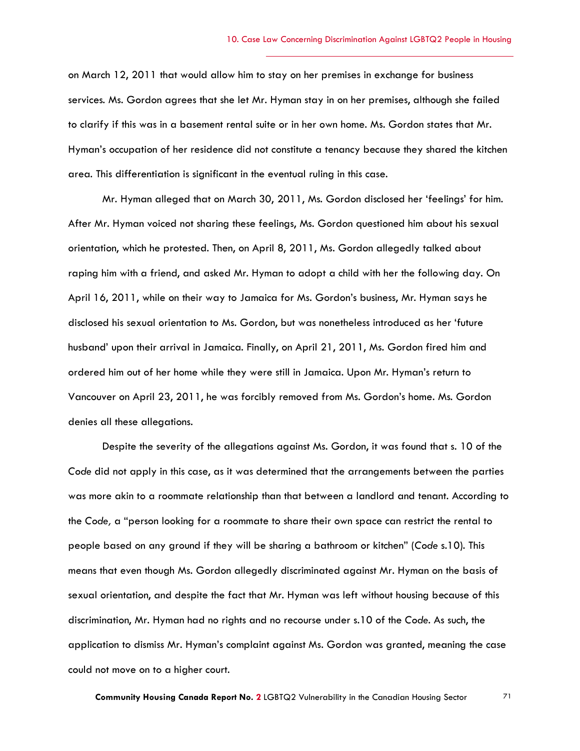on March 12, 2011 that would allow him to stay on her premises in exchange for business services. Ms. Gordon agrees that she let Mr. Hyman stay in on her premises, although she failed to clarify if this was in a basement rental suite or in her own home. Ms. Gordon states that Mr. Hyman's occupation of her residence did not constitute a tenancy because they shared the kitchen area. This differentiation is significant in the eventual ruling in this case.

Mr. Hyman alleged that on March 30, 2011, Ms. Gordon disclosed her 'feelings' for him. After Mr. Hyman voiced not sharing these feelings, Ms. Gordon questioned him about his sexual orientation, which he protested. Then, on April 8, 2011, Ms. Gordon allegedly talked about raping him with a friend, and asked Mr. Hyman to adopt a child with her the following day. On April 16, 2011, while on their way to Jamaica for Ms. Gordon's business, Mr. Hyman says he disclosed his sexual orientation to Ms. Gordon, but was nonetheless introduced as her 'future husband' upon their arrival in Jamaica. Finally, on April 21, 2011, Ms. Gordon fired him and ordered him out of her home while they were still in Jamaica. Upon Mr. Hyman's return to Vancouver on April 23, 2011, he was forcibly removed from Ms. Gordon's home. Ms. Gordon denies all these allegations.

Despite the severity of the allegations against Ms. Gordon, it was found that s. 10 of the *Code* did not apply in this case, as it was determined that the arrangements between the parties was more akin to a roommate relationship than that between a landlord and tenant. According to the *Code,* a "person looking for a roommate to share their own space can restrict the rental to people based on any ground if they will be sharing a bathroom or kitchen" (*Code* s.10). This means that even though Ms. Gordon allegedly discriminated against Mr. Hyman on the basis of sexual orientation, and despite the fact that Mr. Hyman was left without housing because of this discrimination, Mr. Hyman had no rights and no recourse under s.10 of the *Code.* As such, the application to dismiss Mr. Hyman's complaint against Ms. Gordon was granted, meaning the case could not move on to a higher court.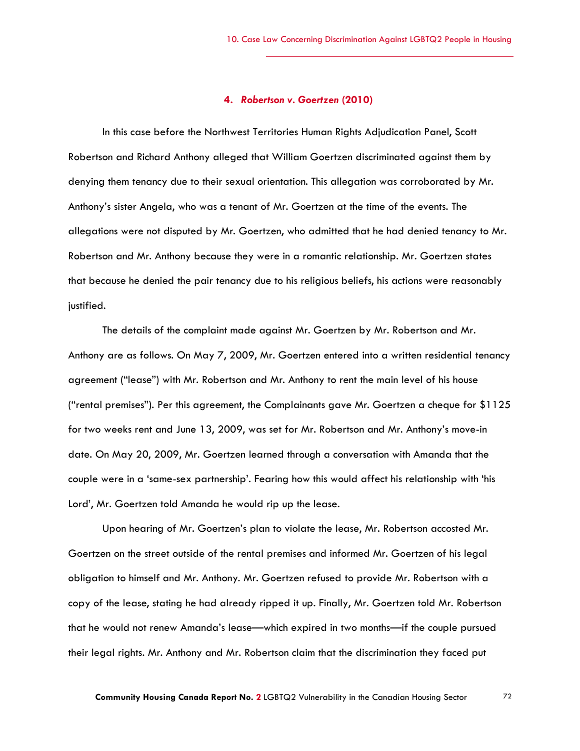### **4.** *Robertson v. Goertzen* **(2010)**

In this case before the Northwest Territories Human Rights Adjudication Panel, Scott Robertson and Richard Anthony alleged that William Goertzen discriminated against them by denying them tenancy due to their sexual orientation. This allegation was corroborated by Mr. Anthony's sister Angela, who was a tenant of Mr. Goertzen at the time of the events. The allegations were not disputed by Mr. Goertzen, who admitted that he had denied tenancy to Mr. Robertson and Mr. Anthony because they were in a romantic relationship. Mr. Goertzen states that because he denied the pair tenancy due to his religious beliefs, his actions were reasonably justified.

The details of the complaint made against Mr. Goertzen by Mr. Robertson and Mr. Anthony are as follows. On May 7, 2009, Mr. Goertzen entered into a written residential tenancy agreement ("lease") with Mr. Robertson and Mr. Anthony to rent the main level of his house ("rental premises"). Per this agreement, the Complainants gave Mr. Goertzen a cheque for \$1125 for two weeks rent and June 13, 2009, was set for Mr. Robertson and Mr. Anthony's move-in date. On May 20, 2009, Mr. Goertzen learned through a conversation with Amanda that the couple were in a 'same-sex partnership'. Fearing how this would affect his relationship with 'his Lord', Mr. Goertzen told Amanda he would rip up the lease.

Upon hearing of Mr. Goertzen's plan to violate the lease, Mr. Robertson accosted Mr. Goertzen on the street outside of the rental premises and informed Mr. Goertzen of his legal obligation to himself and Mr. Anthony. Mr. Goertzen refused to provide Mr. Robertson with a copy of the lease, stating he had already ripped it up. Finally, Mr. Goertzen told Mr. Robertson that he would not renew Amanda's lease—which expired in two months—if the couple pursued their legal rights. Mr. Anthony and Mr. Robertson claim that the discrimination they faced put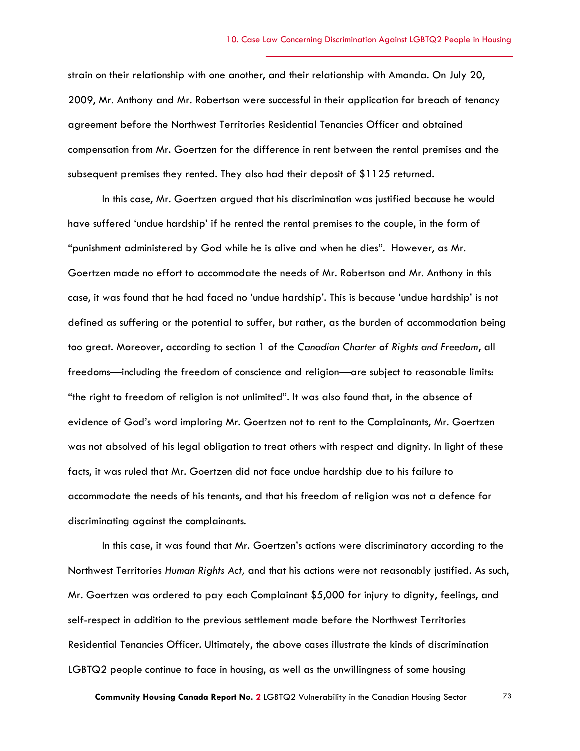strain on their relationship with one another, and their relationship with Amanda. On July 20, 2009, Mr. Anthony and Mr. Robertson were successful in their application for breach of tenancy agreement before the Northwest Territories Residential Tenancies Officer and obtained compensation from Mr. Goertzen for the difference in rent between the rental premises and the subsequent premises they rented. They also had their deposit of \$1125 returned.

In this case, Mr. Goertzen argued that his discrimination was justified because he would have suffered 'undue hardship' if he rented the rental premises to the couple, in the form of "punishment administered by God while he is alive and when he dies". However, as Mr. Goertzen made no effort to accommodate the needs of Mr. Robertson and Mr. Anthony in this case, it was found that he had faced no 'undue hardship'. This is because 'undue hardship' is not defined as suffering or the potential to suffer, but rather, as the burden of accommodation being too great. Moreover, according to section 1 of the *Canadian Charter of Rights and Freedom*, all freedoms—including the freedom of conscience and religion—are subject to reasonable limits: "the right to freedom of religion is not unlimited". It was also found that, in the absence of evidence of God's word imploring Mr. Goertzen not to rent to the Complainants, Mr. Goertzen was not absolved of his legal obligation to treat others with respect and dignity. In light of these facts, it was ruled that Mr. Goertzen did not face undue hardship due to his failure to accommodate the needs of his tenants, and that his freedom of religion was not a defence for discriminating against the complainants.

In this case, it was found that Mr. Goertzen's actions were discriminatory according to the Northwest Territories *Human Rights Act,* and that his actions were not reasonably justified. As such, Mr. Goertzen was ordered to pay each Complainant \$5,000 for injury to dignity, feelings, and self-respect in addition to the previous settlement made before the Northwest Territories Residential Tenancies Officer. Ultimately, the above cases illustrate the kinds of discrimination LGBTQ2 people continue to face in housing, as well as the unwillingness of some housing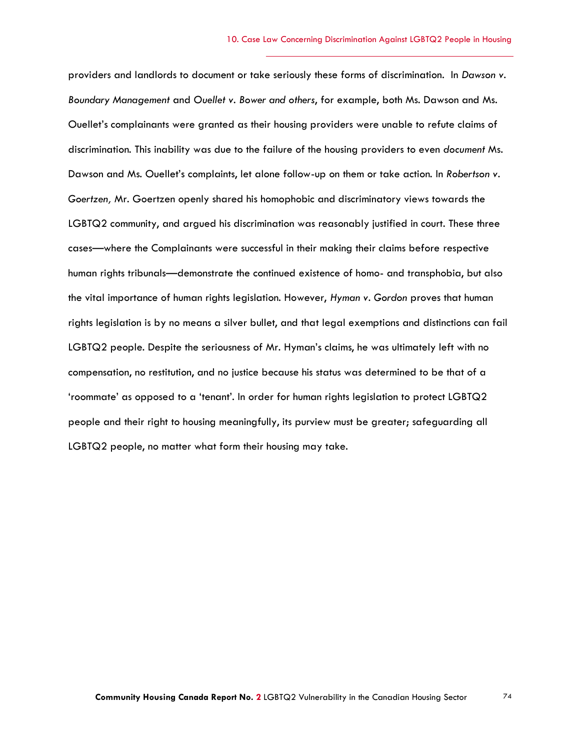providers and landlords to document or take seriously these forms of discrimination. In *Dawson v. Boundary Management* and *Ouellet v. Bower and others*, for example, both Ms. Dawson and Ms. Ouellet's complainants were granted as their housing providers were unable to refute claims of discrimination. This inability was due to the failure of the housing providers to even *document* Ms. Dawson and Ms. Ouellet's complaints, let alone follow-up on them or take action. In *Robertson v. Goertzen,* Mr. Goertzen openly shared his homophobic and discriminatory views towards the LGBTQ2 community, and argued his discrimination was reasonably justified in court. These three cases—where the Complainants were successful in their making their claims before respective human rights tribunals—demonstrate the continued existence of homo- and transphobia, but also the vital importance of human rights legislation. However, *Hyman v. Gordon* proves that human rights legislation is by no means a silver bullet, and that legal exemptions and distinctions can fail LGBTQ2 people. Despite the seriousness of Mr. Hyman's claims, he was ultimately left with no compensation, no restitution, and no justice because his status was determined to be that of a 'roommate' as opposed to a 'tenant'. In order for human rights legislation to protect LGBTQ2 people and their right to housing meaningfully, its purview must be greater; safeguarding all LGBTQ2 people, no matter what form their housing may take.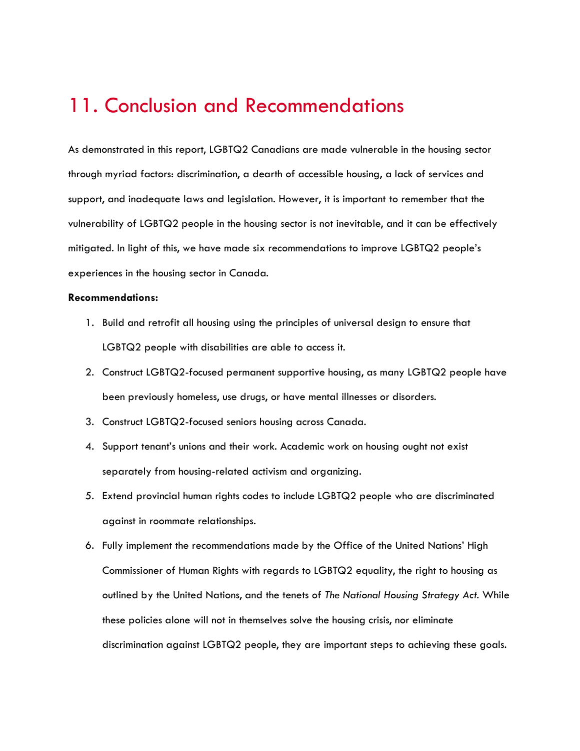## 11. Conclusion and Recommendations

As demonstrated in this report, LGBTQ2 Canadians are made vulnerable in the housing sector through myriad factors: discrimination, a dearth of accessible housing, a lack of services and support, and inadequate laws and legislation. However, it is important to remember that the vulnerability of LGBTQ2 people in the housing sector is not inevitable, and it can be effectively mitigated. In light of this, we have made six recommendations to improve LGBTQ2 people's experiences in the housing sector in Canada.

#### **Recommendations:**

- 1. Build and retrofit all housing using the principles of universal design to ensure that LGBTQ2 people with disabilities are able to access it.
- 2. Construct LGBTQ2-focused permanent supportive housing, as many LGBTQ2 people have been previously homeless, use drugs, or have mental illnesses or disorders.
- 3. Construct LGBTQ2-focused seniors housing across Canada.
- 4. Support tenant's unions and their work. Academic work on housing ought not exist separately from housing-related activism and organizing.
- 5. Extend provincial human rights codes to include LGBTQ2 people who are discriminated against in roommate relationships.
- 6. Fully implement the recommendations made by the Office of the United Nations' High Commissioner of Human Rights with regards to LGBTQ2 equality, the right to housing as outlined by the United Nations, and the tenets of *The National Housing Strategy Act.* While these policies alone will not in themselves solve the housing crisis, nor eliminate discrimination against LGBTQ2 people, they are important steps to achieving these goals.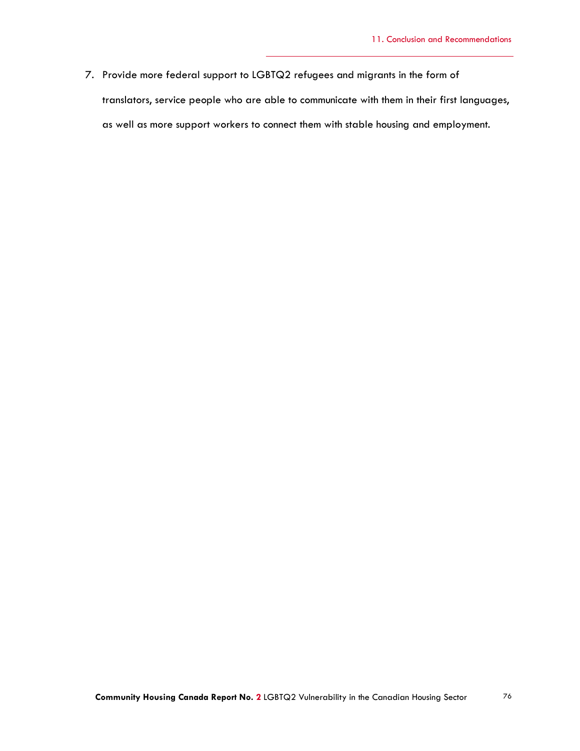7. Provide more federal support to LGBTQ2 refugees and migrants in the form of translators, service people who are able to communicate with them in their first languages, as well as more support workers to connect them with stable housing and employment.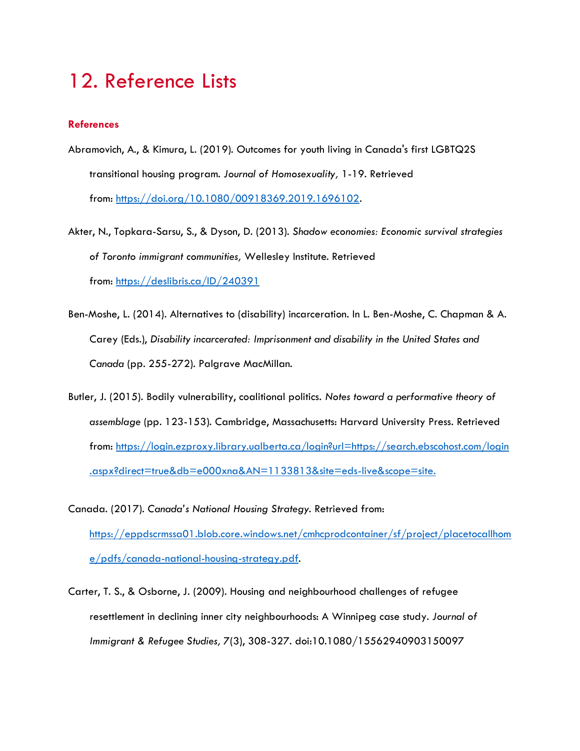# 12. Reference Lists

### **References**

- Abramovich, A., & Kimura, L. (2019). Outcomes for youth living in Canada's first LGBTQ2S transitional housing program. *Journal of Homosexuality,* 1-19. Retrieved from: [https://doi.org/10.1080/00918369.2019.1696102.](https://doi.org/10.1080/00918369.2019.1696102)
- Akter, N., Topkara-Sarsu, S., & Dyson, D. (2013). *Shadow economies: Economic survival strategies of Toronto immigrant communities,* Wellesley Institute. Retrieved from: <https://deslibris.ca/ID/240391>
- Ben-Moshe, L. (2014). Alternatives to (disability) incarceration. In L. Ben-Moshe, C. Chapman & A. Carey (Eds.), *Disability incarcerated: Imprisonment and disability in the United States and Canada* (pp. 255-272). Palgrave MacMillan.
- Butler, J. (2015). Bodily vulnerability, coalitional politics. *Notes toward a performative theory of assemblage* (pp. 123-153). Cambridge, Massachusetts: Harvard University Press. Retrieved from: [https://login.ezproxy.library.ualberta.ca/login?url=https://search.ebscohost.com/login](https://login.ezproxy.library.ualberta.ca/login?url=https://search.ebscohost.com/login.aspx?direct=true&db=e000xna&AN=1133813&site=eds-live&scope=site) [.aspx?direct=true&db=e000xna&AN=1133813&site=eds-live&scope=site.](https://login.ezproxy.library.ualberta.ca/login?url=https://search.ebscohost.com/login.aspx?direct=true&db=e000xna&AN=1133813&site=eds-live&scope=site)
- Canada. (2017). *Canada's National Housing Strategy*. Retrieved from: [https://eppdscrmssa01.blob.core.windows.net/cmhcprodcontainer/sf/project/placetocallhom](https://eppdscrmssa01.blob.core.windows.net/cmhcprodcontainer/sf/project/placetocallhome/pdfs/canada-national-housing-strategy.pdf) [e/pdfs/canada-national-housing-strategy.pdf.](https://eppdscrmssa01.blob.core.windows.net/cmhcprodcontainer/sf/project/placetocallhome/pdfs/canada-national-housing-strategy.pdf)
- Carter, T. S., & Osborne, J. (2009). Housing and neighbourhood challenges of refugee resettlement in declining inner city neighbourhoods: A Winnipeg case study. *Journal of Immigrant & Refugee Studies, 7*(3), 308-327. doi:10.1080/15562940903150097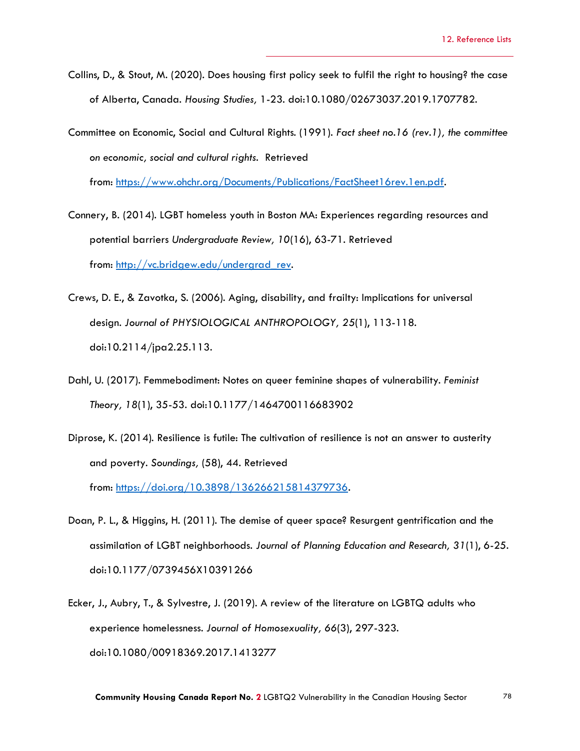- Collins, D., & Stout, M. (2020). Does housing first policy seek to fulfil the right to housing? the case of Alberta, Canada. *Housing Studies,* 1-23. doi:10.1080/02673037.2019.1707782.
- Committee on Economic, Social and Cultural Rights. (1991). *Fact sheet no.16 (rev.1), the committee on economic, social and cultural rights.* Retrieved from: [https://www.ohchr.org/Documents/Publications/FactSheet16rev.1en.pdf.](https://www.ohchr.org/Documents/Publications/FactSheet16rev.1en.pdf)

Connery, B. (2014). LGBT homeless youth in Boston MA: Experiences regarding resources and

potential barriers *Undergraduate Review, 10*(16), 63-71. Retrieved

from: [http://vc.bridgew.edu/undergrad\\_rev.](http://vc.bridgew.edu/undergrad_rev)

- Crews, D. E., & Zavotka, S. (2006). Aging, disability, and frailty: Implications for universal design. *Journal of PHYSIOLOGICAL ANTHROPOLOGY, 25*(1), 113-118. doi:10.2114/jpa2.25.113.
- Dahl, U. (2017). Femmebodiment: Notes on queer feminine shapes of vulnerability. *Feminist Theory, 18*(1), 35-53. doi:10.1177/1464700116683902
- Diprose, K. (2014). Resilience is futile: The cultivation of resilience is not an answer to austerity and poverty. *Soundings,* (58), 44. Retrieved from: [https://doi.org/10.3898/136266215814379736.](https://doi.org/10.3898/136266215814379736)
- Doan, P. L., & Higgins, H. (2011). The demise of queer space? Resurgent gentrification and the assimilation of LGBT neighborhoods. *Journal of Planning Education and Research, 31*(1), 6-25. doi:10.1177/0739456X10391266
- Ecker, J., Aubry, T., & Sylvestre, J. (2019). A review of the literature on LGBTQ adults who experience homelessness. *Journal of Homosexuality, 66*(3), 297-323. doi:10.1080/00918369.2017.1413277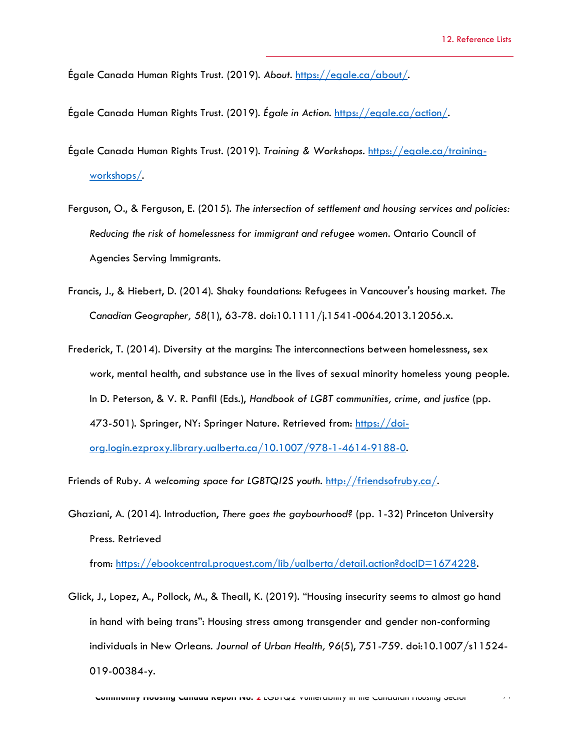Égale Canada Human Rights Trust. (2019). *About*. [https://egale.ca/about/.](https://egale.ca/about/)

Égale Canada Human Rights Trust. (2019). *Égale in Action.* [https://egale.ca/action/.](https://egale.ca/action/)

- Égale Canada Human Rights Trust. (2019). *Training & Workshops.* [https://egale.ca/training](https://egale.ca/training-workshops/)[workshops/.](https://egale.ca/training-workshops/)
- Ferguson, O., & Ferguson, E. (2015). *The intersection of settlement and housing services and policies: Reducing the risk of homelessness for immigrant and refugee women*. Ontario Council of Agencies Serving Immigrants.
- Francis, J., & Hiebert, D. (2014). Shaky foundations: Refugees in Vancouver's housing market. *The Canadian Geographer, 58*(1), 63-78. doi:10.1111/j.1541-0064.2013.12056.x.
- Frederick, T. (2014). Diversity at the margins: The interconnections between homelessness, sex work, mental health, and substance use in the lives of sexual minority homeless young people. In D. Peterson, & V. R. Panfil (Eds.), *Handbook of LGBT communities, crime, and justice* (pp. 473-501). Springer, NY: Springer Nature. Retrieved from: [https://doi](https://doi-org.login.ezproxy.library.ualberta.ca/10.1007/978-1-4614-9188-0)[org.login.ezproxy.library.ualberta.ca/10.1007/978-1-4614-9188-0.](https://doi-org.login.ezproxy.library.ualberta.ca/10.1007/978-1-4614-9188-0)

Friends of Ruby. *A welcoming space for LGBTQI2S youth*. [http://friendsofruby.ca/.](http://friendsofruby.ca/)

Ghaziani, A. (2014). Introduction, *There goes the gaybourhood?* (pp. 1-32) Princeton University Press. Retrieved

from: [https://ebookcentral.proquest.com/lib/ualberta/detail.action?docID=1674228.](https://ebookcentral.proquest.com/lib/ualberta/detail.action?docID=1674228)

Glick, J., Lopez, A., Pollock, M., & Theall, K. (2019). "Housing insecurity seems to almost go hand in hand with being trans": Housing stress among transgender and gender non-conforming individuals in New Orleans. *Journal of Urban Health, 96*(5), 751-759. doi:10.1007/s11524- 019-00384-y.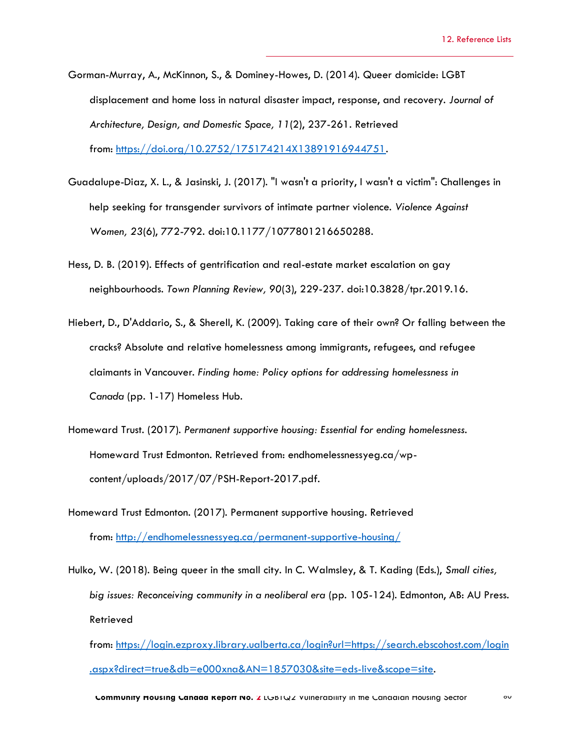- Gorman-Murray, A., McKinnon, S., & Dominey-Howes, D. (2014). Queer domicide: LGBT displacement and home loss in natural disaster impact, response, and recovery. *Journal of Architecture, Design, and Domestic Space, 11*(2), 237-261. Retrieved from: [https://doi.org/10.2752/175174214X13891916944751.](https://doi.org/10.2752/175174214X13891916944751)
- Guadalupe-Diaz, X. L., & Jasinski, J. (2017). "I wasn't a priority, I wasn't a victim": Challenges in help seeking for transgender survivors of intimate partner violence. *Violence Against Women, 23*(6), 772-792. doi:10.1177/1077801216650288.
- Hess, D. B. (2019). Effects of gentrification and real-estate market escalation on gay neighbourhoods. *Town Planning Review, 90*(3), 229-237. doi:10.3828/tpr.2019.16.
- Hiebert, D., D'Addario, S., & Sherell, K. (2009). Taking care of their own? Or falling between the cracks? Absolute and relative homelessness among immigrants, refugees, and refugee claimants in Vancouver. *Finding home: Policy options for addressing homelessness in Canada* (pp. 1-17) Homeless Hub.
- Homeward Trust. (2017). *Permanent supportive housing: Essential for ending homelessness*. Homeward Trust Edmonton. Retrieved from: endhomelessnessyeg.ca/wpcontent/uploads/2017/07/PSH-Report-2017.pdf.
- Homeward Trust Edmonton. (2017). Permanent supportive housing. Retrieved from: <http://endhomelessnessyeg.ca/permanent-supportive-housing/>
- Hulko, W. (2018). Being queer in the small city. In C. Walmsley, & T. Kading (Eds.), *Small cities, big issues: Reconceiving community in a neoliberal era* (pp. 105-124). Edmonton, AB: AU Press. Retrieved
	- from: [https://login.ezproxy.library.ualberta.ca/login?url=https://search.ebscohost.com/login](https://login.ezproxy.library.ualberta.ca/login?url=https://search.ebscohost.com/login.aspx?direct=true&db=e000xna&AN=1857030&site=eds-live&scope=site) [.aspx?direct=true&db=e000xna&AN=1857030&site=eds-live&scope=site.](https://login.ezproxy.library.ualberta.ca/login?url=https://search.ebscohost.com/login.aspx?direct=true&db=e000xna&AN=1857030&site=eds-live&scope=site)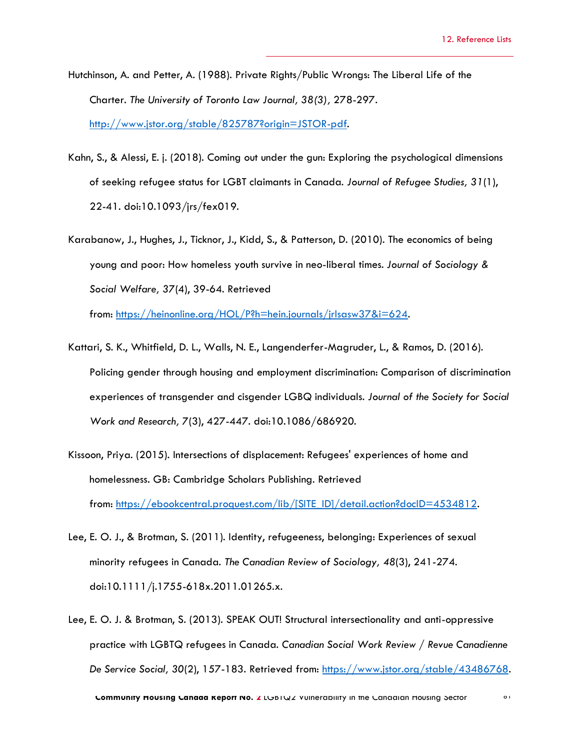- Hutchinson, A. and Petter, A. (1988). Private Rights/Public Wrongs: The Liberal Life of the Charter. *The University of Toronto Law Journal, 38(3),* 278-297. [http://www.jstor.org/stable/825787?origin=JSTOR-pdf.](http://www.jstor.org/stable/825787?origin=JSTOR-pdf)
- Kahn, S., & Alessi, E. j. (2018). Coming out under the gun: Exploring the psychological dimensions of seeking refugee status for LGBT claimants in Canada. *Journal of Refugee Studies, 31*(1), 22-41. doi:10.1093/jrs/fex019.
- Karabanow, J., Hughes, J., Ticknor, J., Kidd, S., & Patterson, D. (2010). The economics of being young and poor: How homeless youth survive in neo-liberal times. *Journal of Sociology & Social Welfare, 37*(4), 39-64. Retrieved

from: [https://heinonline.org/HOL/P?h=hein.journals/jrlsasw37&i=624.](https://heinonline.org/HOL/P?h=hein.journals/jrlsasw37&i=624)

- Kattari, S. K., Whitfield, D. L., Walls, N. E., Langenderfer-Magruder, L., & Ramos, D. (2016). Policing gender through housing and employment discrimination: Comparison of discrimination experiences of transgender and cisgender LGBQ individuals. *Journal of the Society for Social Work and Research, 7*(3), 427-447. doi:10.1086/686920.
- Kissoon, Priya. (2015). Intersections of displacement: Refugees' experiences of home and homelessness. GB: Cambridge Scholars Publishing. Retrieved from: [https://ebookcentral.proquest.com/lib/\[SITE\\_ID\]/detail.action?docID=4534812.](https://ebookcentral.proquest.com/lib/%5bSITE_ID%5d/detail.action?docID=4534812)
- Lee, E. O. J., & Brotman, S. (2011). Identity, refugeeness, belonging: Experiences of sexual minority refugees in Canada. *The Canadian Review of Sociology, 48*(3), 241-274. doi:10.1111/j.1755-618x.2011.01265.x.
- Lee, E. O. J. & Brotman, S. (2013). SPEAK OUT! Structural intersectionality and anti-oppressive practice with LGBTQ refugees in Canada. *Canadian Social Work Review / Revue Canadienne De Service Social, 30*(2), 157-183. Retrieved from: [https://www.jstor.org/stable/43486768.](https://www.jstor.org/stable/43486768)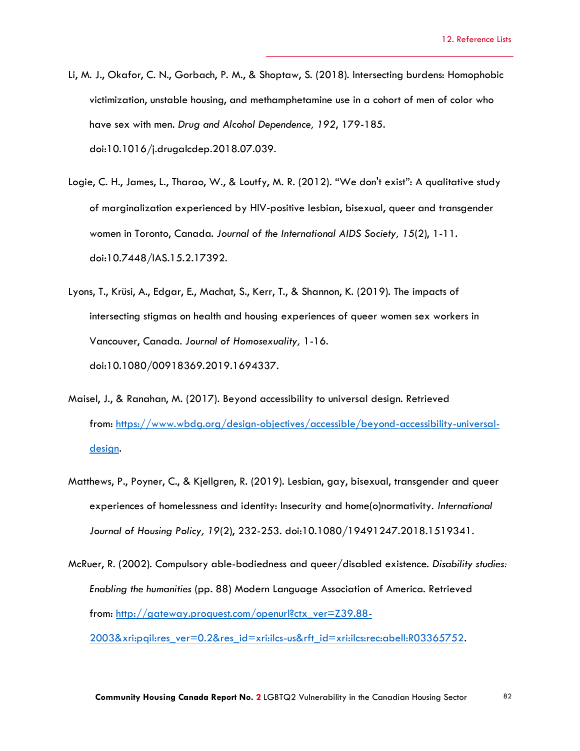- Li, M. J., Okafor, C. N., Gorbach, P. M., & Shoptaw, S. (2018). Intersecting burdens: Homophobic victimization, unstable housing, and methamphetamine use in a cohort of men of color who have sex with men. *Drug and Alcohol Dependence, 192*, 179-185. doi:10.1016/j.drugalcdep.2018.07.039.
- Logie, C. H., James, L., Tharao, W., & Loutfy, M. R. (2012). "We don't exist": A qualitative study of marginalization experienced by HIV‐positive lesbian, bisexual, queer and transgender women in Toronto, Canada. *Journal of the International AIDS Society, 15*(2), 1-11. doi:10.7448/IAS.15.2.17392.
- Lyons, T., Krüsi, A., Edgar, E., Machat, S., Kerr, T., & Shannon, K. (2019). The impacts of intersecting stigmas on health and housing experiences of queer women sex workers in Vancouver, Canada. *Journal of Homosexuality,* 1-16. doi:10.1080/00918369.2019.1694337.
- Maisel, J., & Ranahan, M. (2017). Beyond accessibility to universal design. Retrieved from: [https://www.wbdg.org/design-objectives/accessible/beyond-accessibility-universal](https://www.wbdg.org/design-objectives/accessible/beyond-accessibility-universal-design)[design.](https://www.wbdg.org/design-objectives/accessible/beyond-accessibility-universal-design)
- Matthews, P., Poyner, C., & Kjellgren, R. (2019). Lesbian, gay, bisexual, transgender and queer experiences of homelessness and identity: Insecurity and home(o)normativity. *International Journal of Housing Policy, 19*(2), 232-253. doi:10.1080/19491247.2018.1519341.
- McRuer, R. (2002). Compulsory able-bodiedness and queer/disabled existence. *Disability studies: Enabling the humanities* (pp. 88) Modern Language Association of America. Retrieved from: [http://gateway.proquest.com/openurl?ctx\\_ver=Z39.88-](http://gateway.proquest.com/openurl?ctx_ver=Z39.88-2003&xri:pqil:res_ver=0.2&res_id=xri:ilcs-us&rft_id=xri:ilcs:rec:abell:R03365752) [2003&xri:pqil:res\\_ver=0.2&res\\_id=xri:ilcs-us&rft\\_id=xri:ilcs:rec:abell:R03365752.](http://gateway.proquest.com/openurl?ctx_ver=Z39.88-2003&xri:pqil:res_ver=0.2&res_id=xri:ilcs-us&rft_id=xri:ilcs:rec:abell:R03365752)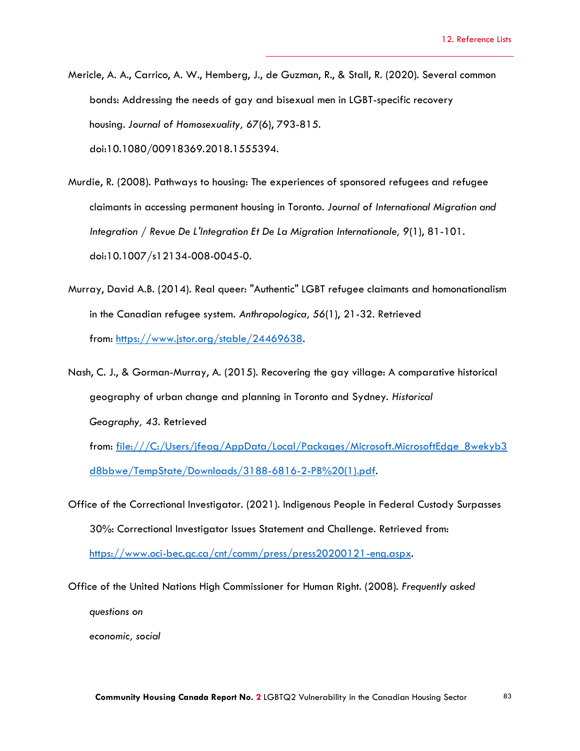- Mericle, A. A., Carrico, A. W., Hemberg, J., de Guzman, R., & Stall, R. (2020). Several common bonds: Addressing the needs of gay and bisexual men in LGBT-specific recovery housing. *Journal of Homosexuality, 67*(6), 793-815. doi:10.1080/00918369.2018.1555394.
- Murdie, R. (2008). Pathways to housing: The experiences of sponsored refugees and refugee claimants in accessing permanent housing in Toronto. *Journal of International Migration and Integration / Revue De L'Integration Et De La Migration Internationale, 9*(1), 81-101. doi:10.1007/s12134-008-0045-0.
- Murray, David A.B. (2014). Real queer: "Authentic" LGBT refugee claimants and homonationalism in the Canadian refugee system. *Anthropologica, 56*(1), 21-32. Retrieved from: [https://www.jstor.org/stable/24469638.](https://www.jstor.org/stable/24469638)
- Nash, C. J., & Gorman-Murray, A. (2015). Recovering the gay village: A comparative historical geography of urban change and planning in Toronto and Sydney. *Historical Geography, 43.* Retrieved from: [file:///C:/Users/jfeag/AppData/Local/Packages/Microsoft.MicrosoftEdge\\_8wekyb3](http://file/C:/Users/jfeag/AppData/Local/Packages/Microsoft.MicrosoftEdge_8wekyb3d8bbwe/TempState/Downloads/3188-6816-2-PB%20(1).pdf)

[d8bbwe/TempState/Downloads/3188-6816-2-PB%20\(1\).pdf.](http://file/C:/Users/jfeag/AppData/Local/Packages/Microsoft.MicrosoftEdge_8wekyb3d8bbwe/TempState/Downloads/3188-6816-2-PB%20(1).pdf)

Office of the Correctional Investigator. (2021). Indigenous People in Federal Custody Surpasses 30%: Correctional Investigator Issues Statement and Challenge. Retrieved from: [https://www.oci-bec.gc.ca/cnt/comm/press/press20200121-eng.aspx.](https://www.oci-bec.gc.ca/cnt/comm/press/press20200121-eng.aspx)

Office of the United Nations High Commissioner for Human Right. (2008). *Frequently asked questions on*

*economic, social*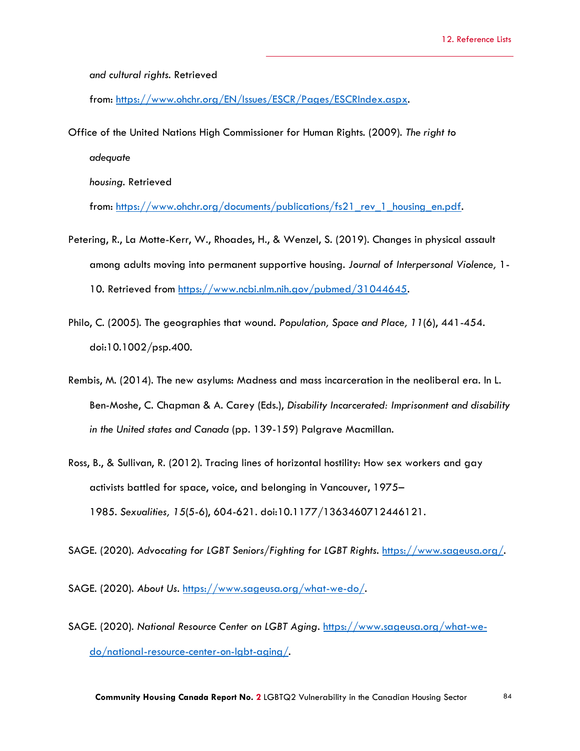*and cultural rights*. Retrieved

from: [https://www.ohchr.org/EN/Issues/ESCR/Pages/ESCRIndex.aspx.](https://www.ohchr.org/EN/Issues/ESCR/Pages/ESCRIndex.aspx)

Office of the United Nations High Commissioner for Human Rights. (2009). *The right to*

*adequate*

*housing.* Retrieved

from: [https://www.ohchr.org/documents/publications/fs21\\_rev\\_1\\_housing\\_en.pdf.](https://www.ohchr.org/documents/publications/fs21_rev_1_housing_en.pdf)

- Petering, R., La Motte-Kerr, W., Rhoades, H., & Wenzel, S. (2019). Changes in physical assault among adults moving into permanent supportive housing. *Journal of Interpersonal Violence,* 1- 10. Retrieved from [https://www.ncbi.nlm.nih.gov/pubmed/31044645.](https://www.ncbi.nlm.nih.gov/pubmed/31044645)
- Philo, C. (2005). The geographies that wound. *Population, Space and Place, 11*(6), 441-454. doi:10.1002/psp.400.
- Rembis, M. (2014). The new asylums: Madness and mass incarceration in the neoliberal era. In L. Ben-Moshe, C. Chapman & A. Carey (Eds.), *Disability Incarcerated: Imprisonment and disability in the United states and Canada* (pp. 139-159) Palgrave Macmillan.
- Ross, B., & Sullivan, R. (2012). Tracing lines of horizontal hostility: How sex workers and gay activists battled for space, voice, and belonging in Vancouver, 1975– 1985. *Sexualities, 15*(5-6), 604-621. doi:10.1177/1363460712446121.

SAGE. (2020). *Advocating for LGBT Seniors/Fighting for LGBT Rights*. [https://www.sageusa.org/.](https://www.sageusa.org/)

SAGE. (2020). *About Us*. [https://www.sageusa.org/what-we-do/.](https://www.sageusa.org/what-we-do/)

SAGE. (2020). *National Resource Center on LGBT Aging*. [https://www.sageusa.org/what-we](https://www.sageusa.org/what-we-do/national-resource-center-on-lgbt-aging/)[do/national-resource-center-on-lgbt-aging/.](https://www.sageusa.org/what-we-do/national-resource-center-on-lgbt-aging/)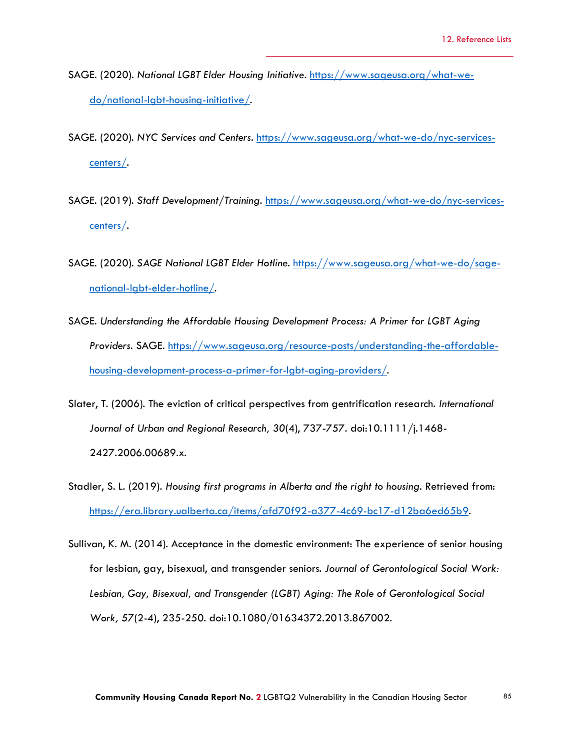- SAGE. (2020). *National LGBT Elder Housing Initiative*. [https://www.sageusa.org/what-we](https://www.sageusa.org/what-we-do/national-lgbt-housing-initiative/)[do/national-lgbt-housing-initiative/.](https://www.sageusa.org/what-we-do/national-lgbt-housing-initiative/)
- SAGE. (2020). *NYC Services and Centers*. [https://www.sageusa.org/what-we-do/nyc-services](https://www.sageusa.org/what-we-do/nyc-services-centers/)[centers/.](https://www.sageusa.org/what-we-do/nyc-services-centers/)
- SAGE. (2019). *Staff Development/Training*. [https://www.sageusa.org/what-we-do/nyc-services](https://www.sageusa.org/what-we-do/nyc-services-centers/)[centers/.](https://www.sageusa.org/what-we-do/nyc-services-centers/)
- SAGE. (2020). *SAGE National LGBT Elder Hotline*. [https://www.sageusa.org/what-we-do/sage](https://www.sageusa.org/what-we-do/sage-national-lgbt-elder-hotline/)[national-lgbt-elder-hotline/.](https://www.sageusa.org/what-we-do/sage-national-lgbt-elder-hotline/)
- SAGE. *Understanding the Affordable Housing Development Process: A Primer for LGBT Aging Providers*. SAGE. [https://www.sageusa.org/resource-posts/understanding-the-affordable](https://www.sageusa.org/resource-posts/understanding-the-affordable-housing-development-process-a-primer-for-lgbt-aging-providers/)[housing-development-process-a-primer-for-lgbt-aging-providers/.](https://www.sageusa.org/resource-posts/understanding-the-affordable-housing-development-process-a-primer-for-lgbt-aging-providers/)
- Slater, T. (2006). The eviction of critical perspectives from gentrification research. *International Journal of Urban and Regional Research, 30*(4), 737-757. doi:10.1111/j.1468- 2427.2006.00689.x.
- Stadler, S. L. (2019). *Housing first programs in Alberta and the right to housing.* Retrieved from: [https://era.library.ualberta.ca/items/afd70f92-a377-4c69-bc17-d12ba6ed65b9.](https://era.library.ualberta.ca/items/afd70f92-a377-4c69-bc17-d12ba6ed65b9)
- Sullivan, K. M. (2014). Acceptance in the domestic environment: The experience of senior housing for lesbian, gay, bisexual, and transgender seniors. *Journal of Gerontological Social Work: Lesbian, Gay, Bisexual, and Transgender (LGBT) Aging: The Role of Gerontological Social Work, 57*(2-4), 235-250. doi:10.1080/01634372.2013.867002.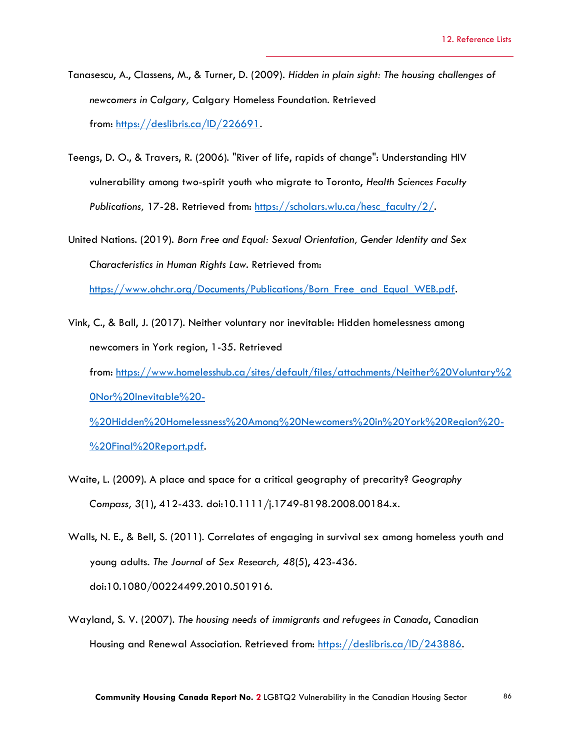- Tanasescu, A., Classens, M., & Turner, D. (2009). *Hidden in plain sight: The housing challenges of newcomers in Calgary,* Calgary Homeless Foundation. Retrieved from: [https://deslibris.ca/ID/226691.](https://deslibris.ca/ID/226691)
- Teengs, D. O., & Travers, R. (2006). "River of life, rapids of change": Understanding HIV vulnerability among two-spirit youth who migrate to Toronto, *Health Sciences Faculty Publications,* 17-28. Retrieved from: [https://scholars.wlu.ca/hesc\\_faculty/2/.](https://scholars.wlu.ca/hesc_faculty/2/)
- United Nations. (2019). *Born Free and Equal: Sexual Orientation, Gender Identity and Sex Characteristics in Human Rights Law*. Retrieved from: [https://www.ohchr.org/Documents/Publications/Born\\_Free\\_and\\_Equal\\_WEB.pdf.](https://www.ohchr.org/Documents/Publications/Born_Free_and_Equal_WEB.pdf)
- Vink, C., & Ball, J. (2017). Neither voluntary nor inevitable: Hidden homelessness among newcomers in York region, 1-35. Retrieved from: [https://www.homelesshub.ca/sites/default/files/attachments/Neither%20Voluntary%2](https://www.homelesshub.ca/sites/default/files/attachments/Neither%20Voluntary%20Nor%20Inevitable%20-%20Hidden%20Homelessness%20Among%20Newcomers%20in%20York%20Region%20-%20Final%20Report.pdf) [0Nor%20Inevitable%20-](https://www.homelesshub.ca/sites/default/files/attachments/Neither%20Voluntary%20Nor%20Inevitable%20-%20Hidden%20Homelessness%20Among%20Newcomers%20in%20York%20Region%20-%20Final%20Report.pdf) [%20Hidden%20Homelessness%20Among%20Newcomers%20in%20York%20Region%20-](https://www.homelesshub.ca/sites/default/files/attachments/Neither%20Voluntary%20Nor%20Inevitable%20-%20Hidden%20Homelessness%20Among%20Newcomers%20in%20York%20Region%20-%20Final%20Report.pdf) [%20Final%20Report.pdf.](https://www.homelesshub.ca/sites/default/files/attachments/Neither%20Voluntary%20Nor%20Inevitable%20-%20Hidden%20Homelessness%20Among%20Newcomers%20in%20York%20Region%20-%20Final%20Report.pdf)
- Waite, L. (2009). A place and space for a critical geography of precarity? *Geography Compass, 3*(1), 412-433. doi:10.1111/j.1749-8198.2008.00184.x.
- Walls, N. E., & Bell, S. (2011). Correlates of engaging in survival sex among homeless youth and young adults. *The Journal of Sex Research, 48*(5), 423-436. doi:10.1080/00224499.2010.501916.
- Wayland, S. V. (2007). *The housing needs of immigrants and refugees in Canada*, Canadian Housing and Renewal Association. Retrieved from: [https://deslibris.ca/ID/243886.](https://deslibris.ca/ID/243886)